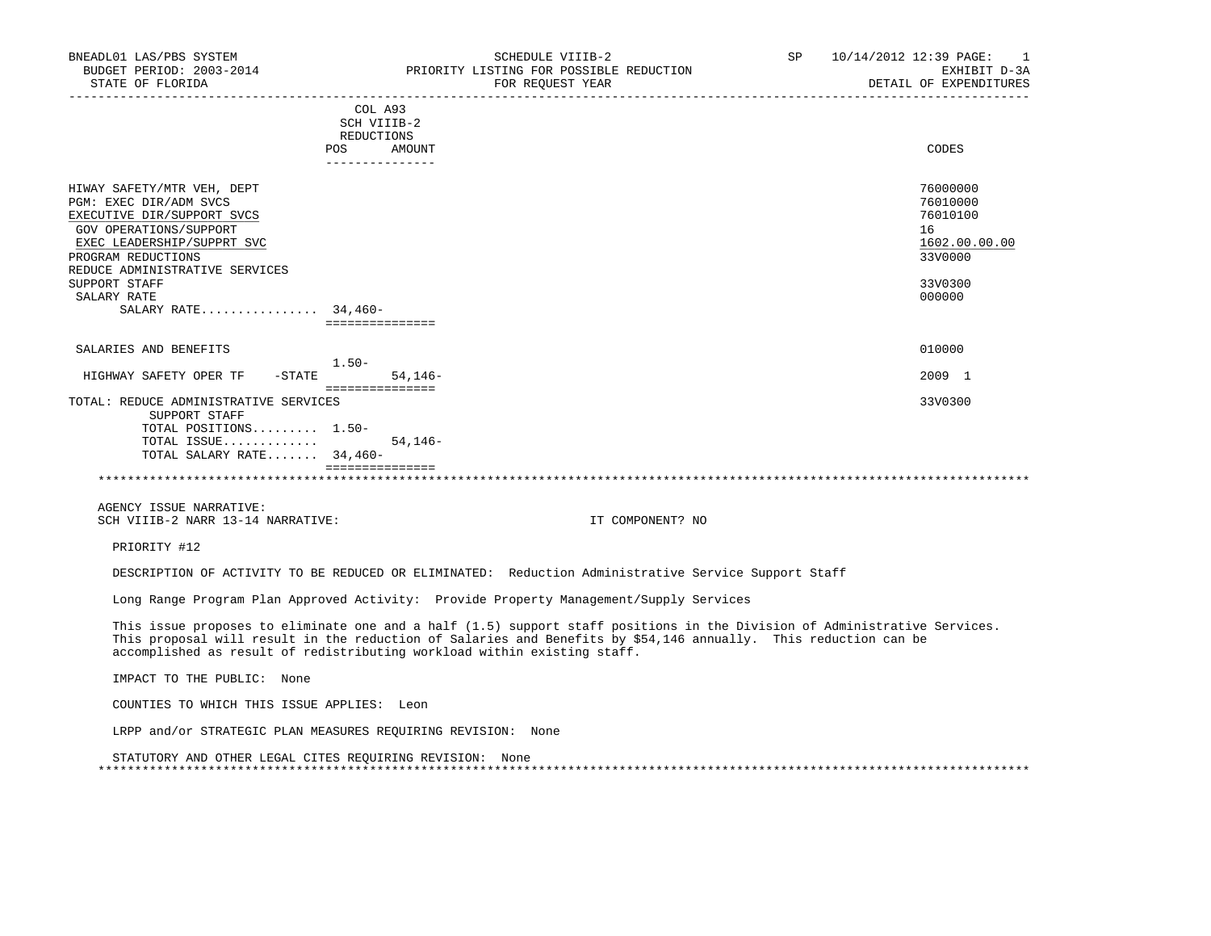| PGM: EXEC DIR/ADM SVCS                |                 | 76010000      |
|---------------------------------------|-----------------|---------------|
| EXECUTIVE DIR/SUPPORT SVCS            |                 | 76010100      |
| GOV OPERATIONS/SUPPORT                |                 | 16            |
| EXEC LEADERSHIP/SUPPRT SVC            |                 | 1602.00.00.00 |
| PROGRAM REDUCTIONS                    |                 | 33V0000       |
| REDUCE ADMINISTRATIVE SERVICES        |                 |               |
| SUPPORT STAFF                         |                 | 33V0300       |
| SALARY RATE                           |                 | 000000        |
| SALARY RATE 34,460-                   |                 |               |
|                                       | =============== |               |
| SALARIES AND BENEFITS                 |                 | 010000        |
| $1.50 -$                              |                 |               |
| HIGHWAY SAFETY OPER TF<br>-STATE      | $54.146-$       | 2009 1        |
| TOTAL: REDUCE ADMINISTRATIVE SERVICES | =============== | 33V0300       |
| SUPPORT STAFF                         |                 |               |
| TOTAL POSITIONS 1.50-                 |                 |               |
| TOTAL ISSUE                           | $54, 146 -$     |               |

TOTAL SALARY RATE....... 34,460-

 =============== \*\*\*\*\*\*\*\*\*\*\*\*\*\*\*\*\*\*\*\*\*\*\*\*\*\*\*\*\*\*\*\*\*\*\*\*\*\*\*\*\*\*\*\*\*\*\*\*\*\*\*\*\*\*\*\*\*\*\*\*\*\*\*\*\*\*\*\*\*\*\*\*\*\*\*\*\*\*\*\*\*\*\*\*\*\*\*\*\*\*\*\*\*\*\*\*\*\*\*\*\*\*\*\*\*\*\*\*\*\*\*\*\*\*\*\*\*\*\*\*\*\*\*\*\*\*\*

 AGENCY ISSUE NARRATIVE: SCH VIIIB-2 NARR 13-14 NARRATIVE: IT COMPONENT? NO

PRIORITY #12

DESCRIPTION OF ACTIVITY TO BE REDUCED OR ELIMINATED: Reduction Administrative Service Support Staff

Long Range Program Plan Approved Activity: Provide Property Management/Supply Services

 This issue proposes to eliminate one and a half (1.5) support staff positions in the Division of Administrative Services. This proposal will result in the reduction of Salaries and Benefits by \$54,146 annually. This reduction can be accomplished as result of redistributing workload within existing staff.

IMPACT TO THE PUBLIC: None

COUNTIES TO WHICH THIS ISSUE APPLIES: Leon

LRPP and/or STRATEGIC PLAN MEASURES REQUIRING REVISION: None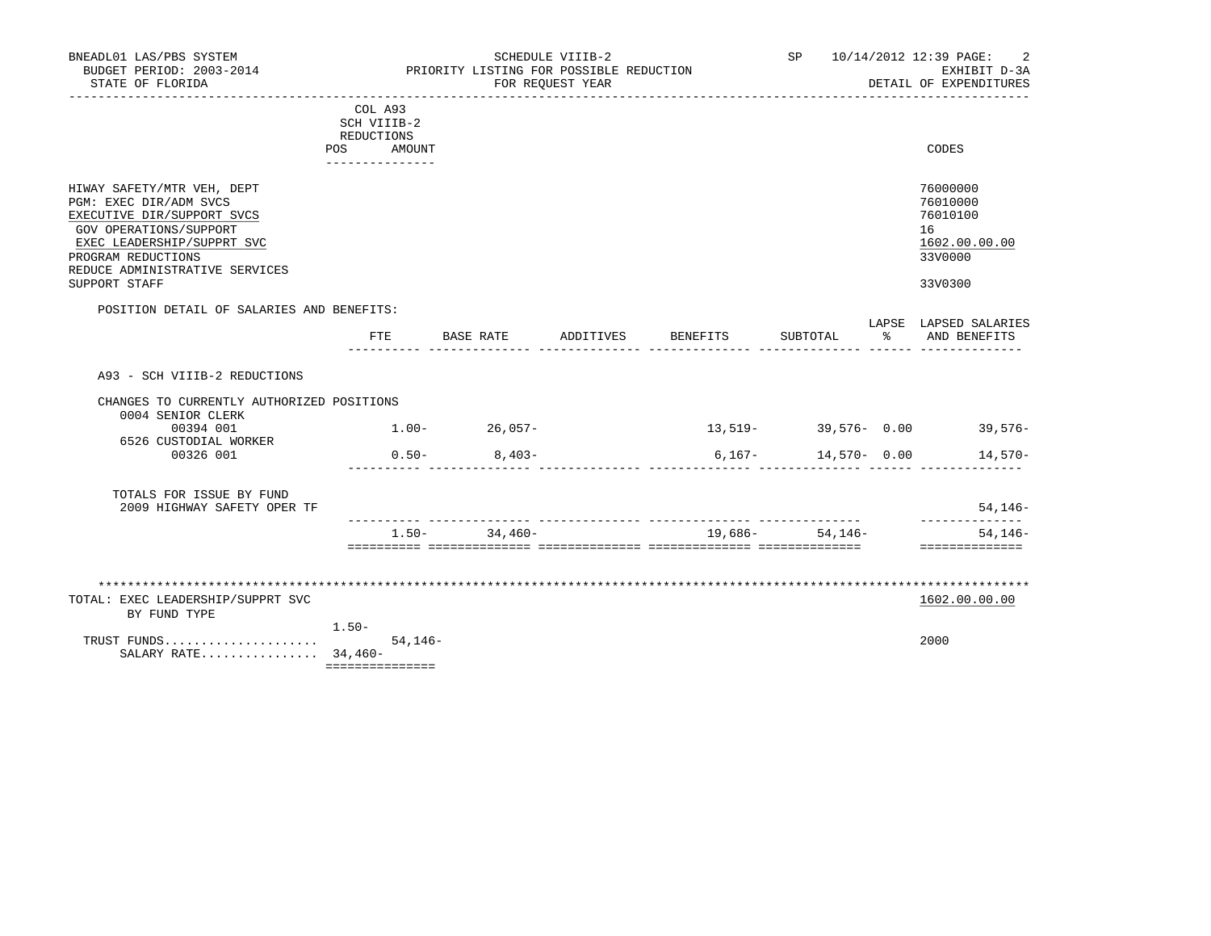|                                                                |                                                             |                   | SCHEDULE VIIIB-2 |          |                 | SP 10/14/2012 12:39 PAGE:<br>2          |
|----------------------------------------------------------------|-------------------------------------------------------------|-------------------|------------------|----------|-----------------|-----------------------------------------|
| BUDGET PERIOD: 2003-2014<br>STATE OF FLORIDA                   | PRIORITY LISTING FOR POSSIBLE REDUCTION<br>FOR REQUEST YEAR |                   |                  |          |                 | EXHIBIT D-3A<br>DETAIL OF EXPENDITURES  |
|                                                                |                                                             |                   |                  |          |                 |                                         |
|                                                                | COL A93<br>SCH VIIIB-2                                      |                   |                  |          |                 |                                         |
|                                                                | REDUCTIONS                                                  |                   |                  |          |                 |                                         |
|                                                                | POS AMOUNT<br>---------------                               |                   |                  |          |                 | CODES                                   |
|                                                                |                                                             |                   |                  |          |                 |                                         |
| HIWAY SAFETY/MTR VEH, DEPT                                     |                                                             |                   |                  |          |                 | 76000000                                |
| PGM: EXEC DIR/ADM SVCS                                         |                                                             |                   |                  |          |                 | 76010000                                |
| EXECUTIVE DIR/SUPPORT SVCS<br>GOV OPERATIONS/SUPPORT           |                                                             |                   |                  |          |                 | 76010100<br>16                          |
| EXEC LEADERSHIP/SUPPRT SVC                                     |                                                             |                   |                  |          |                 | 1602.00.00.00                           |
| PROGRAM REDUCTIONS<br>REDUCE ADMINISTRATIVE SERVICES           |                                                             |                   |                  |          |                 | 33V0000                                 |
| SUPPORT STAFF                                                  |                                                             |                   |                  |          |                 | 33V0300                                 |
| POSITION DETAIL OF SALARIES AND BENEFITS:                      |                                                             |                   |                  |          |                 |                                         |
|                                                                | FTE                                                         | BASE RATE         | ADDITIVES        | BENEFITS | SUBTOTAL        | LAPSE LAPSED SALARIES<br>% AND BENEFITS |
| A93 - SCH VIIIB-2 REDUCTIONS                                   |                                                             |                   |                  |          |                 |                                         |
| CHANGES TO CURRENTLY AUTHORIZED POSITIONS<br>0004 SENIOR CLERK |                                                             |                   |                  |          |                 |                                         |
| 00394 001                                                      |                                                             | $1.00 - 26,057 -$ |                  |          |                 | $13,519-$ 39,576- 0.00 39,576-          |
| 6526 CUSTODIAL WORKER                                          |                                                             |                   |                  |          |                 |                                         |
| 00326 001                                                      |                                                             | $0.50 - 8.403 -$  |                  |          |                 | $6,167-14,570-0.00$ 14,570-             |
|                                                                |                                                             |                   |                  |          |                 |                                         |
| TOTALS FOR ISSUE BY FUND                                       |                                                             |                   |                  |          |                 |                                         |
| 2009 HIGHWAY SAFETY OPER TF                                    |                                                             |                   |                  |          |                 | $54.146-$<br>______________             |
|                                                                |                                                             | $1.50 - 34.460 -$ |                  |          | 19,686- 54,146- | $54, 146 -$<br>==============           |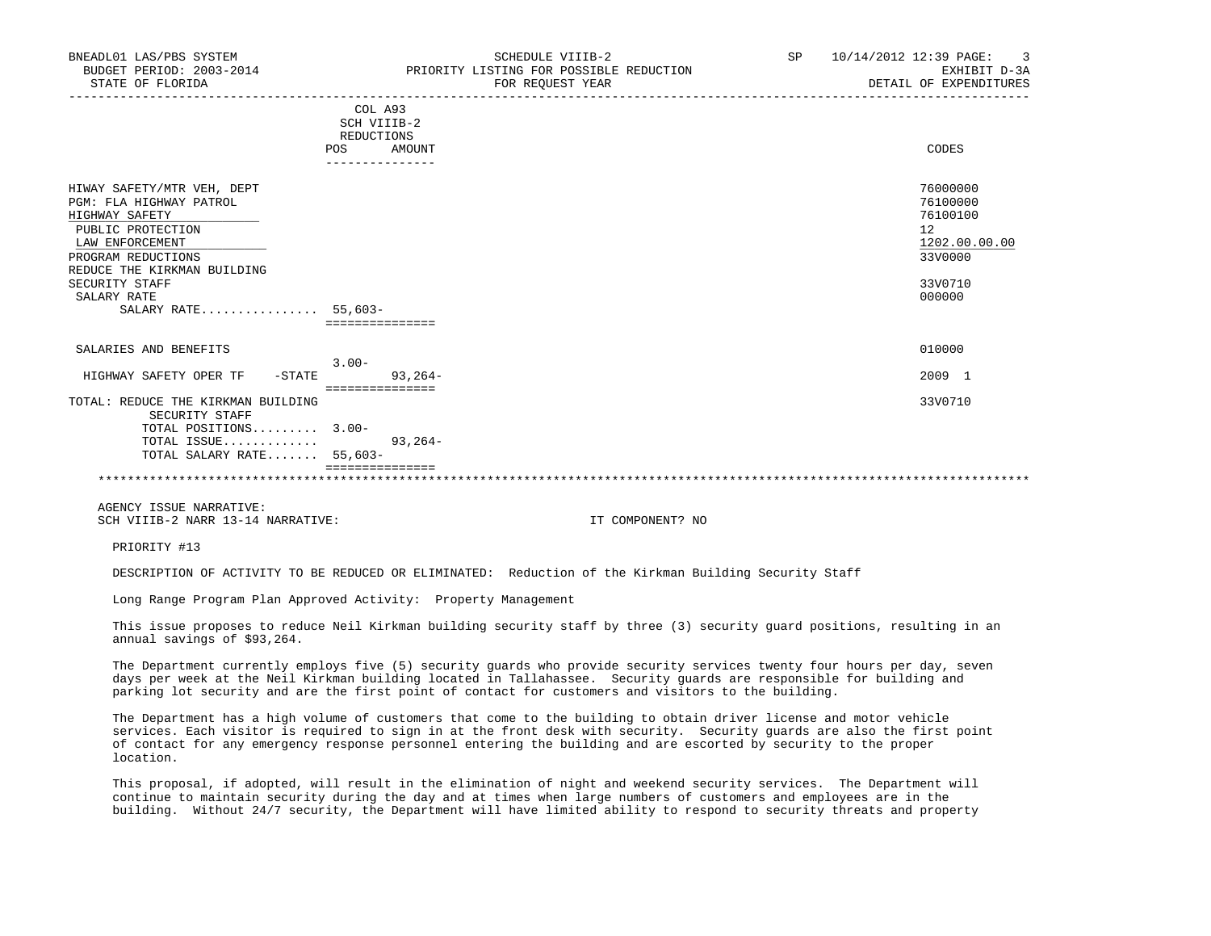|                                                                                                                                                                                                                      | ------------    |                                                                                         |
|----------------------------------------------------------------------------------------------------------------------------------------------------------------------------------------------------------------------|-----------------|-----------------------------------------------------------------------------------------|
| HIWAY SAFETY/MTR VEH, DEPT<br>PGM: FLA HIGHWAY PATROL<br>HIGHWAY SAFETY<br>PUBLIC PROTECTION<br>LAW ENFORCEMENT<br>PROGRAM REDUCTIONS<br>REDUCE THE KIRKMAN BUILDING<br>SECURITY STAFF<br>SALARY RATE<br>SALARY RATE | $55,603-$       | 76000000<br>76100000<br>76100100<br>12<br>1202.00.00.00<br>33V0000<br>33V0710<br>000000 |
| SALARIES AND BENEFITS                                                                                                                                                                                                |                 | 010000                                                                                  |
|                                                                                                                                                                                                                      | $3.00 -$        |                                                                                         |
| HIGHWAY SAFETY OPER TF<br>$-$ STATE                                                                                                                                                                                  | $93,264-$       | 2009 1                                                                                  |
|                                                                                                                                                                                                                      | =============== |                                                                                         |
| TOTAL: REDUCE THE KIRKMAN BUILDING                                                                                                                                                                                   |                 | 33V0710                                                                                 |
| SECURITY STAFF                                                                                                                                                                                                       |                 |                                                                                         |
| TOTAL POSITIONS 3.00-                                                                                                                                                                                                |                 |                                                                                         |
| TOTAL ISSUE                                                                                                                                                                                                          | $93, 264 -$     |                                                                                         |
| TOTAL SALARY RATE 55,603-                                                                                                                                                                                            |                 |                                                                                         |

AGENCY ISSUE NARRATIVE:

SCH VIIIB-2 NARR 13-14 NARRATIVE: IT COMPONENT? NO

PRIORITY #13

DESCRIPTION OF ACTIVITY TO BE REDUCED OR ELIMINATED: Reduction of the Kirkman Building Security Staff

Long Range Program Plan Approved Activity: Property Management

===============

 This issue proposes to reduce Neil Kirkman building security staff by three (3) security guard positions, resulting in an annual savings of \$93,264.

\*\*\*\*\*\*\*\*\*\*\*\*\*\*\*\*\*\*\*\*\*\*\*\*\*\*\*\*\*\*\*\*\*\*\*\*\*\*\*\*\*\*\*\*\*\*\*\*\*\*\*\*\*\*\*\*\*\*\*\*\*\*\*\*\*\*\*\*\*\*\*\*\*\*\*\*\*\*\*\*\*\*\*\*\*\*\*\*\*\*\*\*\*\*\*\*\*\*\*\*\*\*\*\*\*\*\*\*\*\*\*\*\*\*\*\*\*\*\*\*\*\*\*\*\*\*\*

 The Department currently employs five (5) security guards who provide security services twenty four hours per day, seven days per week at the Neil Kirkman building located in Tallahassee. Security guards are responsible for building and parking lot security and are the first point of contact for customers and visitors to the building.

 The Department has a high volume of customers that come to the building to obtain driver license and motor vehicle services. Each visitor is required to sign in at the front desk with security. Security guards are also the first point of contact for any emergency response personnel entering the building and are escorted by security to the proper location.

 This proposal, if adopted, will result in the elimination of night and weekend security services. The Department will continue to maintain security during the day and at times when large numbers of customers and employees are in the building. Without 24/7 security, the Department will have limited ability to respond to security threats and property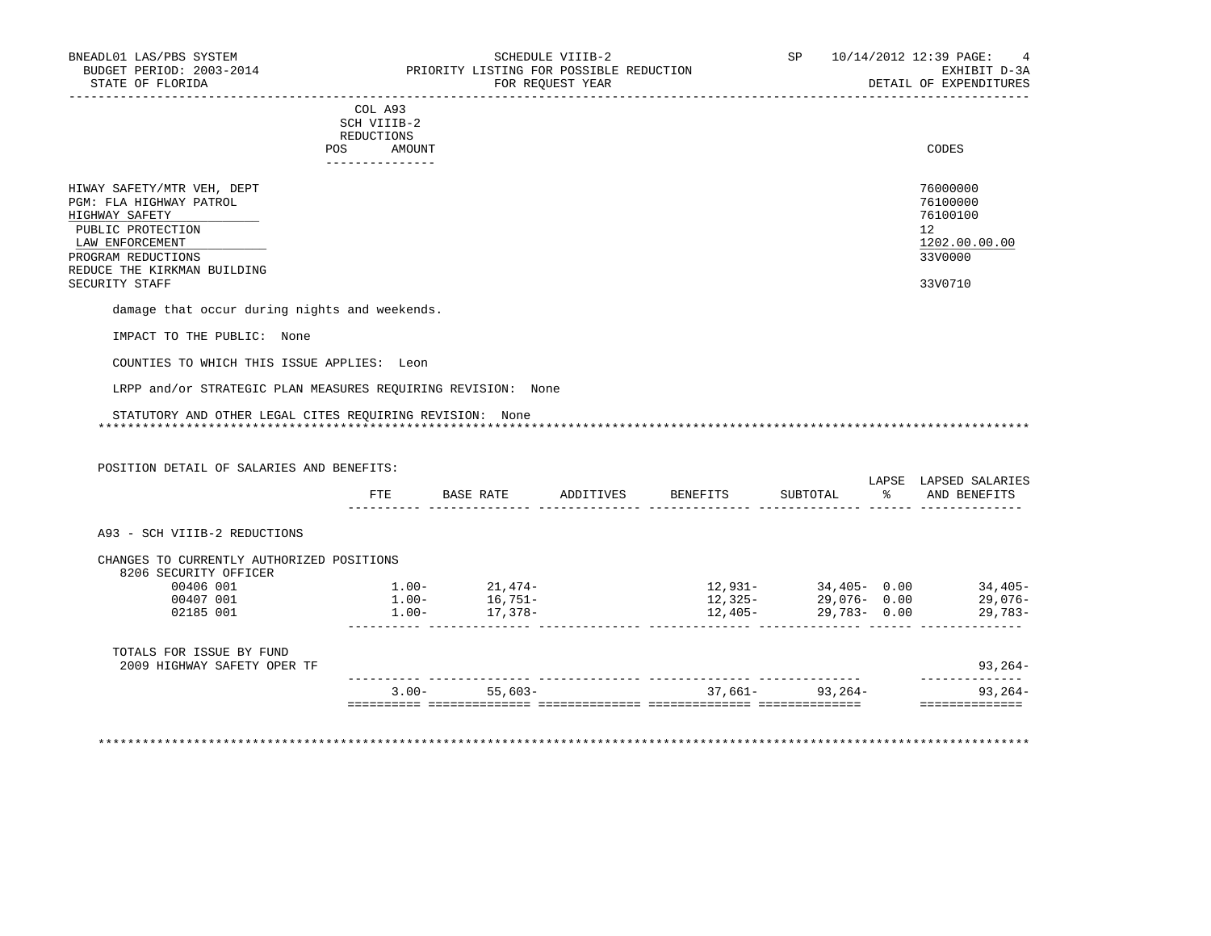| . _ _ _ _ _ _ _ _ _ _ _                                                                                                        |       |
|--------------------------------------------------------------------------------------------------------------------------------|-------|
| AMOUNT                                                                                                                         | CODES |
| <b>REDUCTIONS</b>                                                                                                              |       |
| SCH VIIIB-2<br>the contract of the contract of the contract of the contract of the contract of the contract of the contract of |       |
| COL A93                                                                                                                        |       |
|                                                                                                                                |       |

| HIWAY SAFETY/MTR VEH, DEPT  | 76000000      |
|-----------------------------|---------------|
| PGM: FLA HIGHWAY PATROL     | 76100000      |
| HIGHWAY SAFETY              | 76100100      |
| PUBLIC PROTECTION           | 12            |
| LAW ENFORCEMENT             | 1202.00.00.00 |
| PROGRAM REDUCTIONS          | 33V0000       |
| REDUCE THE KIRKMAN BUILDING |               |
| SECURITY STAFF              | 33V0710       |
|                             |               |

damage that occur during nights and weekends.

IMPACT TO THE PUBLIC: None

COUNTIES TO WHICH THIS ISSUE APPLIES: Leon

LRPP and/or STRATEGIC PLAN MEASURES REQUIRING REVISION: None

#### STATUTORY AND OTHER LEGAL CITES REQUIRING REVISION: None \*\*\*\*\*\*\*\*\*\*\*\*\*\*\*\*\*\*\*\*\*\*\*\*\*\*\*\*\*\*\*\*\*\*\*\*\*\*\*\*\*\*\*\*\*\*\*\*\*\*\*\*\*\*\*\*\*\*\*\*\*\*\*\*\*\*\*\*\*\*\*\*\*\*\*\*\*\*\*\*\*\*\*\*\*\*\*\*\*\*\*\*\*\*\*\*\*\*\*\*\*\*\*\*\*\*\*\*\*\*\*\*\*\*\*\*\*\*\*\*\*\*\*\*\*\*\*

POSITION DETAIL OF SALARIES AND BENEFITS:

|                                                         |          |           |           |          |                          | LAPSE | LAPSED SALARIES |
|---------------------------------------------------------|----------|-----------|-----------|----------|--------------------------|-------|-----------------|
|                                                         | FTE      | BASE RATE | ADDITIVES | BENEFITS | SUBTOTAL                 | ႜၟ    | AND BENEFITS    |
| A93 - SCH VIIIB-2 REDUCTIONS                            |          |           |           |          |                          |       |                 |
| CHANGES TO CURRENTLY AUTHORIZED POSITIONS               |          |           |           |          |                          |       |                 |
| 8206 SECURITY OFFICER                                   |          |           |           |          |                          |       |                 |
| 00406 001                                               | $1.00-$  | 21,474-   |           | 12,931-  | $34,405 - 0.00$          |       | $34,405-$       |
| 00407 001                                               | $1.00 -$ | 16,751-   |           |          | $12,325 - 29,076 - 0.00$ |       | 29,076-         |
| 02185 001                                               | $1.00 -$ | 17,378-   |           | 12,405-  | 29,783-0.00              |       | 29,783-         |
| TOTALS FOR ISSUE BY FUND<br>2009 HIGHWAY SAFETY OPER TF |          |           |           |          |                          |       | $93, 264 -$     |
|                                                         |          |           |           |          |                          |       |                 |
|                                                         | $3.00 -$ | 55,603-   |           | 37,661–  | $93,264-$                |       | $93, 264 -$     |

\*\*\*\*\*\*\*\*\*\*\*\*\*\*\*\*\*\*\*\*\*\*\*\*\*\*\*\*\*\*\*\*\*\*\*\*\*\*\*\*\*\*\*\*\*\*\*\*\*\*\*\*\*\*\*\*\*\*\*\*\*\*\*\*\*\*\*\*\*\*\*\*\*\*\*\*\*\*\*\*\*\*\*\*\*\*\*\*\*\*\*\*\*\*\*\*\*\*\*\*\*\*\*\*\*\*\*\*\*\*\*\*\*\*\*\*\*\*\*\*\*\*\*\*\*\*\*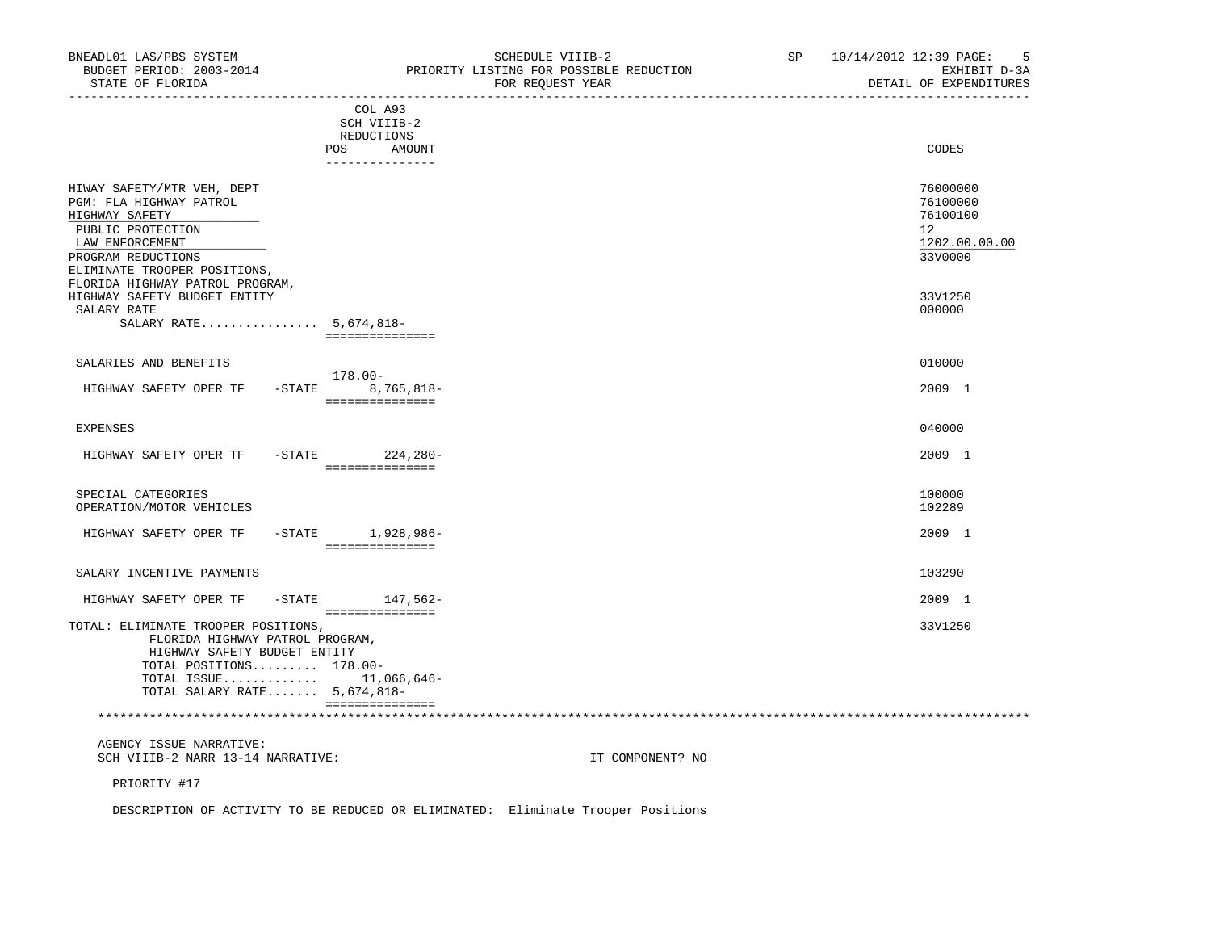| BNEADL01 LAS/PBS SYSTEM<br>BUDGET PERIOD: 2003-2014<br>STATE OF FLORIDA                                                                                               |                                                                          | SCHEDULE VIIIB-2<br>PRIORITY LISTING FOR POSSIBLE REDUCTION<br>FOR REQUEST YEAR<br>---------------------------------- | SP 10/14/2012 12:39 PAGE:<br>5<br>EXHIBIT D-3A<br>DETAIL OF EXPENDITURES        |
|-----------------------------------------------------------------------------------------------------------------------------------------------------------------------|--------------------------------------------------------------------------|-----------------------------------------------------------------------------------------------------------------------|---------------------------------------------------------------------------------|
|                                                                                                                                                                       | COL A93<br>SCH VIIIB-2<br>REDUCTIONS<br>POS<br>AMOUNT<br>_______________ |                                                                                                                       | CODES                                                                           |
| HIWAY SAFETY/MTR VEH, DEPT<br>PGM: FLA HIGHWAY PATROL<br>HIGHWAY SAFETY<br>PUBLIC PROTECTION<br>LAW ENFORCEMENT<br>PROGRAM REDUCTIONS<br>ELIMINATE TROOPER POSITIONS, |                                                                          |                                                                                                                       | 76000000<br>76100000<br>76100100<br>12 <sup>°</sup><br>1202.00.00.00<br>33V0000 |
| FLORIDA HIGHWAY PATROL PROGRAM,<br>HIGHWAY SAFETY BUDGET ENTITY<br>SALARY RATE<br>SALARY RATE 5,674,818-                                                              | ===============                                                          |                                                                                                                       | 33V1250<br>000000                                                               |
| SALARIES AND BENEFITS<br>HIGHWAY SAFETY OPER TF -STATE 8,765,818-                                                                                                     | 178.00-                                                                  |                                                                                                                       | 010000<br>2009 1                                                                |
| <b>EXPENSES</b><br>HIGHWAY SAFETY OPER TF                                                                                                                             | ________________<br>-STATE 224,280-                                      |                                                                                                                       | 040000<br>2009 1                                                                |
| SPECIAL CATEGORIES<br>OPERATION/MOTOR VEHICLES                                                                                                                        | ===============                                                          |                                                                                                                       | 100000<br>102289                                                                |
| HIGHWAY SAFETY OPER TF                                                                                                                                                | $-$ STATE $1,928,986-$<br>-----------------                              |                                                                                                                       | 2009 1                                                                          |
| SALARY INCENTIVE PAYMENTS                                                                                                                                             |                                                                          |                                                                                                                       | 103290                                                                          |
| HIGHWAY SAFETY OPER TF -STATE 147,562-                                                                                                                                | ===============                                                          |                                                                                                                       | 2009 1                                                                          |
| TOTAL: ELIMINATE TROOPER POSITIONS,<br>FLORIDA HIGHWAY PATROL PROGRAM,<br>HIGHWAY SAFETY BUDGET ENTITY<br>TOTAL POSITIONS 178.00-<br>TOTAL ISSUE $11,066,646-$        |                                                                          |                                                                                                                       | 33V1250                                                                         |

AGENCY ISSUE NARRATIVE:

TOTAL SALARY RATE....... 5,674,818-

SCH VIIIB-2 NARR 13-14 NARRATIVE: IT COMPONENT? NO

\*\*\*\*\*\*\*\*\*\*\*\*\*\*\*\*\*\*\*\*\*\*\*\*\*\*\*\*\*\*\*\*\*\*\*\*\*\*\*\*\*\*\*\*\*\*\*\*\*\*\*\*\*\*\*\*\*\*\*\*\*\*\*\*\*\*\*\*\*\*\*\*\*\*\*\*\*\*\*\*\*\*\*\*\*\*\*\*\*\*\*\*\*\*\*\*\*\*\*\*\*\*\*\*\*\*\*\*\*\*\*\*\*\*\*\*\*\*\*\*\*\*\*\*\*\*\*

PRIORITY #17

DESCRIPTION OF ACTIVITY TO BE REDUCED OR ELIMINATED: Eliminate Trooper Positions

===============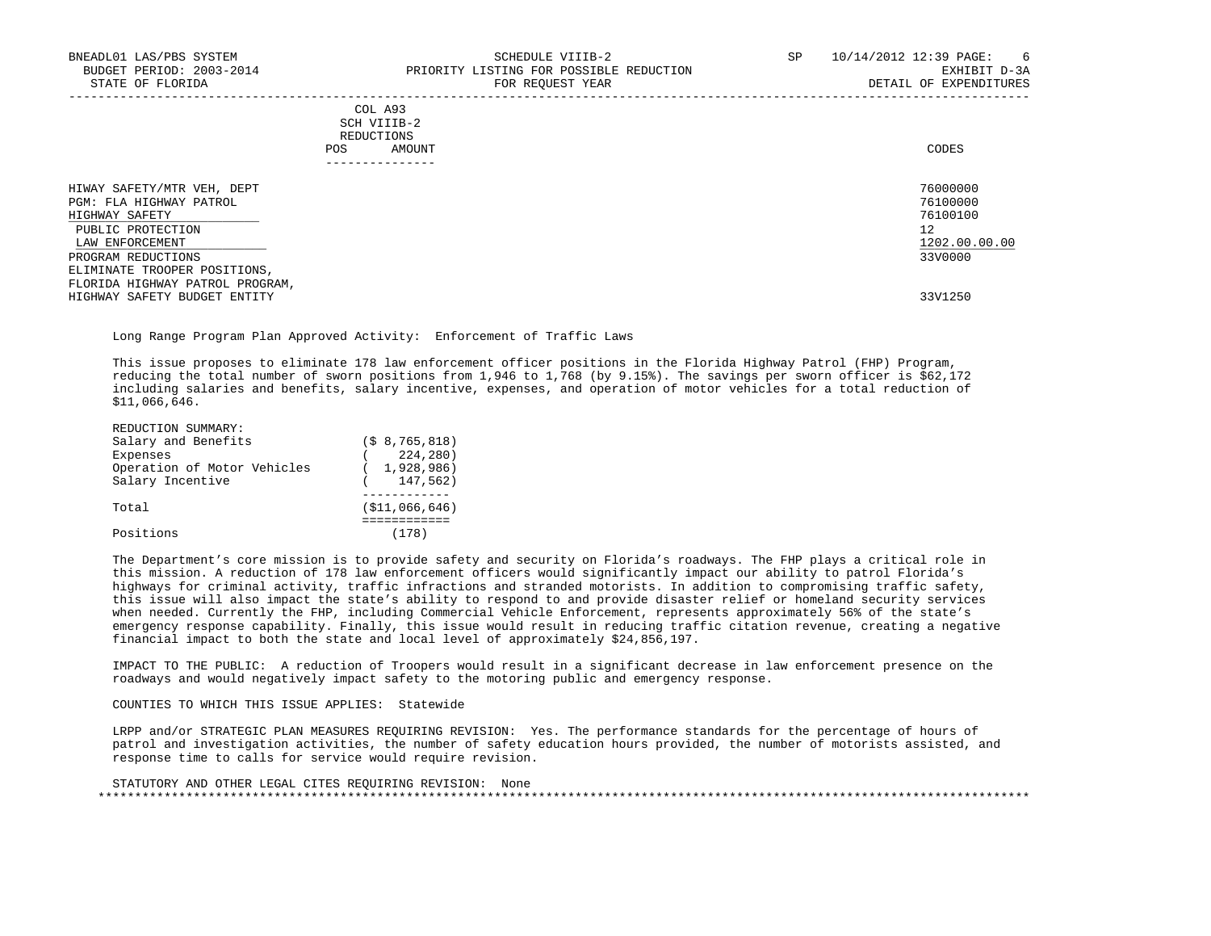|     | COL A93                                                                                                                        |       |
|-----|--------------------------------------------------------------------------------------------------------------------------------|-------|
|     | SCH VIIIB-2<br>the contract of the contract of the contract of the contract of the contract of the contract of the contract of |       |
|     | REDUCTIONS                                                                                                                     |       |
| POS | AMOUNT                                                                                                                         | CODES |
|     |                                                                                                                                |       |

| -------------                   |               |
|---------------------------------|---------------|
| HIWAY SAFETY/MTR VEH, DEPT      | 76000000      |
| PGM: FLA HIGHWAY PATROL         | 76100000      |
| HIGHWAY SAFETY                  | 76100100      |
| PUBLIC PROTECTION               | 12            |
| LAW ENFORCEMENT                 | 1202.00.00.00 |
| PROGRAM REDUCTIONS              | 33V0000       |
| ELIMINATE TROOPER POSITIONS,    |               |
| FLORIDA HIGHWAY PATROL PROGRAM, |               |
| HIGHWAY SAFETY BUDGET ENTITY    | 33V1250       |
|                                 |               |

Long Range Program Plan Approved Activity: Enforcement of Traffic Laws

 This issue proposes to eliminate 178 law enforcement officer positions in the Florida Highway Patrol (FHP) Program, reducing the total number of sworn positions from 1,946 to 1,768 (by 9.15%). The savings per sworn officer is \$62,172 including salaries and benefits, salary incentive, expenses, and operation of motor vehicles for a total reduction of \$11,066,646.

| REDUCTION SUMMARY:          |                 |
|-----------------------------|-----------------|
| Salary and Benefits         | (S 8, 765, 818) |
| Expenses                    | 224,280)        |
| Operation of Motor Vehicles | 1,928,986)      |
| Salary Incentive            | 147,562)        |
|                             |                 |
| Total                       | ( \$11,066,646) |
|                             |                 |
| Positions                   |                 |

 The Department's core mission is to provide safety and security on Florida's roadways. The FHP plays a critical role in this mission. A reduction of 178 law enforcement officers would significantly impact our ability to patrol Florida's highways for criminal activity, traffic infractions and stranded motorists. In addition to compromising traffic safety, this issue will also impact the state's ability to respond to and provide disaster relief or homeland security services when needed. Currently the FHP, including Commercial Vehicle Enforcement, represents approximately 56% of the state's emergency response capability. Finally, this issue would result in reducing traffic citation revenue, creating a negative financial impact to both the state and local level of approximately \$24,856,197.

 IMPACT TO THE PUBLIC: A reduction of Troopers would result in a significant decrease in law enforcement presence on the roadways and would negatively impact safety to the motoring public and emergency response.

COUNTIES TO WHICH THIS ISSUE APPLIES: Statewide

 LRPP and/or STRATEGIC PLAN MEASURES REQUIRING REVISION: Yes. The performance standards for the percentage of hours of patrol and investigation activities, the number of safety education hours provided, the number of motorists assisted, and response time to calls for service would require revision.

```
 STATUTORY AND OTHER LEGAL CITES REQUIRING REVISION: None
 *******************************************************************************************************************************
```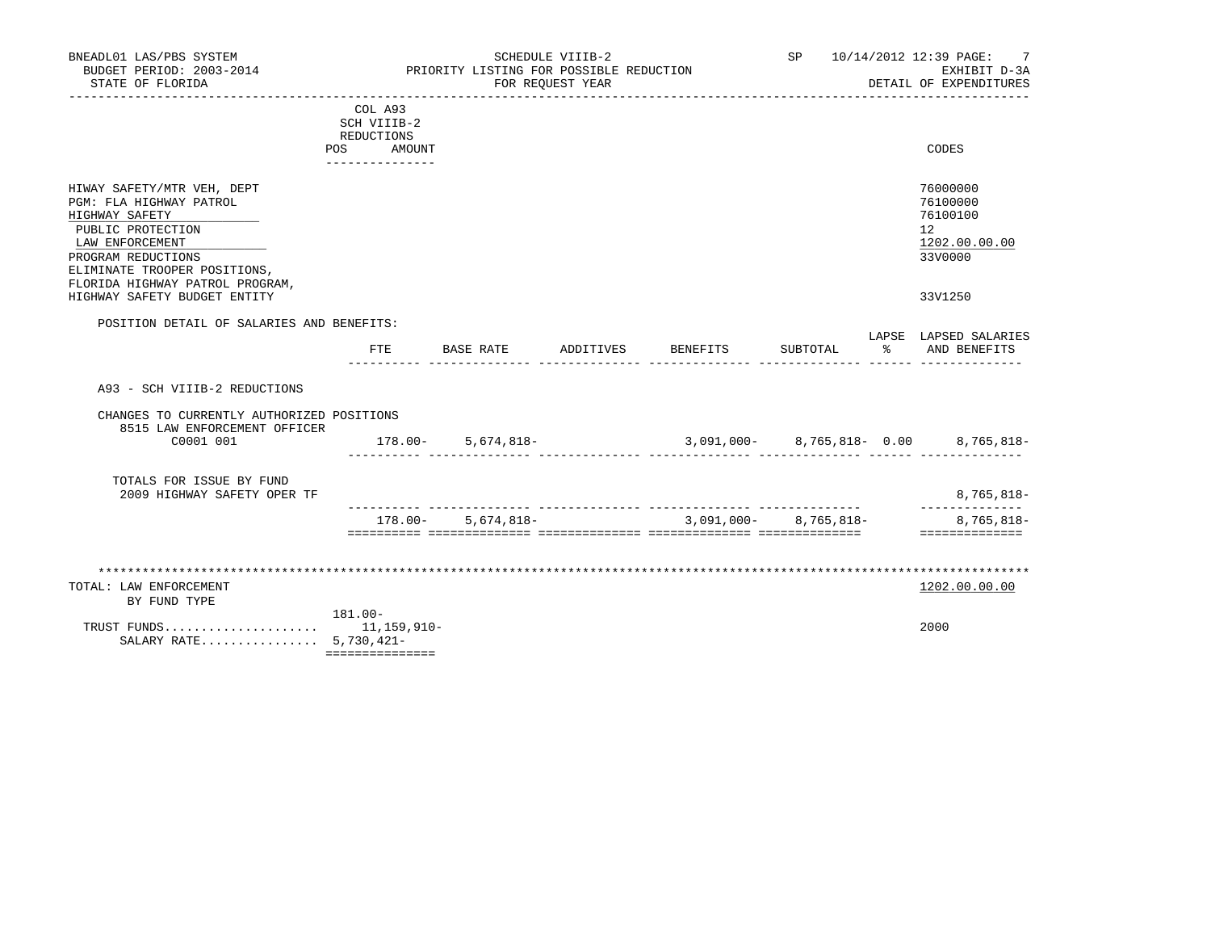| BNEADL01 LAS/PBS SYSTEM<br>BUDGET PERIOD: 2003-2014<br>STATE OF FLORIDA<br>---------------                                                                                                               |                                                                          | PRIORITY LISTING FOR POSSIBLE REDUCTION | SCHEDULE VIIIB-2<br>FOR REQUEST YEAR |                 |                       |    | SP 10/14/2012 12:39 PAGE:<br>-7<br>EXHIBIT D-3A<br>DETAIL OF EXPENDITURES    |
|----------------------------------------------------------------------------------------------------------------------------------------------------------------------------------------------------------|--------------------------------------------------------------------------|-----------------------------------------|--------------------------------------|-----------------|-----------------------|----|------------------------------------------------------------------------------|
|                                                                                                                                                                                                          | COL A93<br>SCH VIIIB-2<br>REDUCTIONS<br>AMOUNT<br>POS<br>_______________ |                                         |                                      |                 |                       |    | CODES                                                                        |
| HIWAY SAFETY/MTR VEH, DEPT<br>PGM: FLA HIGHWAY PATROL<br>HIGHWAY SAFETY<br>PUBLIC PROTECTION<br>LAW ENFORCEMENT<br>PROGRAM REDUCTIONS<br>ELIMINATE TROOPER POSITIONS,<br>FLORIDA HIGHWAY PATROL PROGRAM, |                                                                          |                                         |                                      |                 |                       |    | 76000000<br>76100000<br>76100100<br>$12^{\circ}$<br>1202.00.00.00<br>33V0000 |
| HIGHWAY SAFETY BUDGET ENTITY                                                                                                                                                                             |                                                                          |                                         |                                      |                 |                       |    | 33V1250                                                                      |
| POSITION DETAIL OF SALARIES AND BENEFITS:                                                                                                                                                                | FTE                                                                      | BASE RATE                               | ADDITIVES                            | <b>BENEFITS</b> | SUBTOTAL              | ႜႜ | LAPSE LAPSED SALARIES<br>AND BENEFITS                                        |
| A93 - SCH VIIIB-2 REDUCTIONS                                                                                                                                                                             |                                                                          |                                         |                                      |                 |                       |    |                                                                              |
| CHANGES TO CURRENTLY AUTHORIZED POSITIONS<br>8515 LAW ENFORCEMENT OFFICER<br>C0001 001                                                                                                                   |                                                                          | $178.00 - 5,674,818 -$                  |                                      |                 |                       |    | 3,091,000- 8,765,818- 0.00 8,765,818-                                        |
|                                                                                                                                                                                                          |                                                                          |                                         |                                      |                 |                       |    |                                                                              |
| TOTALS FOR ISSUE BY FUND<br>2009 HIGHWAY SAFETY OPER TF                                                                                                                                                  |                                                                          |                                         |                                      |                 |                       |    | 8,765,818-                                                                   |
|                                                                                                                                                                                                          |                                                                          | $178.00 - 5.674.818 -$                  |                                      |                 | 3,091,000- 8,765,818- |    | ______________<br>8,765,818-<br>==============                               |
| TOTAL: LAW ENFORCEMENT<br>BY FUND TYPE<br>SALARY RATE 5,730,421-                                                                                                                                         | 181.00-<br>===============                                               |                                         |                                      |                 |                       |    | 1202.00.00.00<br>2000                                                        |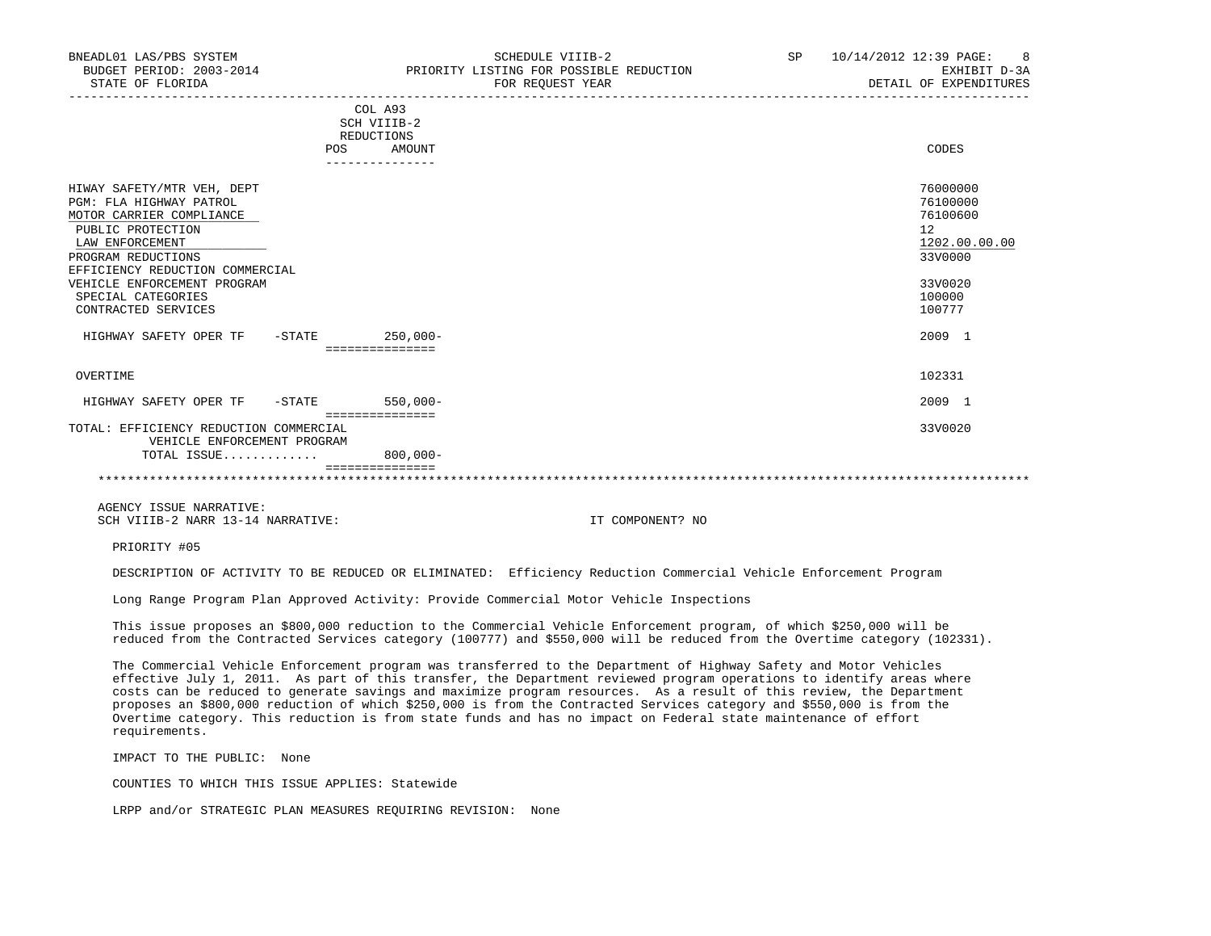| BNEADL01 LAS/PBS SYSTEM<br>STATE OF FLORIDA                                                                                                                                                                                                                    | SCHEDULE VIIIB-2<br>BUDGET PERIOD: 2003-2014 PRIORITY LISTING FOR POSSIBLE REDUCTION<br>FOR REQUEST YEAR | SP and the set of the set of the set of the set of the set of the set of the set of the set of the set of the set of the set of the set of the set of the set of the set of the set of the set of the set of the set of the se | 10/14/2012 12:39 PAGE: 8<br>EXHIBIT D-3A<br>DETAIL OF EXPENDITURES                                |
|----------------------------------------------------------------------------------------------------------------------------------------------------------------------------------------------------------------------------------------------------------------|----------------------------------------------------------------------------------------------------------|--------------------------------------------------------------------------------------------------------------------------------------------------------------------------------------------------------------------------------|---------------------------------------------------------------------------------------------------|
|                                                                                                                                                                                                                                                                | COL A93<br>SCH VIIIB-2<br>REDUCTIONS<br>POS AMOUNT<br>---------------                                    |                                                                                                                                                                                                                                | CODES                                                                                             |
| HIWAY SAFETY/MTR VEH, DEPT<br>PGM: FLA HIGHWAY PATROL<br>MOTOR CARRIER COMPLIANCE<br>PUBLIC PROTECTION<br>LAW ENFORCEMENT<br>PROGRAM REDUCTIONS<br>EFFICIENCY REDUCTION COMMERCIAL<br>VEHICLE ENFORCEMENT PROGRAM<br>SPECIAL CATEGORIES<br>CONTRACTED SERVICES |                                                                                                          |                                                                                                                                                                                                                                | 76000000<br>76100000<br>76100600<br>12<br>1202.00.00.00<br>33V0000<br>33V0020<br>100000<br>100777 |
| HIGHWAY SAFETY OPER TF - STATE                                                                                                                                                                                                                                 | $250,000-$<br>===============                                                                            |                                                                                                                                                                                                                                | 2009 1                                                                                            |
| OVERTIME                                                                                                                                                                                                                                                       |                                                                                                          |                                                                                                                                                                                                                                | 102331                                                                                            |

 =============== TOTAL: EFFICIENCY REDUCTION COMMERCIAL 33V0020 VEHICLE ENFORCEMENT PROGRAM TOTAL ISSUE............. 800,000-

 =============== \*\*\*\*\*\*\*\*\*\*\*\*\*\*\*\*\*\*\*\*\*\*\*\*\*\*\*\*\*\*\*\*\*\*\*\*\*\*\*\*\*\*\*\*\*\*\*\*\*\*\*\*\*\*\*\*\*\*\*\*\*\*\*\*\*\*\*\*\*\*\*\*\*\*\*\*\*\*\*\*\*\*\*\*\*\*\*\*\*\*\*\*\*\*\*\*\*\*\*\*\*\*\*\*\*\*\*\*\*\*\*\*\*\*\*\*\*\*\*\*\*\*\*\*\*\*\*

 AGENCY ISSUE NARRATIVE: SCH VIIIB-2 NARR 13-14 NARRATIVE: IT COMPONENT? NO

PRIORITY #05

DESCRIPTION OF ACTIVITY TO BE REDUCED OR ELIMINATED: Efficiency Reduction Commercial Vehicle Enforcement Program

HIGHWAY SAFETY OPER TF -STATE 550,000- 2009 1

Long Range Program Plan Approved Activity: Provide Commercial Motor Vehicle Inspections

 This issue proposes an \$800,000 reduction to the Commercial Vehicle Enforcement program, of which \$250,000 will be reduced from the Contracted Services category (100777) and \$550,000 will be reduced from the Overtime category (102331).

 The Commercial Vehicle Enforcement program was transferred to the Department of Highway Safety and Motor Vehicles effective July 1, 2011. As part of this transfer, the Department reviewed program operations to identify areas where costs can be reduced to generate savings and maximize program resources. As a result of this review, the Department proposes an \$800,000 reduction of which \$250,000 is from the Contracted Services category and \$550,000 is from the Overtime category. This reduction is from state funds and has no impact on Federal state maintenance of effort requirements.

IMPACT TO THE PUBLIC: None

COUNTIES TO WHICH THIS ISSUE APPLIES: Statewide

LRPP and/or STRATEGIC PLAN MEASURES REQUIRING REVISION: None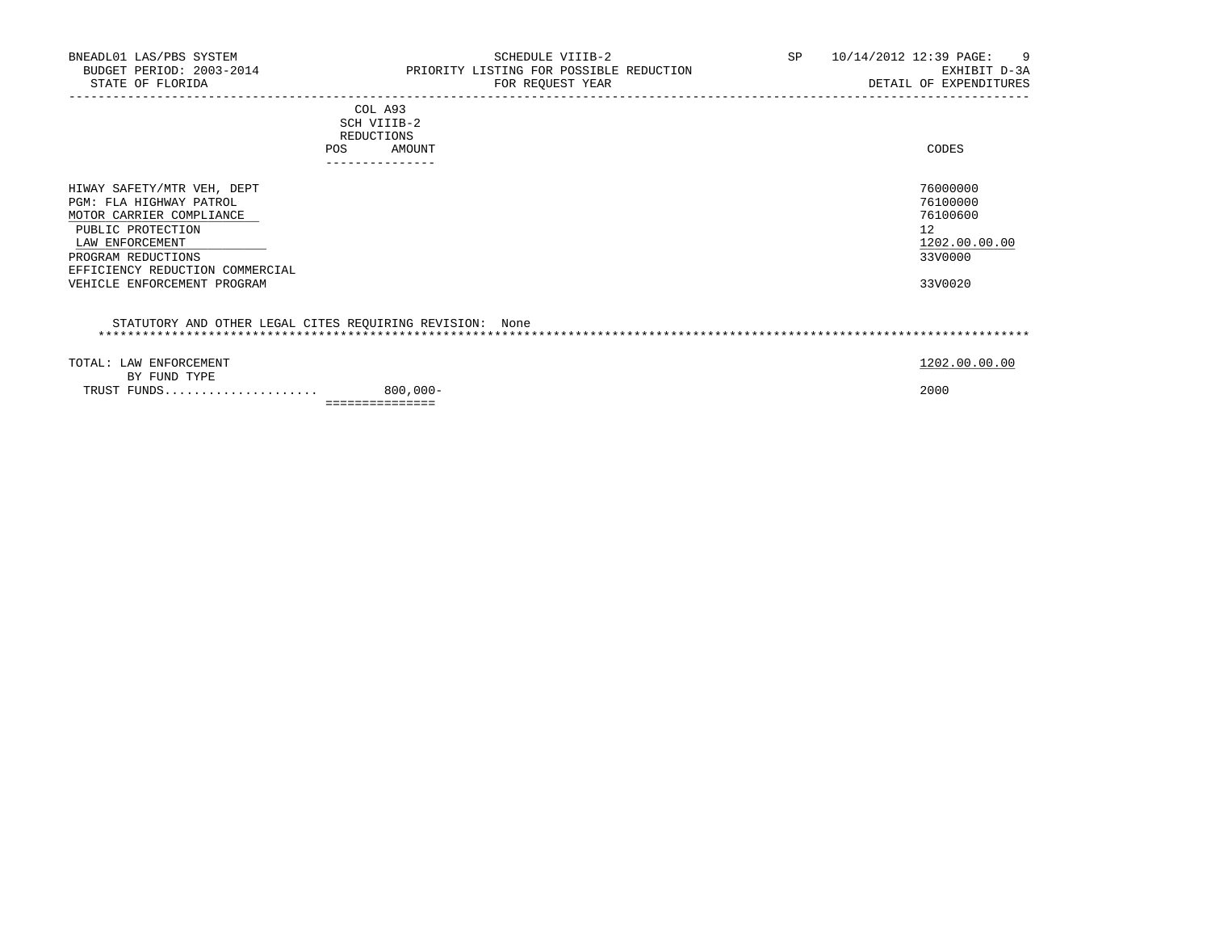| BNEADL01 LAS/PBS SYSTEM<br>STATE OF FLORIDA                                                                                                                                                                       | SCHEDULE VIIIB-2<br>BUDGET PERIOD: 2003-2014 PRIORITY LISTING FOR POSSIBLE REDUCTION<br>FOR REQUEST YEAR | SP 10/14/2012 12:39 PAGE: | - 9<br>EXHIBIT D-3A<br>DETAIL OF EXPENDITURES                                 |
|-------------------------------------------------------------------------------------------------------------------------------------------------------------------------------------------------------------------|----------------------------------------------------------------------------------------------------------|---------------------------|-------------------------------------------------------------------------------|
|                                                                                                                                                                                                                   | COL A93<br>SCH VIIIB-2<br>REDUCTIONS<br>AMOUNT<br>POS.                                                   |                           | CODES                                                                         |
| HIWAY SAFETY/MTR VEH, DEPT<br>PGM: FLA HIGHWAY PATROL<br>MOTOR CARRIER COMPLIANCE<br>PUBLIC PROTECTION<br>LAW ENFORCEMENT<br>PROGRAM REDUCTIONS<br>EFFICIENCY REDUCTION COMMERCIAL<br>VEHICLE ENFORCEMENT PROGRAM |                                                                                                          |                           | 76000000<br>76100000<br>76100600<br>12<br>1202.00.00.00<br>33V0000<br>33V0020 |
|                                                                                                                                                                                                                   | STATUTORY AND OTHER LEGAL CITES REQUIRING REVISION: None                                                 |                           |                                                                               |
| TOTAL: LAW ENFORCEMENT<br>BY FUND TYPE                                                                                                                                                                            |                                                                                                          |                           | 1202.00.00.00                                                                 |

 TRUST FUNDS..................... 800,000- 2000 ===============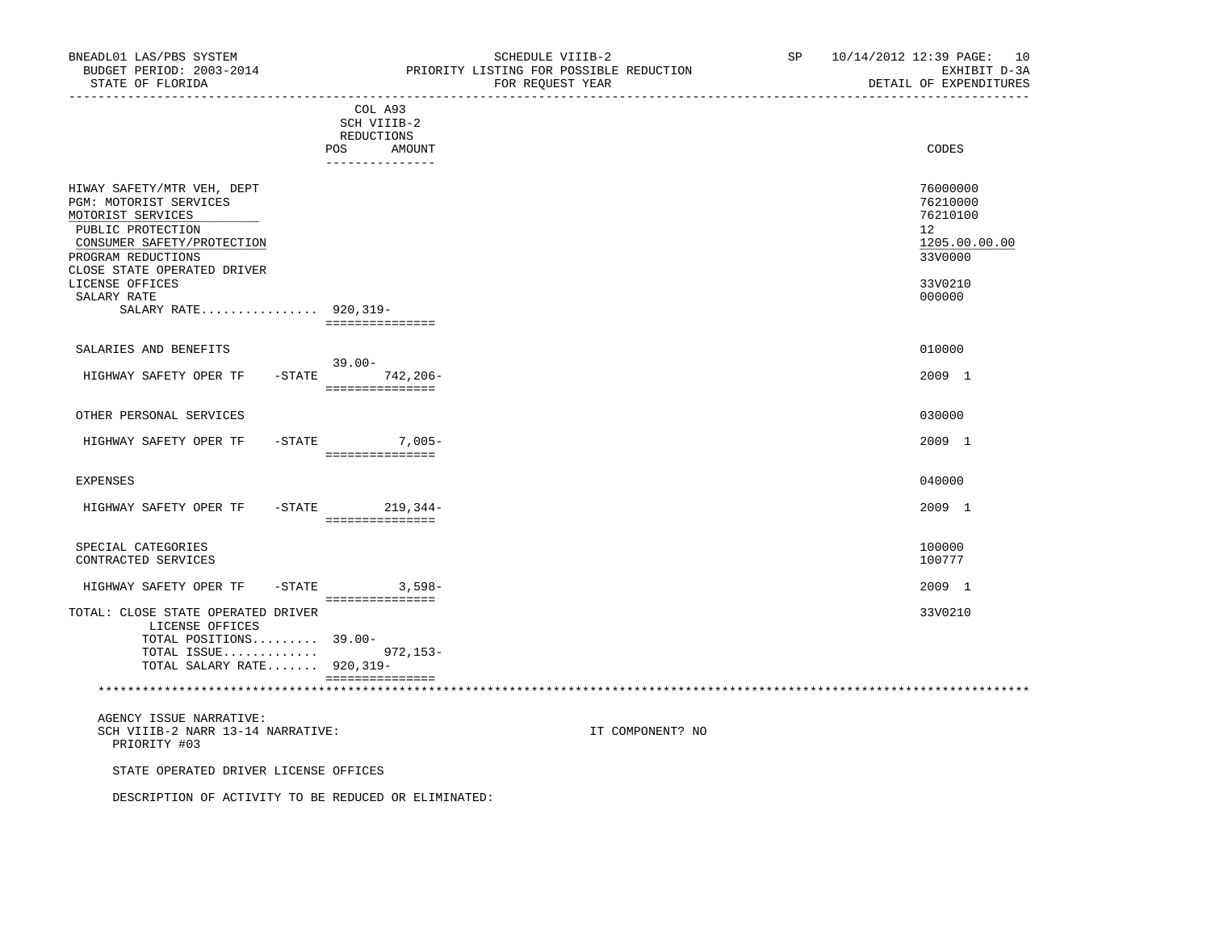| STATE OF FLORIDA                                                                                                                                   | FOR REQUEST YEAR | DETAIT OF EXPENDITURES                                             |
|----------------------------------------------------------------------------------------------------------------------------------------------------|------------------|--------------------------------------------------------------------|
| COL A93<br>SCH VIIIB-2<br>REDUCTIONS<br>POS                                                                                                        | AMOUNT           | CODES                                                              |
| --------------                                                                                                                                     |                  |                                                                    |
| HIWAY SAFETY/MTR VEH, DEPT<br>PGM: MOTORIST SERVICES<br>MOTORIST SERVICES<br>PUBLIC PROTECTION<br>CONSUMER SAFETY/PROTECTION<br>PROGRAM REDUCTIONS |                  | 76000000<br>76210000<br>76210100<br>12<br>1205.00.00.00<br>33V0000 |
| CLOSE STATE OPERATED DRIVER<br>LICENSE OFFICES<br>SALARY RATE<br>SALARY RATE 920,319-<br>===============                                           |                  | 33V0210<br>000000                                                  |
| SALARIES AND BENEFITS<br>$39.00 -$                                                                                                                 |                  | 010000                                                             |
| HIGHWAY SAFETY OPER TF<br>$-STATE$<br>===============                                                                                              | $742.206 -$      | 2009 1                                                             |
| OTHER PERSONAL SERVICES                                                                                                                            |                  | 030000                                                             |
| HIGHWAY SAFETY OPER TF<br>$-$ STATE<br>================                                                                                            | $7,005-$         | 2009 1                                                             |
| EXPENSES                                                                                                                                           |                  | 040000                                                             |
| HIGHWAY SAFETY OPER TF<br>$-$ STATE<br>===============                                                                                             | $219,344-$       | 2009 1                                                             |
| SPECIAL CATEGORIES                                                                                                                                 |                  | 100000                                                             |

CONTRACTED SERVICES 100777

| HIGHWAY SAFETY OPER TF - STATE     | $3.598 -$ | 2009 1  |
|------------------------------------|-----------|---------|
|                                    |           |         |
| TOTAL: CLOSE STATE OPERATED DRIVER |           | 33V0210 |
| LICENSE OFFICES                    |           |         |
| TOTAL POSITIONS $39.00-$           |           |         |
| TOTAL ISSUE 972,153-               |           |         |
| TOTAL SALARY RATE $920,319-$       |           |         |
|                                    |           |         |

\*\*\*\*\*\*\*\*\*\*\*\*\*\*\*\*\*\*\*\*\*\*\*\*\*\*\*\*\*\*\*\*\*\*\*\*\*\*\*\*\*\*\*\*\*\*\*\*\*\*\*\*\*\*\*\*\*\*\*\*\*\*\*\*\*\*\*\*\*\*\*\*\*\*\*\*\*\*\*\*\*\*\*\*\*\*\*\*\*\*\*\*\*\*\*\*\*\*\*\*\*\*\*\*\*\*\*\*\*\*\*\*\*\*\*\*\*\*\*\*\*\*\*\*\*\*\*

 AGENCY ISSUE NARRATIVE: SCH VIIIB-2 NARR 13-14 NARRATIVE: IT COMPONENT? NO PRIORITY #03

STATE OPERATED DRIVER LICENSE OFFICES

DESCRIPTION OF ACTIVITY TO BE REDUCED OR ELIMINATED: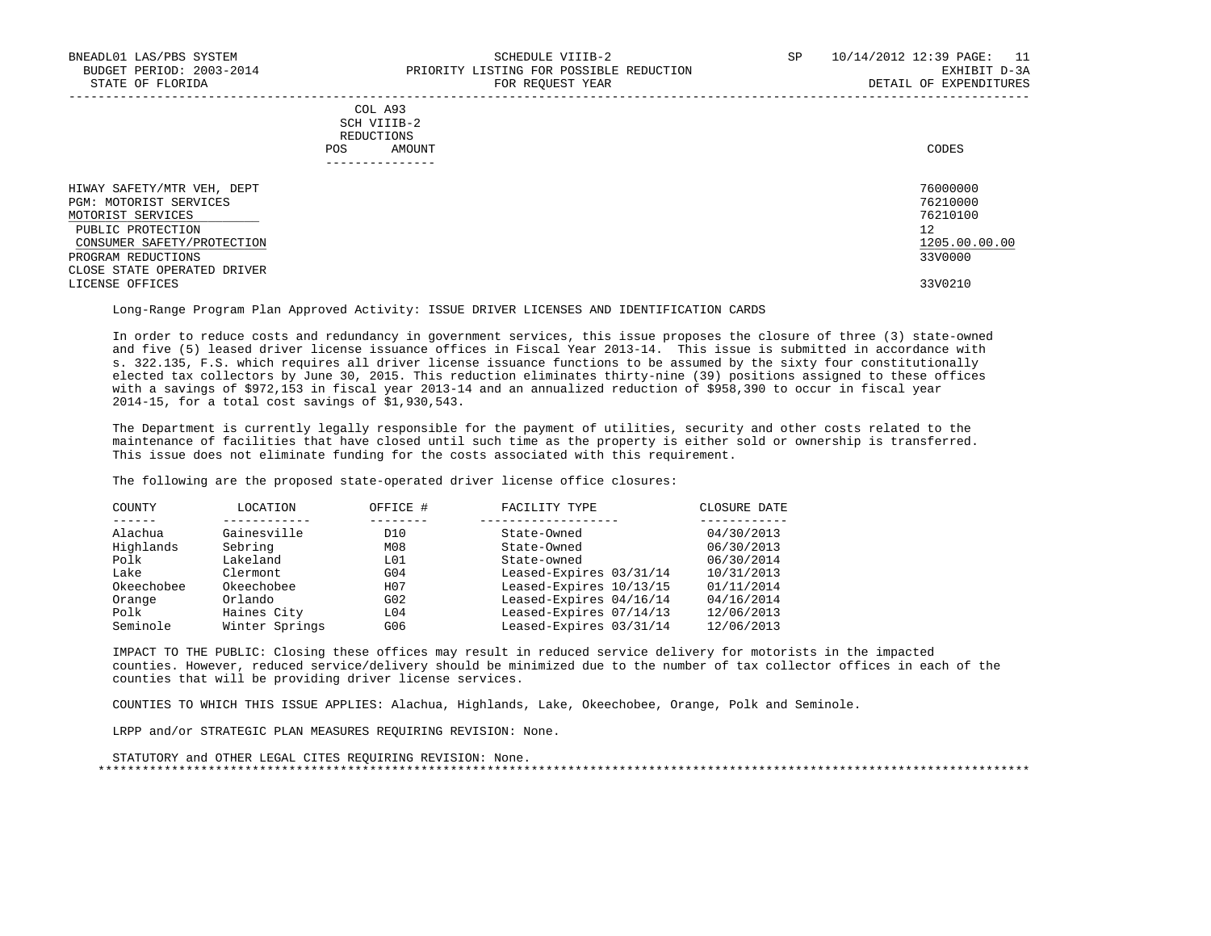## COL A93 SCH VIIIB-2 REDUCTIONS POS AMOUNT CODES AND A LOCAL AND LOCAL AND LOCAL AND LOCAL AND LOCAL AND LOCAL AND LOCAL AND LOCAL AND LOCAL AND LOCAL AND LOCAL AND LOCAL AND LOCAL AND LOCAL AND LOCAL AND LOCAL AND LOCAL AND LOCAL AND LOCAL AND LOCAL AND ---------------

| HIWAY SAFETY/MTR VEH, DEPT  | 76000000      |
|-----------------------------|---------------|
| PGM: MOTORIST SERVICES      | 76210000      |
| MOTORIST SERVICES           | 76210100      |
| PUBLIC PROTECTION           | 12            |
| CONSUMER SAFETY/PROTECTION  | 1205.00.00.00 |
| PROGRAM REDUCTIONS          | 33V0000       |
| CLOSE STATE OPERATED DRIVER |               |
| LICENSE OFFICES             | 33V0210       |
|                             |               |

-----------------------------------------------------------------------------------------------------------------------------------

Long-Range Program Plan Approved Activity: ISSUE DRIVER LICENSES AND IDENTIFICATION CARDS

 In order to reduce costs and redundancy in government services, this issue proposes the closure of three (3) state-owned and five (5) leased driver license issuance offices in Fiscal Year 2013-14. This issue is submitted in accordance with s. 322.135, F.S. which requires all driver license issuance functions to be assumed by the sixty four constitutionally elected tax collectors by June 30, 2015. This reduction eliminates thirty-nine (39) positions assigned to these offices with a savings of \$972,153 in fiscal year 2013-14 and an annualized reduction of \$958,390 to occur in fiscal year 2014-15, for a total cost savings of \$1,930,543.

 The Department is currently legally responsible for the payment of utilities, security and other costs related to the maintenance of facilities that have closed until such time as the property is either sold or ownership is transferred. This issue does not eliminate funding for the costs associated with this requirement.

The following are the proposed state-operated driver license office closures:

| COUNTY     | LOCATION       | OFFICE #         | FACILITY TYPE           | CLOSURE DATE |
|------------|----------------|------------------|-------------------------|--------------|
|            |                |                  |                         |              |
| Alachua    | Gainesville    | D10              | State-Owned             | 04/30/2013   |
| Highlands  | Sebring        | M08              | State-Owned             | 06/30/2013   |
| Polk       | Lakeland       | L01              | State-owned             | 06/30/2014   |
| Lake       | Clermont       | G <sub>04</sub>  | Leased-Expires 03/31/14 | 10/31/2013   |
| Okeechobee | Okeechobee     | H <sub>0</sub> 7 | Leased-Expires 10/13/15 | 01/11/2014   |
| Orange     | Orlando        | G02              | Leased-Expires 04/16/14 | 04/16/2014   |
| Polk       | Haines City    | L04              | Leased-Expires 07/14/13 | 12/06/2013   |
| Seminole   | Winter Springs | G06              | Leased-Expires 03/31/14 | 12/06/2013   |

 IMPACT TO THE PUBLIC: Closing these offices may result in reduced service delivery for motorists in the impacted counties. However, reduced service/delivery should be minimized due to the number of tax collector offices in each of the counties that will be providing driver license services.

COUNTIES TO WHICH THIS ISSUE APPLIES: Alachua, Highlands, Lake, Okeechobee, Orange, Polk and Seminole.

LRPP and/or STRATEGIC PLAN MEASURES REQUIRING REVISION: None.

```
 STATUTORY and OTHER LEGAL CITES REQUIRING REVISION: None.
 *******************************************************************************************************************************
```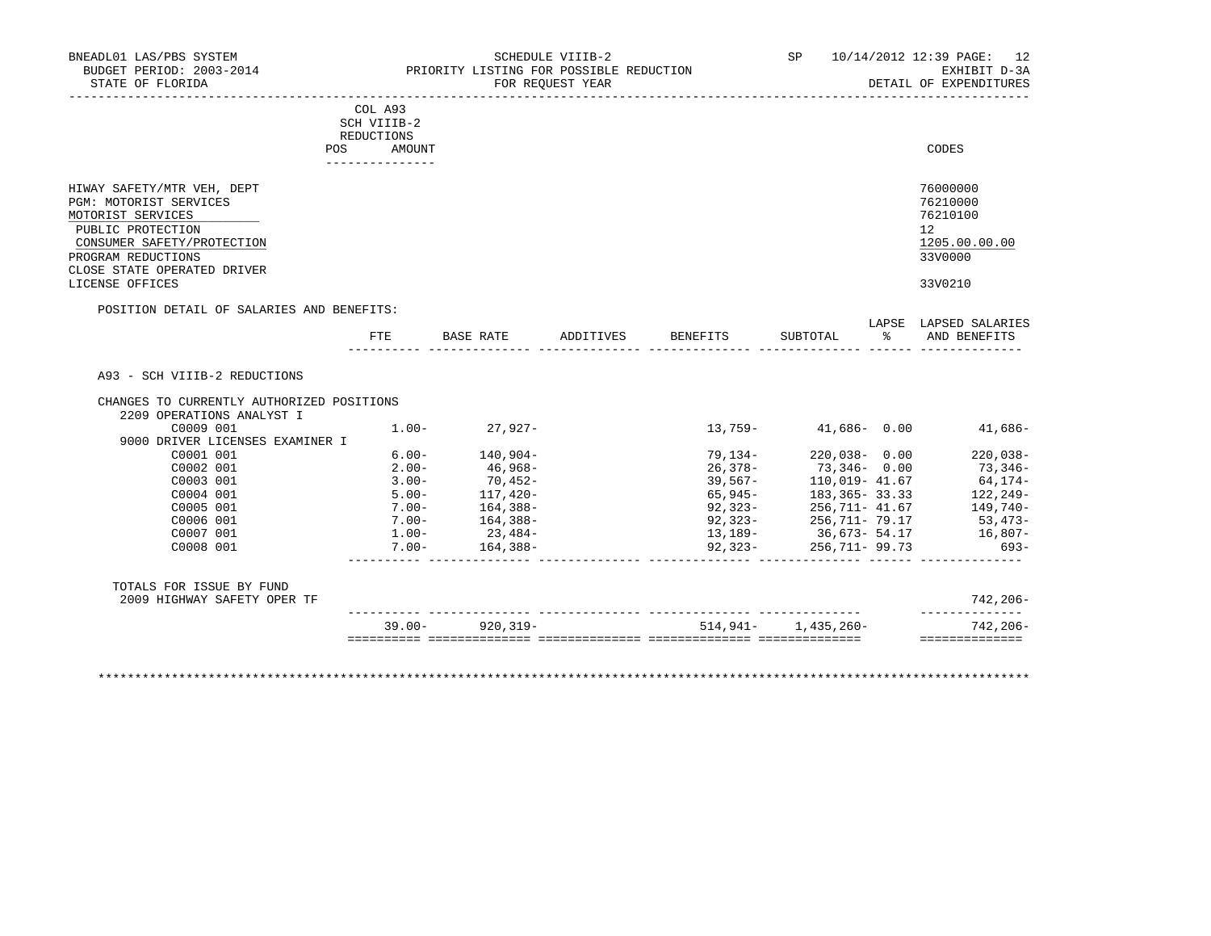| BNEADL01 LAS/PBS SYSTEM<br>BUDGET PERIOD: 2003-2014<br>STATE OF FLORIDA                        | SCHEDULE VIIIB-2<br>PRIORITY LISTING FOR POSSIBLE REDUCTION<br>FOR REQUEST YEAR | SP | 10/14/2012 12:39 PAGE: 12<br>EXHIBIT D-3A<br>DETAIL OF EXPENDITURES |
|------------------------------------------------------------------------------------------------|---------------------------------------------------------------------------------|----|---------------------------------------------------------------------|
|                                                                                                | COL A93<br>SCH VIIIB-2<br>REDUCTIONS<br>POS<br>AMOUNT                           |    | CODES                                                               |
| HIWAY SAFETY/MTR VEH, DEPT<br>PGM: MOTORIST SERVICES<br>MOTORIST SERVICES<br>PUBLIC PROTECTION |                                                                                 |    | 76000000<br>76210000<br>76210100<br>12                              |

 CONSUMER SAFETY/PROTECTION 1205.00.00.00 \_\_\_\_\_\_\_\_\_\_\_\_\_\_\_\_\_\_\_\_\_\_\_\_\_\_ \_\_\_\_\_\_\_\_\_\_\_\_\_ PROGRAM REDUCTIONS CLOSE STATE OPERATED DRIVER LICENSE OFFICES 33V0210

POSITION DETAIL OF SALARIES AND BENEFITS:

| CHANGES TO CURRENTLY AUTHORIZED POSITIONS<br>2209 OPERATIONS ANALYST I |                      |                       |          |                                                |                   |
|------------------------------------------------------------------------|----------------------|-----------------------|----------|------------------------------------------------|-------------------|
| C0009 001                                                              | $1.00 -$             | 27,927-               | 13,759-  | $41,686 - 0.00$                                | 41,686-           |
| 9000 DRIVER LICENSES EXAMINER I                                        |                      |                       |          |                                                |                   |
| C0001 001                                                              | $6.00 -$             | 140,904-              | 79,134-  | $220,038 - 0.00$                               | $220,038-$        |
| C0002 001                                                              | $2.00 -$             | 46,968-               |          | 26,378- 73,346- 0.00                           | $73,346-$         |
| C0003 001<br>C0004 001                                                 | $3.00 -$<br>$5.00 -$ | $70,452-$             | 39,567–  | 110,019- 41.67                                 | 64,174-           |
|                                                                        |                      | 117,420-              |          | 65,945 - 183,365 - 33.33                       | $122, 249-$       |
| C0005 001<br>C0006 001                                                 | $7.00 -$<br>$7.00 -$ | 164,388-              |          | $92,323 - 256,711 - 41.67$                     | 149,740-          |
| C0007 001                                                              |                      | 164,388-<br>$23,484-$ |          | 92,323-256,711-79.17<br>$13,189-$ 36,673-54.17 | 53,473-           |
| C0008 001                                                              | $1.00-$<br>7.00-     | 164,388-              |          | 92,323-256,711-99.73                           | 16,807-<br>$693-$ |
| TOTALS FOR ISSUE BY FUND                                               |                      |                       |          |                                                |                   |
| 2009 HIGHWAY SAFETY OPER TF                                            |                      |                       |          |                                                | 742,206-          |
|                                                                        | $39.00 -$            | 920,319-              | 514,941- | 1,435,260-                                     | $742, 206 -$      |

\*\*\*\*\*\*\*\*\*\*\*\*\*\*\*\*\*\*\*\*\*\*\*\*\*\*\*\*\*\*\*\*\*\*\*\*\*\*\*\*\*\*\*\*\*\*\*\*\*\*\*\*\*\*\*\*\*\*\*\*\*\*\*\*\*\*\*\*\*\*\*\*\*\*\*\*\*\*\*\*\*\*\*\*\*\*\*\*\*\*\*\*\*\*\*\*\*\*\*\*\*\*\*\*\*\*\*\*\*\*\*\*\*\*\*\*\*\*\*\*\*\*\*\*\*\*\*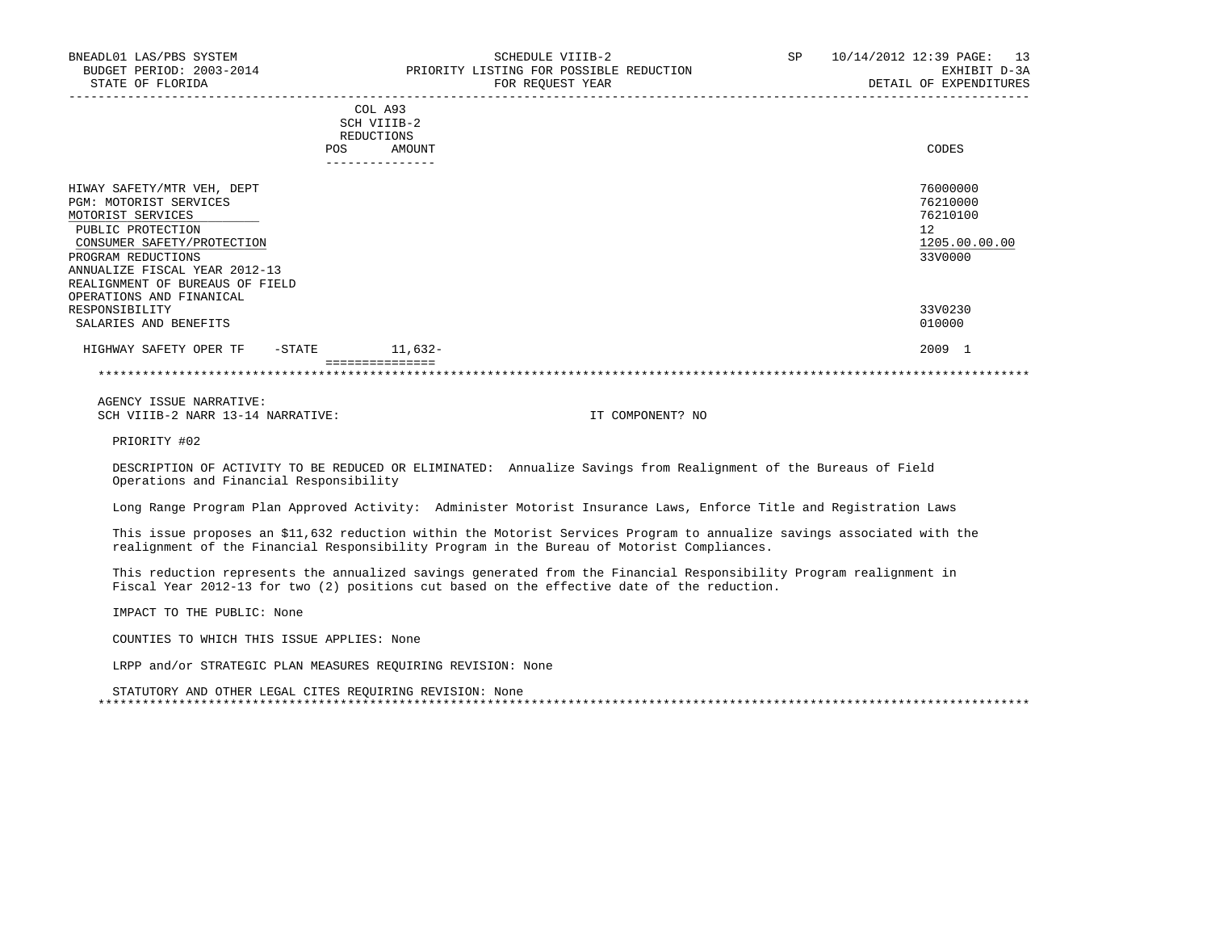|                                     | REDUCTIONS |           |               |
|-------------------------------------|------------|-----------|---------------|
|                                     | <b>POS</b> | AMOUNT    | CODES         |
|                                     |            |           |               |
| HIWAY SAFETY/MTR VEH, DEPT          |            |           | 76000000      |
| PGM: MOTORIST SERVICES              |            |           | 76210000      |
| MOTORIST SERVICES                   |            |           | 76210100      |
| PUBLIC PROTECTION                   |            |           | 12            |
|                                     |            |           |               |
| CONSUMER SAFETY/PROTECTION          |            |           | 1205.00.00.00 |
| PROGRAM REDUCTIONS                  |            |           | 33V0000       |
| ANNUALIZE FISCAL YEAR 2012-13       |            |           |               |
| REALIGNMENT OF BUREAUS OF FIELD     |            |           |               |
| OPERATIONS AND FINANICAL            |            |           |               |
| RESPONSIBILITY                      |            |           | 33V0230       |
| SALARIES AND BENEFITS               |            |           | 010000        |
| HIGHWAY SAFETY OPER TF<br>$-$ STATE |            | $11,632-$ | 2009 1        |
|                                     |            |           |               |
|                                     |            |           |               |

 AGENCY ISSUE NARRATIVE: SCH VIIIB-2 NARR 13-14 NARRATIVE: IT COMPONENT? NO

PRIORITY #02

 DESCRIPTION OF ACTIVITY TO BE REDUCED OR ELIMINATED: Annualize Savings from Realignment of the Bureaus of Field Operations and Financial Responsibility

Long Range Program Plan Approved Activity: Administer Motorist Insurance Laws, Enforce Title and Registration Laws

 This issue proposes an \$11,632 reduction within the Motorist Services Program to annualize savings associated with the realignment of the Financial Responsibility Program in the Bureau of Motorist Compliances.

 This reduction represents the annualized savings generated from the Financial Responsibility Program realignment in Fiscal Year 2012-13 for two (2) positions cut based on the effective date of the reduction.

IMPACT TO THE PUBLIC: None

COUNTIES TO WHICH THIS ISSUE APPLIES: None

LRPP and/or STRATEGIC PLAN MEASURES REQUIRING REVISION: None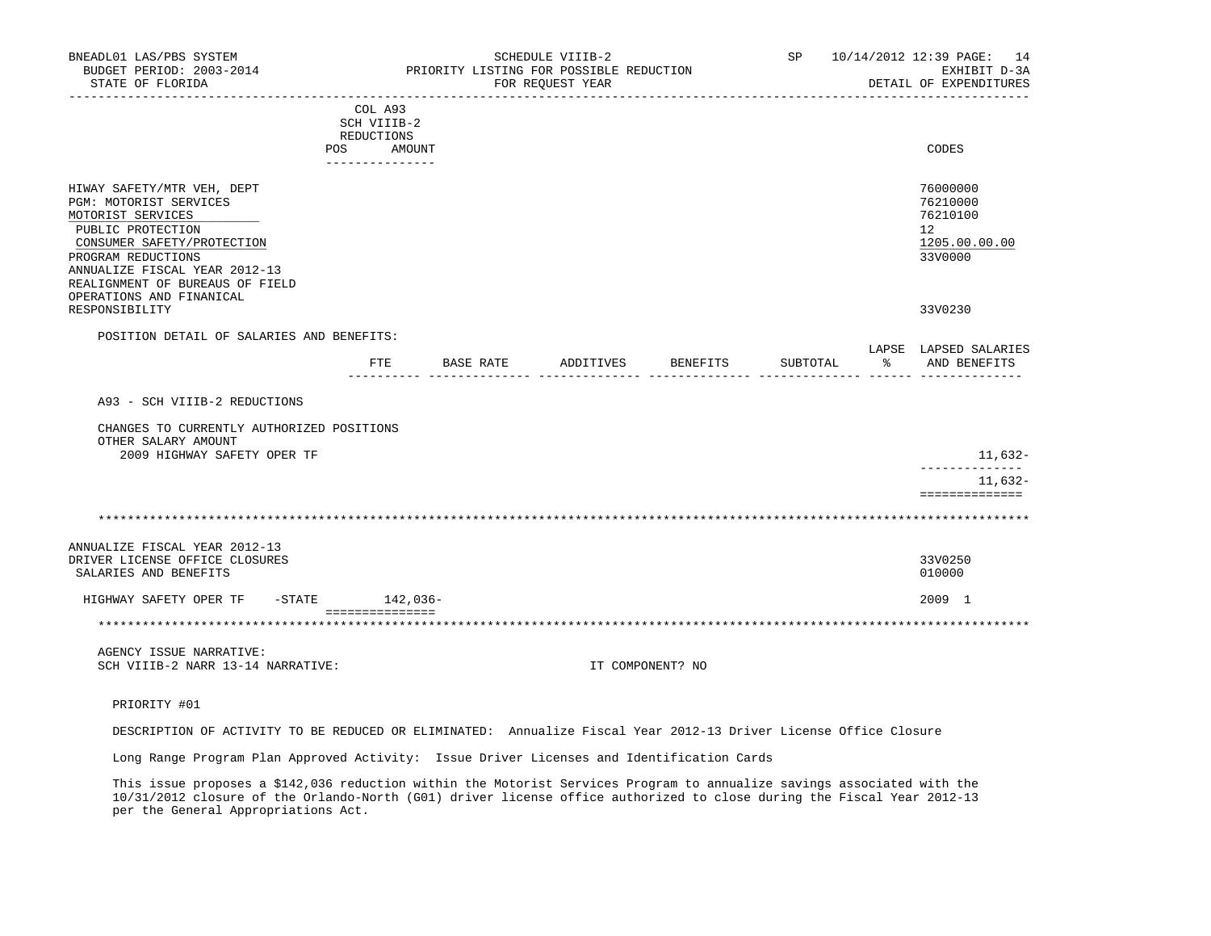| BNEADL01 LAS/PBS SYSTEM<br>BUDGET PERIOD: 2003-2014<br>STATE OF FLORIDA<br>--------------------                                                                                                                                                    | ---------------------------                                           | PRIORITY LISTING FOR POSSIBLE REDUCTION | SCHEDULE VIIIB-2<br>FOR REQUEST YEAR |                  |          | SP 10/14/2012 12:39 PAGE: 14<br>EXHIBIT D-3A<br>DETAIL OF EXPENDITURES |
|----------------------------------------------------------------------------------------------------------------------------------------------------------------------------------------------------------------------------------------------------|-----------------------------------------------------------------------|-----------------------------------------|--------------------------------------|------------------|----------|------------------------------------------------------------------------|
|                                                                                                                                                                                                                                                    | COL A93<br>SCH VIIIB-2<br>REDUCTIONS<br>POS AMOUNT<br>--------------- |                                         |                                      |                  |          | CODES                                                                  |
| HIWAY SAFETY/MTR VEH, DEPT<br>PGM: MOTORIST SERVICES<br>MOTORIST SERVICES<br>PUBLIC PROTECTION<br>CONSUMER SAFETY/PROTECTION<br>PROGRAM REDUCTIONS<br>ANNUALIZE FISCAL YEAR 2012-13<br>REALIGNMENT OF BUREAUS OF FIELD<br>OPERATIONS AND FINANICAL |                                                                       |                                         |                                      |                  |          | 76000000<br>76210000<br>76210100<br>12<br>1205.00.00.00<br>33V0000     |
| RESPONSIBILITY                                                                                                                                                                                                                                     |                                                                       |                                         |                                      |                  |          | 33V0230                                                                |
| POSITION DETAIL OF SALARIES AND BENEFITS:                                                                                                                                                                                                          | FTE                                                                   | BASE RATE                               | ADDITIVES                            | BENEFITS         | SUBTOTAL | LAPSE LAPSED SALARIES<br>% AND BENEFITS                                |
| A93 - SCH VIIIB-2 REDUCTIONS<br>CHANGES TO CURRENTLY AUTHORIZED POSITIONS<br>OTHER SALARY AMOUNT                                                                                                                                                   |                                                                       |                                         |                                      |                  |          |                                                                        |
| 2009 HIGHWAY SAFETY OPER TF                                                                                                                                                                                                                        |                                                                       |                                         |                                      |                  |          | 11,632-<br>______________                                              |
|                                                                                                                                                                                                                                                    |                                                                       |                                         |                                      |                  |          | 11,632-<br>==============                                              |
|                                                                                                                                                                                                                                                    |                                                                       |                                         |                                      |                  |          |                                                                        |
| ANNUALIZE FISCAL YEAR 2012-13<br>DRIVER LICENSE OFFICE CLOSURES<br>SALARIES AND BENEFITS                                                                                                                                                           |                                                                       |                                         |                                      |                  |          | 33V0250<br>010000                                                      |
| HIGHWAY SAFETY OPER TF - STATE                                                                                                                                                                                                                     | 142,036-                                                              |                                         |                                      |                  |          | 2009 1                                                                 |
| **********************************                                                                                                                                                                                                                 | ===============                                                       |                                         |                                      |                  |          |                                                                        |
| AGENCY ISSUE NARRATIVE:<br>SCH VIIIB-2 NARR 13-14 NARRATIVE:                                                                                                                                                                                       |                                                                       |                                         |                                      | IT COMPONENT? NO |          |                                                                        |
| PRIORITY #01                                                                                                                                                                                                                                       |                                                                       |                                         |                                      |                  |          |                                                                        |
| DESCRIPTION OF ACTIVITY TO BE REDUCED OR ELIMINATED: Annualize Fiscal Year 2012-13 Driver License Office Closure                                                                                                                                   |                                                                       |                                         |                                      |                  |          |                                                                        |
| Long Range Program Plan Approved Activity: Issue Driver Licenses and Identification Cards                                                                                                                                                          |                                                                       |                                         |                                      |                  |          |                                                                        |
| This issue proposes a \$142.036 reduction within the Motorist Services Program to annualize savings associated with the                                                                                                                            |                                                                       |                                         |                                      |                  |          |                                                                        |

 This issue proposes a \$142,036 reduction within the Motorist Services Program to annualize savings associated with the 10/31/2012 closure of the Orlando-North (G01) driver license office authorized to close during the Fiscal Year 2012-13 per the General Appropriations Act.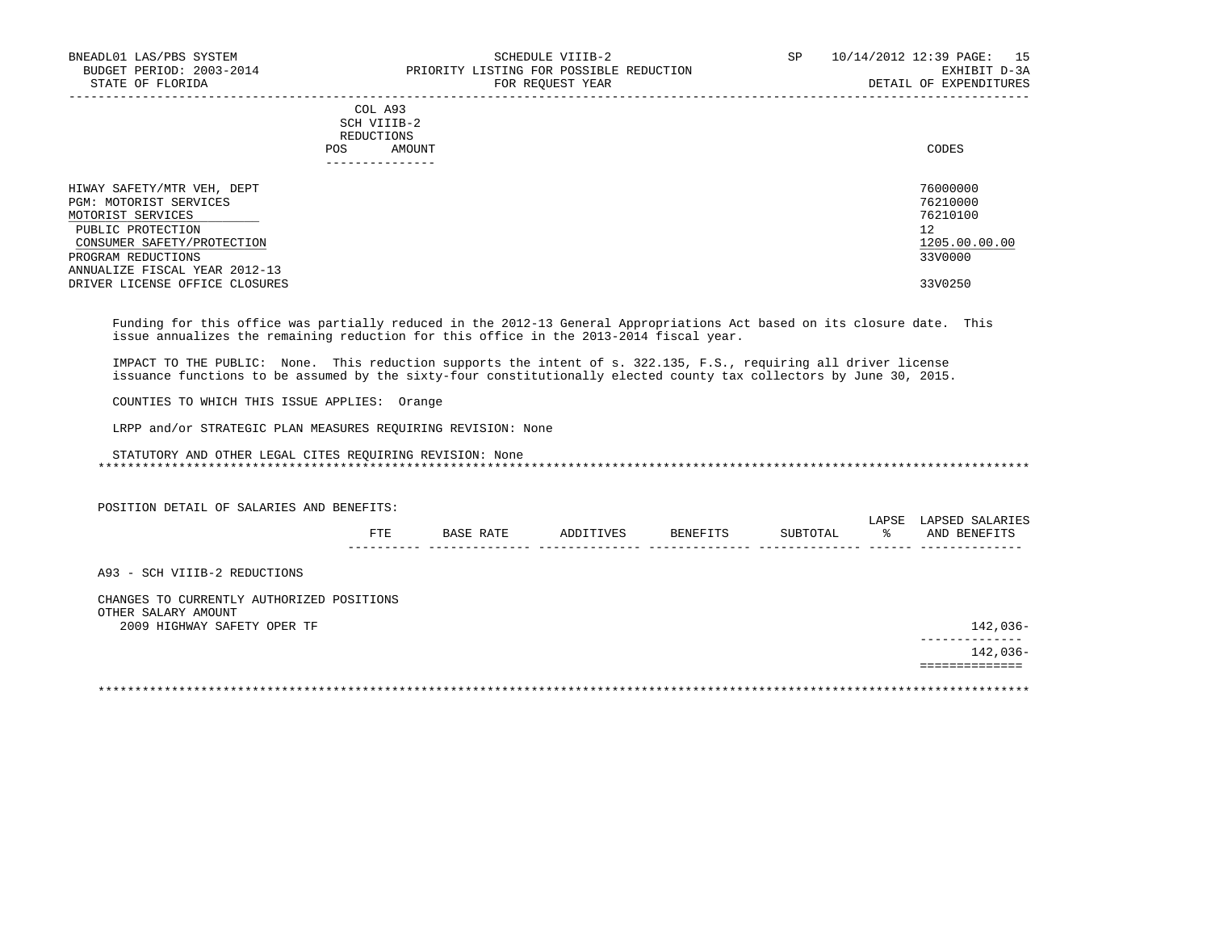|     | --------------- |       |
|-----|-----------------|-------|
| POS | AMOUNT          | CODES |
|     | REDUCTIONS      |       |
|     | SCH VIIIB-2     |       |
|     | COL A93         |       |

| HIWAY SAFETY/MTR VEH, DEPT     | 76000000      |
|--------------------------------|---------------|
| PGM: MOTORIST SERVICES         | 76210000      |
| MOTORIST SERVICES              | 76210100      |
| PUBLIC PROTECTION              | 12            |
| CONSUMER SAFETY/PROTECTION     | 1205.00.00.00 |
| PROGRAM REDUCTIONS             | 33V0000       |
| ANNUALIZE FISCAL YEAR 2012-13  |               |
| DRIVER LICENSE OFFICE CLOSURES | 33V0250       |

 Funding for this office was partially reduced in the 2012-13 General Appropriations Act based on its closure date. This issue annualizes the remaining reduction for this office in the 2013-2014 fiscal year.

 IMPACT TO THE PUBLIC: None. This reduction supports the intent of s. 322.135, F.S., requiring all driver license issuance functions to be assumed by the sixty-four constitutionally elected county tax collectors by June 30, 2015.

COUNTIES TO WHICH THIS ISSUE APPLIES: Orange

LRPP and/or STRATEGIC PLAN MEASURES REQUIRING REVISION: None

|                                                    | FTE. | BASE RATE | ADDITIVES | <b>BENEFITS</b> | SUBTOTAL | LAPSE<br>ႜ | LAPSED SALARIES<br>AND BENEFITS |
|----------------------------------------------------|------|-----------|-----------|-----------------|----------|------------|---------------------------------|
|                                                    |      |           |           |                 |          |            |                                 |
| A93 - SCH VIIIB-2 REDUCTIONS                       |      |           |           |                 |          |            |                                 |
| CHANGES TO CURRENTLY AUTHORIZED POSITIONS          |      |           |           |                 |          |            |                                 |
| OTHER SALARY AMOUNT<br>2009 HIGHWAY SAFETY OPER TF |      |           |           |                 |          |            | 142,036-                        |
|                                                    |      |           |           |                 |          |            | $142,036-$                      |
|                                                    |      |           |           |                 |          |            |                                 |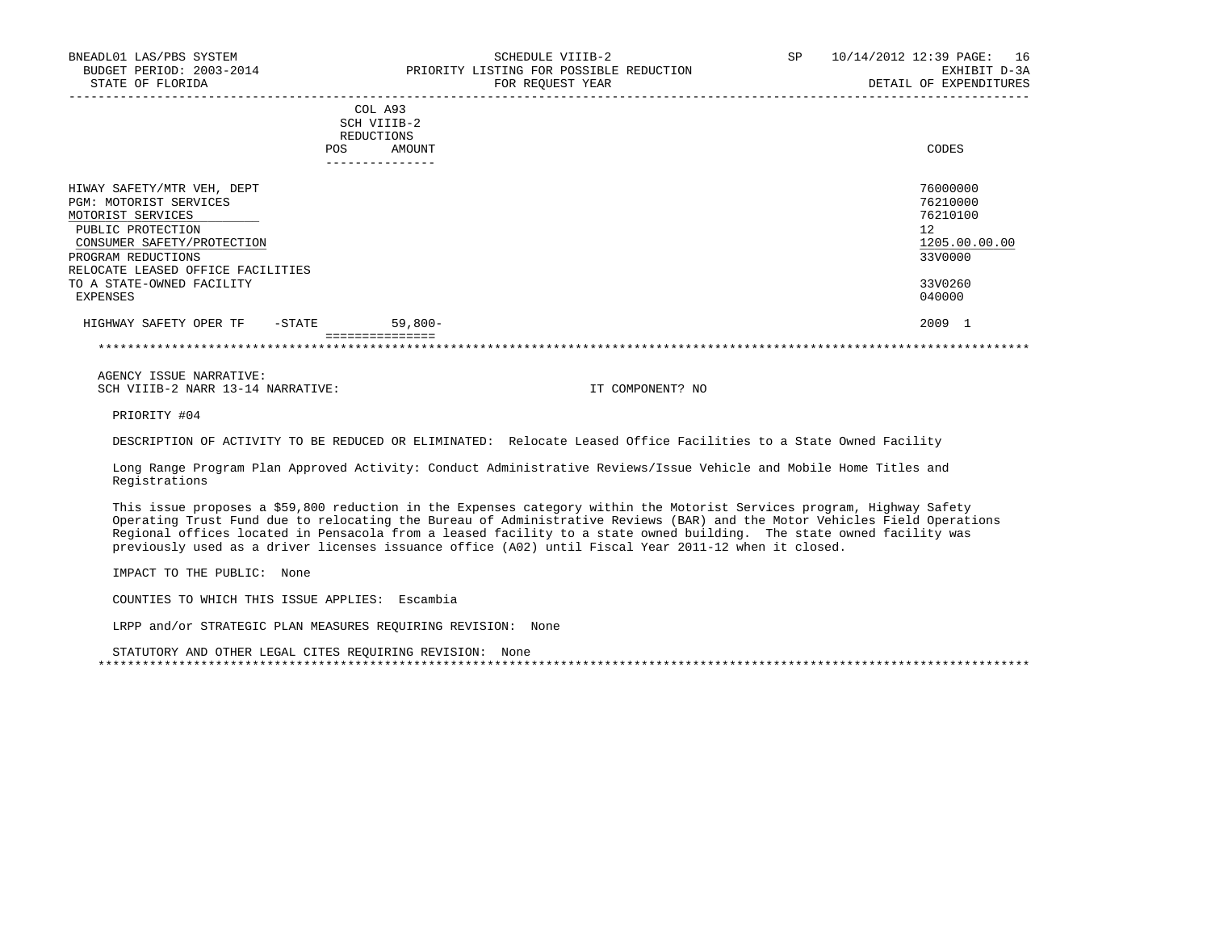|                                   | SCH VIIIB-2          |               |
|-----------------------------------|----------------------|---------------|
|                                   | REDUCTIONS           |               |
|                                   | AMOUNT<br><b>POS</b> | CODES         |
|                                   |                      |               |
| HIWAY SAFETY/MTR VEH, DEPT        |                      | 76000000      |
| PGM: MOTORIST SERVICES            |                      | 76210000      |
| MOTORIST SERVICES                 |                      | 76210100      |
| PUBLIC PROTECTION                 |                      | 12            |
| CONSUMER SAFETY/PROTECTION        |                      | 1205.00.00.00 |
| PROGRAM REDUCTIONS                |                      | 33V0000       |
| RELOCATE LEASED OFFICE FACILITIES |                      |               |
| TO A STATE-OWNED FACILITY         |                      | 33V0260       |
| EXPENSES                          |                      | 040000        |
| HIGHWAY SAFETY OPER TF<br>-STATE  | $59,800-$            | 2009          |
|                                   | ===============      |               |

\*\*\*\*\*\*\*\*\*\*\*\*\*\*\*\*\*\*\*\*\*\*\*\*\*\*\*\*\*\*\*\*\*\*\*\*\*\*\*\*\*\*\*\*\*\*\*\*\*\*\*\*\*\*\*\*\*\*\*\*\*\*\*\*\*\*\*\*\*\*\*\*\*\*\*\*\*\*\*\*\*\*\*\*\*\*\*\*\*\*\*\*\*\*\*\*\*\*\*\*\*\*\*\*\*\*\*\*\*\*\*\*\*\*\*\*\*\*\*\*\*\*\*\*\*\*\*

 AGENCY ISSUE NARRATIVE: SCH VIIIB-2 NARR 13-14 NARRATIVE: IT COMPONENT? NO

PRIORITY #04

DESCRIPTION OF ACTIVITY TO BE REDUCED OR ELIMINATED: Relocate Leased Office Facilities to a State Owned Facility

 Long Range Program Plan Approved Activity: Conduct Administrative Reviews/Issue Vehicle and Mobile Home Titles and Registrations

 This issue proposes a \$59,800 reduction in the Expenses category within the Motorist Services program, Highway Safety Operating Trust Fund due to relocating the Bureau of Administrative Reviews (BAR) and the Motor Vehicles Field Operations Regional offices located in Pensacola from a leased facility to a state owned building. The state owned facility was previously used as a driver licenses issuance office (A02) until Fiscal Year 2011-12 when it closed.

IMPACT TO THE PUBLIC: None

COUNTIES TO WHICH THIS ISSUE APPLIES: Escambia

LRPP and/or STRATEGIC PLAN MEASURES REQUIRING REVISION: None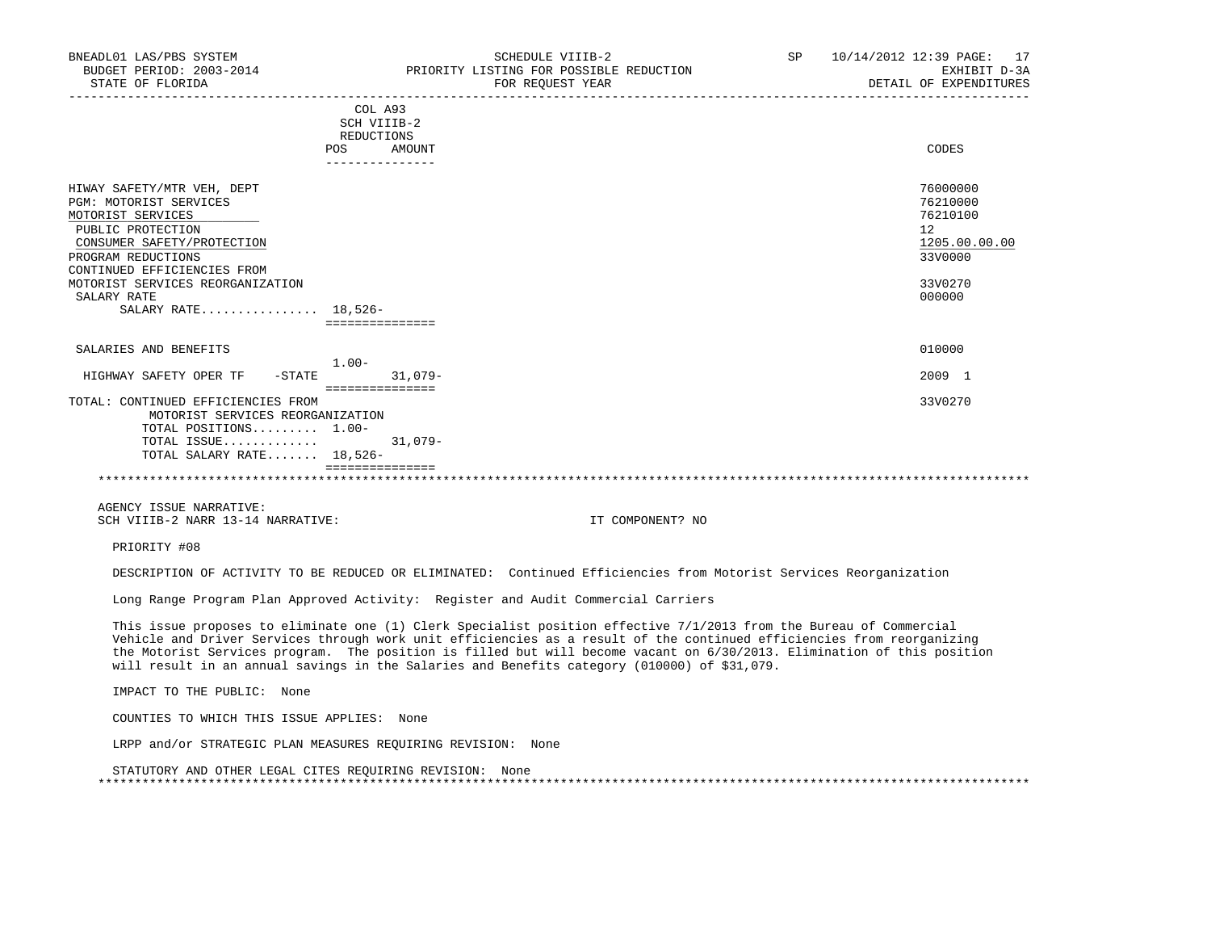|                                                                                                                                                                                                                                      | COL A93<br>SCH VIIIB-2<br>REDUCTIONS<br>AMOUNT<br>POS | CODES                                                                                   |
|--------------------------------------------------------------------------------------------------------------------------------------------------------------------------------------------------------------------------------------|-------------------------------------------------------|-----------------------------------------------------------------------------------------|
| HIWAY SAFETY/MTR VEH, DEPT<br>PGM: MOTORIST SERVICES<br>MOTORIST SERVICES<br>PUBLIC PROTECTION<br>CONSUMER SAFETY/PROTECTION<br>PROGRAM REDUCTIONS<br>CONTINUED EFFICIENCIES FROM<br>MOTORIST SERVICES REORGANIZATION<br>SALARY RATE | ---------------                                       | 76000000<br>76210000<br>76210100<br>12<br>1205.00.00.00<br>33V0000<br>33V0270<br>000000 |
| SALARY RATE 18,526-                                                                                                                                                                                                                  | ===============                                       |                                                                                         |
| SALARIES AND BENEFITS<br>HIGHWAY SAFETY OPER TF<br>$-$ STATE                                                                                                                                                                         | $1.00 -$<br>$31,079-$                                 | 010000<br>2009 1                                                                        |
| TOTAL: CONTINUED EFFICIENCIES FROM<br>MOTORIST SERVICES REORGANIZATION<br>TOTAL POSITIONS 1.00-<br>TOTAL ISSUE                                                                                                                       | ===============<br>$31,079-$                          | 33V0270                                                                                 |
| TOTAL SALARY RATE 18,526-                                                                                                                                                                                                            |                                                       |                                                                                         |

 AGENCY ISSUE NARRATIVE: SCH VIIIB-2 NARR 13-14 NARRATIVE: IT COMPONENT? NO

PRIORITY #08

DESCRIPTION OF ACTIVITY TO BE REDUCED OR ELIMINATED: Continued Efficiencies from Motorist Services Reorganization

Long Range Program Plan Approved Activity: Register and Audit Commercial Carriers

 This issue proposes to eliminate one (1) Clerk Specialist position effective 7/1/2013 from the Bureau of Commercial Vehicle and Driver Services through work unit efficiencies as a result of the continued efficiencies from reorganizing the Motorist Services program. The position is filled but will become vacant on 6/30/2013. Elimination of this position will result in an annual savings in the Salaries and Benefits category (010000) of \$31,079.

IMPACT TO THE PUBLIC: None

COUNTIES TO WHICH THIS ISSUE APPLIES: None

LRPP and/or STRATEGIC PLAN MEASURES REQUIRING REVISION: None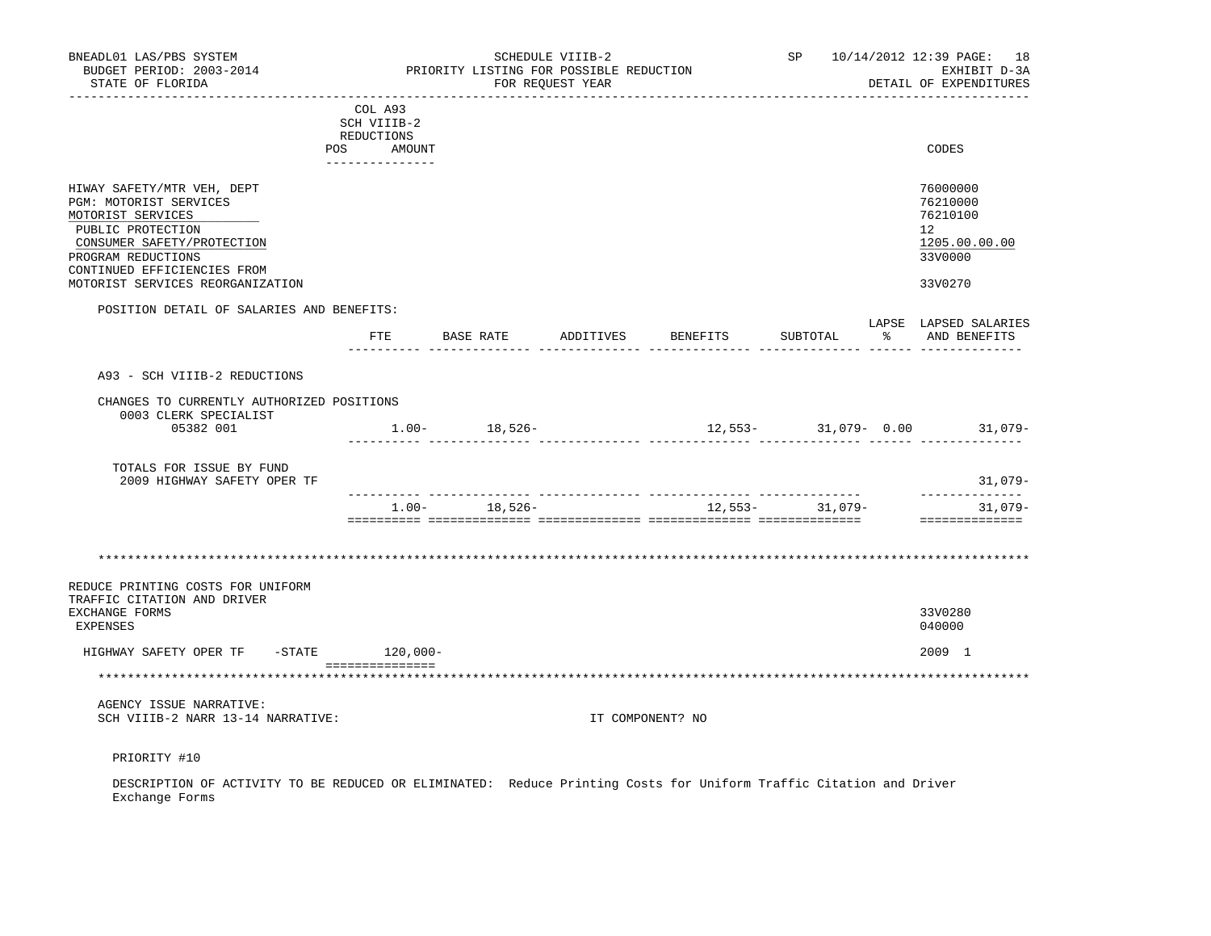| BNEADL01 LAS/PBS SYSTEM<br>BUDGET PERIOD: 2003-2014<br>STATE OF FLORIDA                                                                                                                                               |                                                    |                   | SCHEDULE VIIIB-2<br>PRIORITY LISTING FOR POSSIBLE REDUCTION<br>FOR REQUEST YEAR |                              |                  | SP 10/14/2012 12:39 PAGE: 18<br>EXHIBIT D-3A<br>DETAIL OF EXPENDITURES                     |
|-----------------------------------------------------------------------------------------------------------------------------------------------------------------------------------------------------------------------|----------------------------------------------------|-------------------|---------------------------------------------------------------------------------|------------------------------|------------------|--------------------------------------------------------------------------------------------|
|                                                                                                                                                                                                                       | COL A93<br>SCH VIIIB-2<br>REDUCTIONS<br>POS AMOUNT |                   |                                                                                 |                              |                  | CODES                                                                                      |
| HIWAY SAFETY/MTR VEH, DEPT<br>PGM: MOTORIST SERVICES<br>MOTORIST SERVICES<br>PUBLIC PROTECTION<br>CONSUMER SAFETY/PROTECTION<br>PROGRAM REDUCTIONS<br>CONTINUED EFFICIENCIES FROM<br>MOTORIST SERVICES REORGANIZATION | ---------------                                    |                   |                                                                                 |                              |                  | 76000000<br>76210000<br>76210100<br>12 <sup>°</sup><br>1205.00.00.00<br>33V0000<br>33V0270 |
| POSITION DETAIL OF SALARIES AND BENEFITS:                                                                                                                                                                             |                                                    |                   |                                                                                 |                              |                  | LAPSE LAPSED SALARIES                                                                      |
|                                                                                                                                                                                                                       | ETE                                                |                   |                                                                                 | BASE RATE ADDITIVES BENEFITS | SUBTOTAL         | % AND BENEFITS<br><u> ------ ------ ------------</u>                                       |
| A93 - SCH VIIIB-2 REDUCTIONS                                                                                                                                                                                          |                                                    |                   |                                                                                 |                              |                  |                                                                                            |
| CHANGES TO CURRENTLY AUTHORIZED POSITIONS<br>0003 CLERK SPECIALIST<br>05382 001                                                                                                                                       | $1.00 - 18,526 -$                                  |                   |                                                                                 |                              |                  | $12,553-31,079-0.00$ 31,079-                                                               |
|                                                                                                                                                                                                                       |                                                    |                   |                                                                                 |                              |                  |                                                                                            |
| TOTALS FOR ISSUE BY FUND<br>2009 HIGHWAY SAFETY OPER TF                                                                                                                                                               |                                                    |                   |                                                                                 |                              |                  | 31,079–                                                                                    |
|                                                                                                                                                                                                                       |                                                    | $1.00 - 18,526 -$ |                                                                                 |                              | $12,553 31,079-$ | --------------<br>31,079-<br>==============                                                |
| REDUCE PRINTING COSTS FOR UNIFORM                                                                                                                                                                                     |                                                    |                   |                                                                                 |                              |                  |                                                                                            |
| TRAFFIC CITATION AND DRIVER<br>EXCHANGE FORMS<br><b>EXPENSES</b>                                                                                                                                                      |                                                    |                   |                                                                                 |                              |                  | 33V0280<br>040000                                                                          |
| HIGHWAY SAFETY OPER TF                                                                                                                                                                                                | $-$ STATE $120,000-$                               |                   |                                                                                 |                              |                  | 2009 1                                                                                     |
| *********************************                                                                                                                                                                                     | ____________________                               |                   |                                                                                 |                              |                  |                                                                                            |
| AGENCY ISSUE NARRATIVE:<br>SCH VIIIB-2 NARR 13-14 NARRATIVE:                                                                                                                                                          |                                                    |                   | IT COMPONENT? NO                                                                |                              |                  |                                                                                            |
| PRIORITY #10                                                                                                                                                                                                          |                                                    |                   |                                                                                 |                              |                  |                                                                                            |
| DECOPTEDTION OF LOTIVITY TO THE THEORY OF LIMINATED: Peduce Printing Costs for Uniform Traffic Citation and Driver                                                                                                    |                                                    |                   |                                                                                 |                              |                  |                                                                                            |

 DESCRIPTION OF ACTIVITY TO BE REDUCED OR ELIMINATED: Reduce Printing Costs for Uniform Traffic Citation and Driver Exchange Forms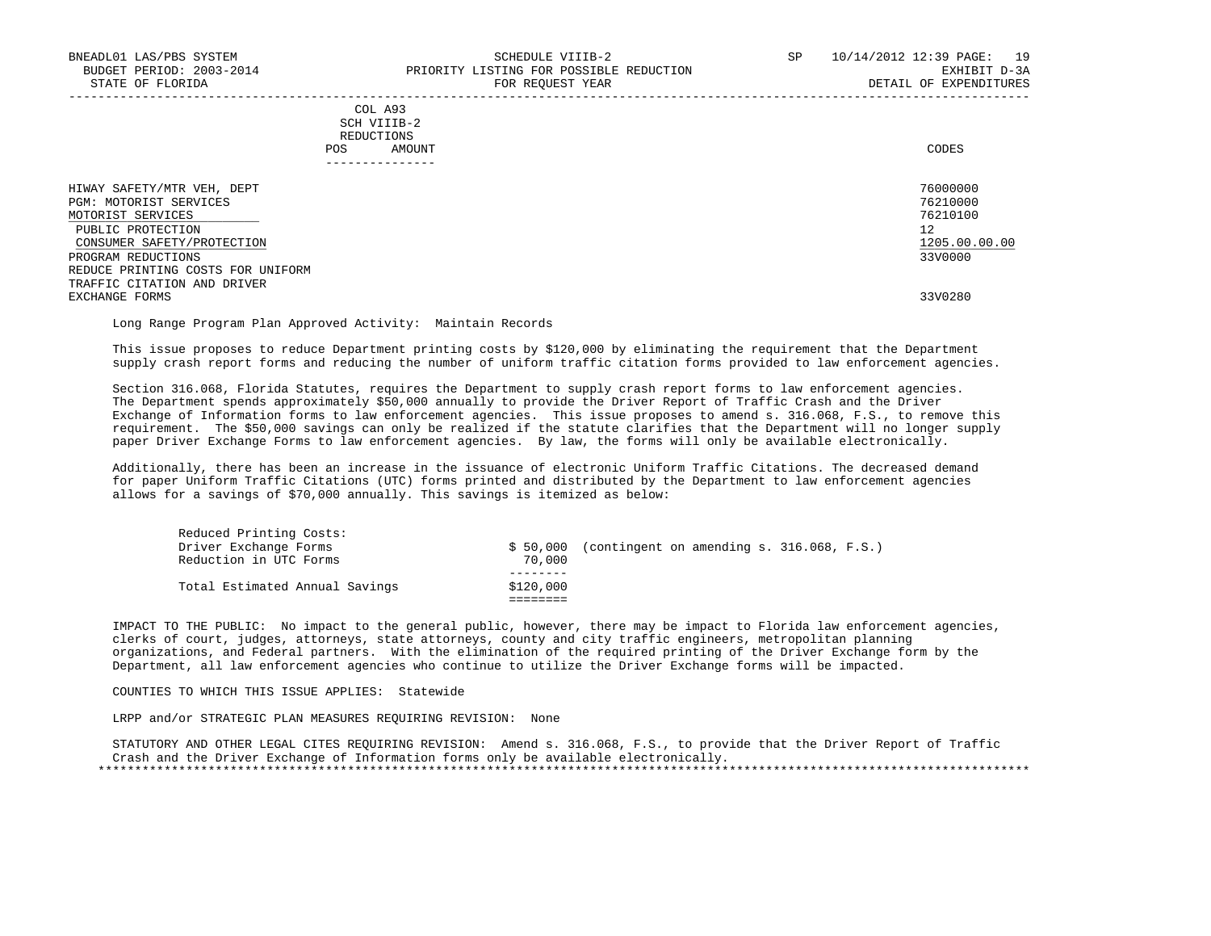## COL A93 SCH VIIIB-2 REDUCTIONS POS AMOUNT CODES ---------------

| HIWAY SAFETY/MTR VEH, DEPT        | 76000000      |
|-----------------------------------|---------------|
| PGM: MOTORIST SERVICES            | 76210000      |
| MOTORIST SERVICES                 | 76210100      |
| PUBLIC PROTECTION                 | 12            |
| CONSUMER SAFETY/PROTECTION        | 1205.00.00.00 |
| PROGRAM REDUCTIONS                | 33V0000       |
| REDUCE PRINTING COSTS FOR UNIFORM |               |
| TRAFFIC CITATION AND DRIVER       |               |
| EXCHANGE FORMS                    | 33V0280       |
|                                   |               |

Long Range Program Plan Approved Activity: Maintain Records

 This issue proposes to reduce Department printing costs by \$120,000 by eliminating the requirement that the Department supply crash report forms and reducing the number of uniform traffic citation forms provided to law enforcement agencies.

 Section 316.068, Florida Statutes, requires the Department to supply crash report forms to law enforcement agencies. The Department spends approximately \$50,000 annually to provide the Driver Report of Traffic Crash and the Driver Exchange of Information forms to law enforcement agencies. This issue proposes to amend s. 316.068, F.S., to remove this requirement. The \$50,000 savings can only be realized if the statute clarifies that the Department will no longer supply paper Driver Exchange Forms to law enforcement agencies. By law, the forms will only be available electronically.

 Additionally, there has been an increase in the issuance of electronic Uniform Traffic Citations. The decreased demand for paper Uniform Traffic Citations (UTC) forms printed and distributed by the Department to law enforcement agencies allows for a savings of \$70,000 annually. This savings is itemized as below:

| Total Estimated Annual Savings | \$120,000 |                                                     |
|--------------------------------|-----------|-----------------------------------------------------|
|                                |           |                                                     |
| Reduction in UTC Forms         | 70,000    |                                                     |
| Driver Exchange Forms          |           | $$50,000$ (contingent on amending s. 316.068, F.S.) |
| Reduced Printing Costs:        |           |                                                     |

 IMPACT TO THE PUBLIC: No impact to the general public, however, there may be impact to Florida law enforcement agencies, clerks of court, judges, attorneys, state attorneys, county and city traffic engineers, metropolitan planning organizations, and Federal partners. With the elimination of the required printing of the Driver Exchange form by the Department, all law enforcement agencies who continue to utilize the Driver Exchange forms will be impacted.

## COUNTIES TO WHICH THIS ISSUE APPLIES: Statewide

LRPP and/or STRATEGIC PLAN MEASURES REQUIRING REVISION: None

 STATUTORY AND OTHER LEGAL CITES REQUIRING REVISION: Amend s. 316.068, F.S., to provide that the Driver Report of Traffic Crash and the Driver Exchange of Information forms only be available electronically. \*\*\*\*\*\*\*\*\*\*\*\*\*\*\*\*\*\*\*\*\*\*\*\*\*\*\*\*\*\*\*\*\*\*\*\*\*\*\*\*\*\*\*\*\*\*\*\*\*\*\*\*\*\*\*\*\*\*\*\*\*\*\*\*\*\*\*\*\*\*\*\*\*\*\*\*\*\*\*\*\*\*\*\*\*\*\*\*\*\*\*\*\*\*\*\*\*\*\*\*\*\*\*\*\*\*\*\*\*\*\*\*\*\*\*\*\*\*\*\*\*\*\*\*\*\*\*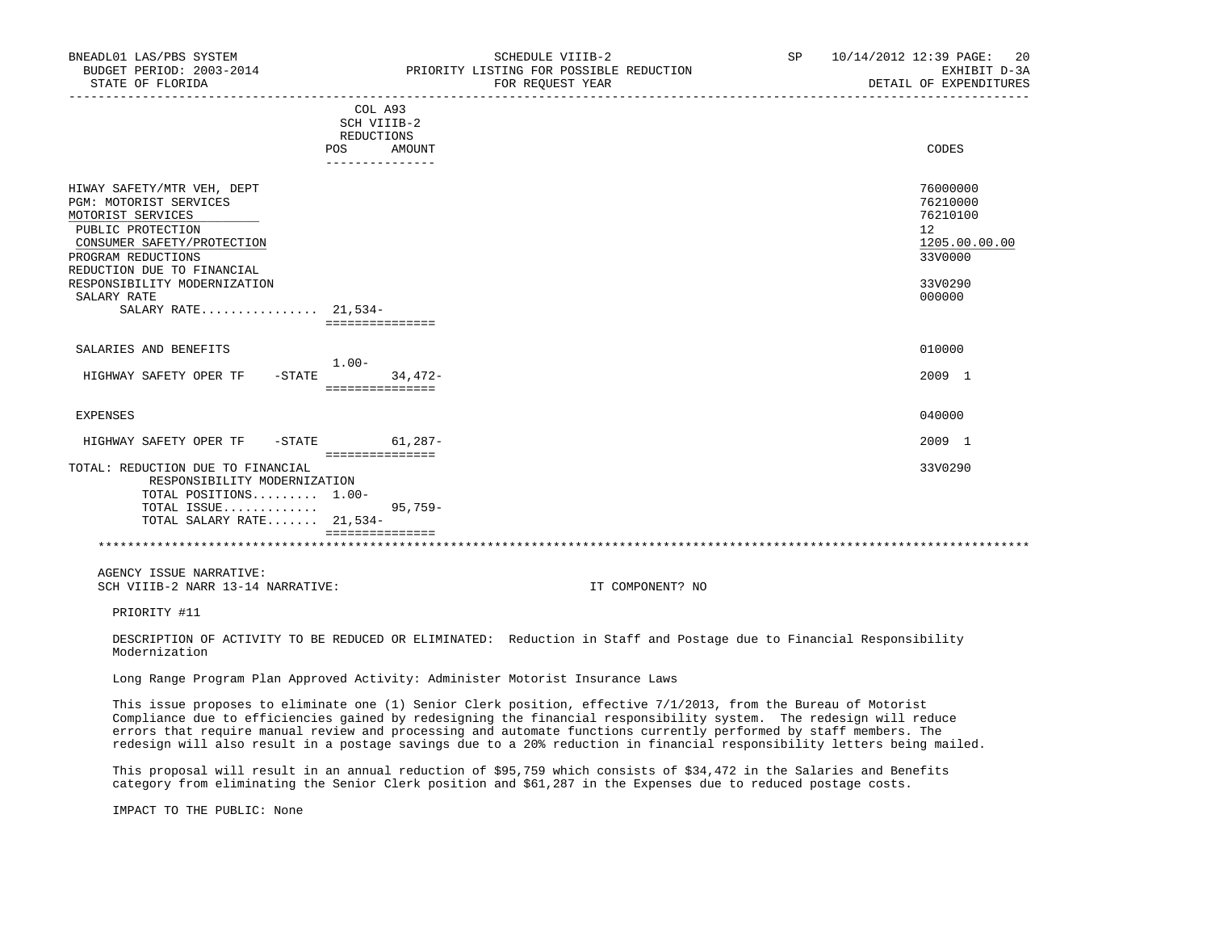| BNEADL01 LAS/PBS SYSTEM<br>BUDGET PERIOD: 2003-2014<br>STATE OF FLORIDA                                                                                                          |                                                       | SCHEDULE VIIIB-2<br>PRIORITY LISTING FOR POSSIBLE REDUCTION<br>FOR REQUEST YEAR | SP 10/14/2012 12:39 PAGE: 20<br>EXHIBIT D-3A<br>DETAIL OF EXPENDITURES          |
|----------------------------------------------------------------------------------------------------------------------------------------------------------------------------------|-------------------------------------------------------|---------------------------------------------------------------------------------|---------------------------------------------------------------------------------|
|                                                                                                                                                                                  | COL A93<br>SCH VIIIB-2<br>REDUCTIONS<br>POS<br>AMOUNT |                                                                                 | CODES                                                                           |
|                                                                                                                                                                                  | _______________                                       |                                                                                 |                                                                                 |
| HIWAY SAFETY/MTR VEH, DEPT<br>PGM: MOTORIST SERVICES<br>MOTORIST SERVICES<br>PUBLIC PROTECTION<br>CONSUMER SAFETY/PROTECTION<br>PROGRAM REDUCTIONS<br>REDUCTION DUE TO FINANCIAL |                                                       |                                                                                 | 76000000<br>76210000<br>76210100<br>12 <sup>°</sup><br>1205.00.00.00<br>33V0000 |
| RESPONSIBILITY MODERNIZATION                                                                                                                                                     |                                                       |                                                                                 | 33V0290                                                                         |
| SALARY RATE<br>SALARY RATE 21,534-                                                                                                                                               | ===============                                       |                                                                                 | 000000                                                                          |
| SALARIES AND BENEFITS                                                                                                                                                            |                                                       |                                                                                 | 010000                                                                          |
| HIGHWAY SAFETY OPER TF - STATE                                                                                                                                                   | $1.00-$<br>34,472-<br>===============                 |                                                                                 | $2009$ 1                                                                        |
| EXPENSES                                                                                                                                                                         |                                                       |                                                                                 | 040000                                                                          |
| HIGHWAY SAFETY OPER TF -STATE 61,287-                                                                                                                                            |                                                       |                                                                                 | $2009$ 1                                                                        |
| TOTAL: REDUCTION DUE TO FINANCIAL<br>RESPONSIBILITY MODERNIZATION<br>TOTAL POSITIONS 1.00-<br>TOTAL ISSUE                                                                        | ================<br>$95,759-$                         |                                                                                 | 33V0290                                                                         |
| TOTAL SALARY RATE 21,534-                                                                                                                                                        |                                                       |                                                                                 |                                                                                 |
|                                                                                                                                                                                  | ===============                                       |                                                                                 |                                                                                 |
| AGENCY ISSUE NARRATIVE:<br>SCH VIIIB-2 NARR 13-14 NARRATIVE:                                                                                                                     |                                                       | IT COMPONENT? NO                                                                |                                                                                 |
| PRIORITY #11                                                                                                                                                                     |                                                       |                                                                                 |                                                                                 |

 DESCRIPTION OF ACTIVITY TO BE REDUCED OR ELIMINATED: Reduction in Staff and Postage due to Financial Responsibility Modernization

Long Range Program Plan Approved Activity: Administer Motorist Insurance Laws

 This issue proposes to eliminate one (1) Senior Clerk position, effective 7/1/2013, from the Bureau of Motorist Compliance due to efficiencies gained by redesigning the financial responsibility system. The redesign will reduce errors that require manual review and processing and automate functions currently performed by staff members. The redesign will also result in a postage savings due to a 20% reduction in financial responsibility letters being mailed.

 This proposal will result in an annual reduction of \$95,759 which consists of \$34,472 in the Salaries and Benefits category from eliminating the Senior Clerk position and \$61,287 in the Expenses due to reduced postage costs.

IMPACT TO THE PUBLIC: None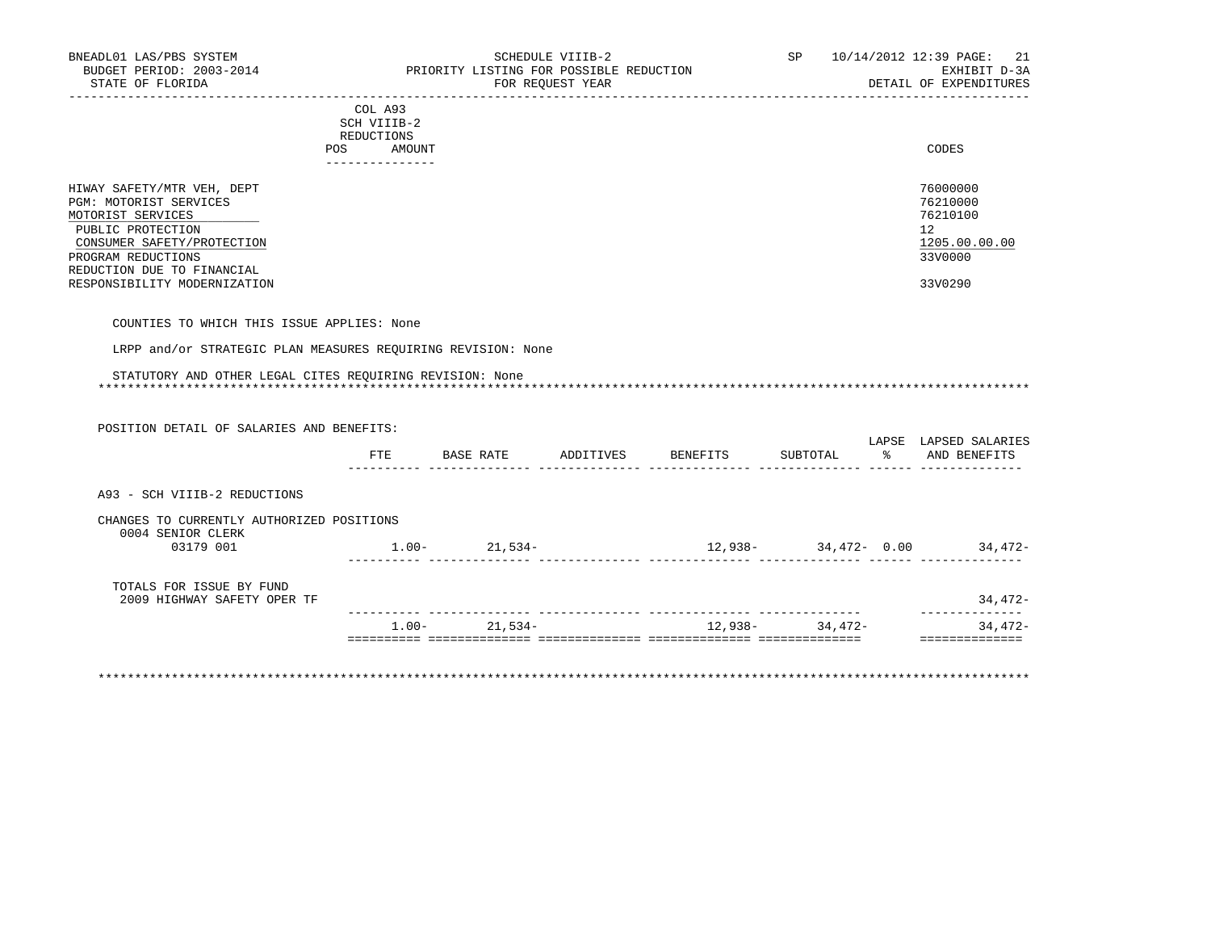|                                                                                                                                                                                                                  | COL A93<br>SCH VIIIB-2<br>REDUCTIONS<br>AMOUNT<br><b>POS</b><br>------------- | CODES                                                                         |
|------------------------------------------------------------------------------------------------------------------------------------------------------------------------------------------------------------------|-------------------------------------------------------------------------------|-------------------------------------------------------------------------------|
| HIWAY SAFETY/MTR VEH, DEPT<br>PGM: MOTORIST SERVICES<br>MOTORIST SERVICES<br>PUBLIC PROTECTION<br>CONSUMER SAFETY/PROTECTION<br>PROGRAM REDUCTIONS<br>REDUCTION DUE TO FINANCIAL<br>RESPONSIBILITY MODERNIZATION |                                                                               | 76000000<br>76210000<br>76210100<br>12<br>1205.00.00.00<br>33V0000<br>33V0290 |

COUNTIES TO WHICH THIS ISSUE APPLIES: None

LRPP and/or STRATEGIC PLAN MEASURES REQUIRING REVISION: None

| POSITION DETAIL OF SALARIES AND BENEFITS: |     |                   |                                                                      |  |                                 |
|-------------------------------------------|-----|-------------------|----------------------------------------------------------------------|--|---------------------------------|
|                                           | FTE |                   |                                                                      |  | LAPSE LAPSED SALARIES           |
| A93 - SCH VIIIB-2 REDUCTIONS              |     |                   |                                                                      |  |                                 |
|                                           |     |                   |                                                                      |  |                                 |
| CHANGES TO CURRENTLY AUTHORIZED POSITIONS |     |                   |                                                                      |  |                                 |
| 0004 SENIOR CLERK<br>03179 001            |     | $1.00 - 21.534 -$ |                                                                      |  | $12,938 34,472-$ 0.00 $34,472-$ |
| TOTALS FOR ISSUE BY FUND                  |     |                   |                                                                      |  |                                 |
| 2009 HIGHWAY SAFETY OPER TF               |     |                   | ii illililililili illililililili illililililili illilililililililili |  | $34,472-$                       |

\*\*\*\*\*\*\*\*\*\*\*\*\*\*\*\*\*\*\*\*\*\*\*\*\*\*\*\*\*\*\*\*\*\*\*\*\*\*\*\*\*\*\*\*\*\*\*\*\*\*\*\*\*\*\*\*\*\*\*\*\*\*\*\*\*\*\*\*\*\*\*\*\*\*\*\*\*\*\*\*\*\*\*\*\*\*\*\*\*\*\*\*\*\*\*\*\*\*\*\*\*\*\*\*\*\*\*\*\*\*\*\*\*\*\*\*\*\*\*\*\*\*\*\*\*\*\*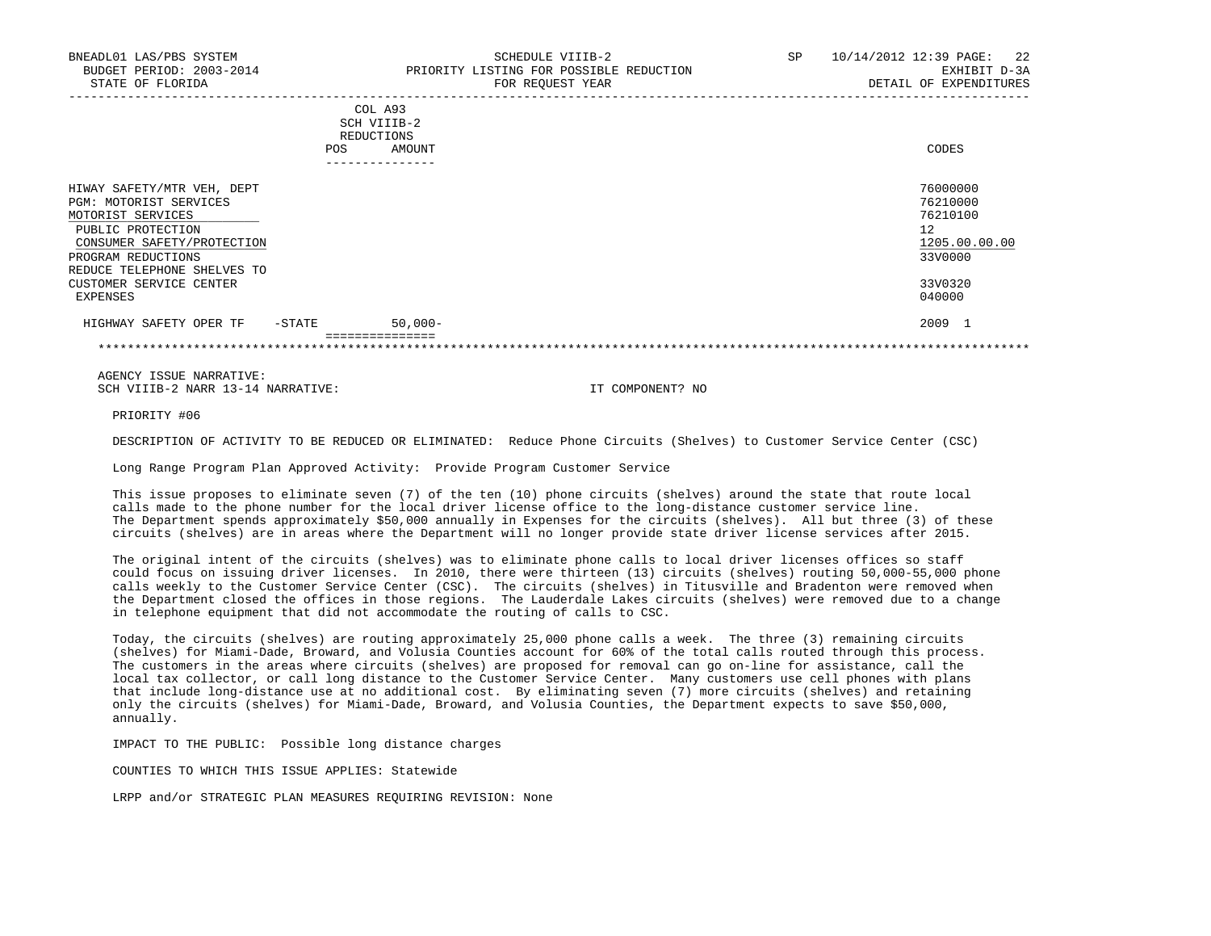|                                                                                                                                                                                   | <b>POS</b> | COL A93<br>SCH VIIIB-2<br>REDUCTIONS<br>AMOUNT | CODES                                                              |
|-----------------------------------------------------------------------------------------------------------------------------------------------------------------------------------|------------|------------------------------------------------|--------------------------------------------------------------------|
|                                                                                                                                                                                   |            | ---------------                                |                                                                    |
| HIWAY SAFETY/MTR VEH, DEPT<br>PGM: MOTORIST SERVICES<br>MOTORIST SERVICES<br>PUBLIC PROTECTION<br>CONSUMER SAFETY/PROTECTION<br>PROGRAM REDUCTIONS<br>REDUCE TELEPHONE SHELVES TO |            |                                                | 76000000<br>76210000<br>76210100<br>12<br>1205.00.00.00<br>33V0000 |
| CUSTOMER SERVICE CENTER<br>EXPENSES                                                                                                                                               |            |                                                | 33V0320<br>040000                                                  |
| HIGHWAY SAFETY OPER TF                                                                                                                                                            | $-$ STATE  | $50,000-$                                      | 2009 1                                                             |
|                                                                                                                                                                                   |            |                                                |                                                                    |

 AGENCY ISSUE NARRATIVE: SCH VIIIB-2 NARR 13-14 NARRATIVE: IT COMPONENT? NO

PRIORITY #06

DESCRIPTION OF ACTIVITY TO BE REDUCED OR ELIMINATED: Reduce Phone Circuits (Shelves) to Customer Service Center (CSC)

Long Range Program Plan Approved Activity: Provide Program Customer Service

 This issue proposes to eliminate seven (7) of the ten (10) phone circuits (shelves) around the state that route local calls made to the phone number for the local driver license office to the long-distance customer service line. The Department spends approximately \$50,000 annually in Expenses for the circuits (shelves). All but three (3) of these circuits (shelves) are in areas where the Department will no longer provide state driver license services after 2015.

 The original intent of the circuits (shelves) was to eliminate phone calls to local driver licenses offices so staff could focus on issuing driver licenses. In 2010, there were thirteen (13) circuits (shelves) routing 50,000-55,000 phone calls weekly to the Customer Service Center (CSC). The circuits (shelves) in Titusville and Bradenton were removed when the Department closed the offices in those regions. The Lauderdale Lakes circuits (shelves) were removed due to a change in telephone equipment that did not accommodate the routing of calls to CSC.

 Today, the circuits (shelves) are routing approximately 25,000 phone calls a week. The three (3) remaining circuits (shelves) for Miami-Dade, Broward, and Volusia Counties account for 60% of the total calls routed through this process. The customers in the areas where circuits (shelves) are proposed for removal can go on-line for assistance, call the local tax collector, or call long distance to the Customer Service Center. Many customers use cell phones with plans that include long-distance use at no additional cost. By eliminating seven (7) more circuits (shelves) and retaining only the circuits (shelves) for Miami-Dade, Broward, and Volusia Counties, the Department expects to save \$50,000, annually.

IMPACT TO THE PUBLIC: Possible long distance charges

COUNTIES TO WHICH THIS ISSUE APPLIES: Statewide

LRPP and/or STRATEGIC PLAN MEASURES REQUIRING REVISION: None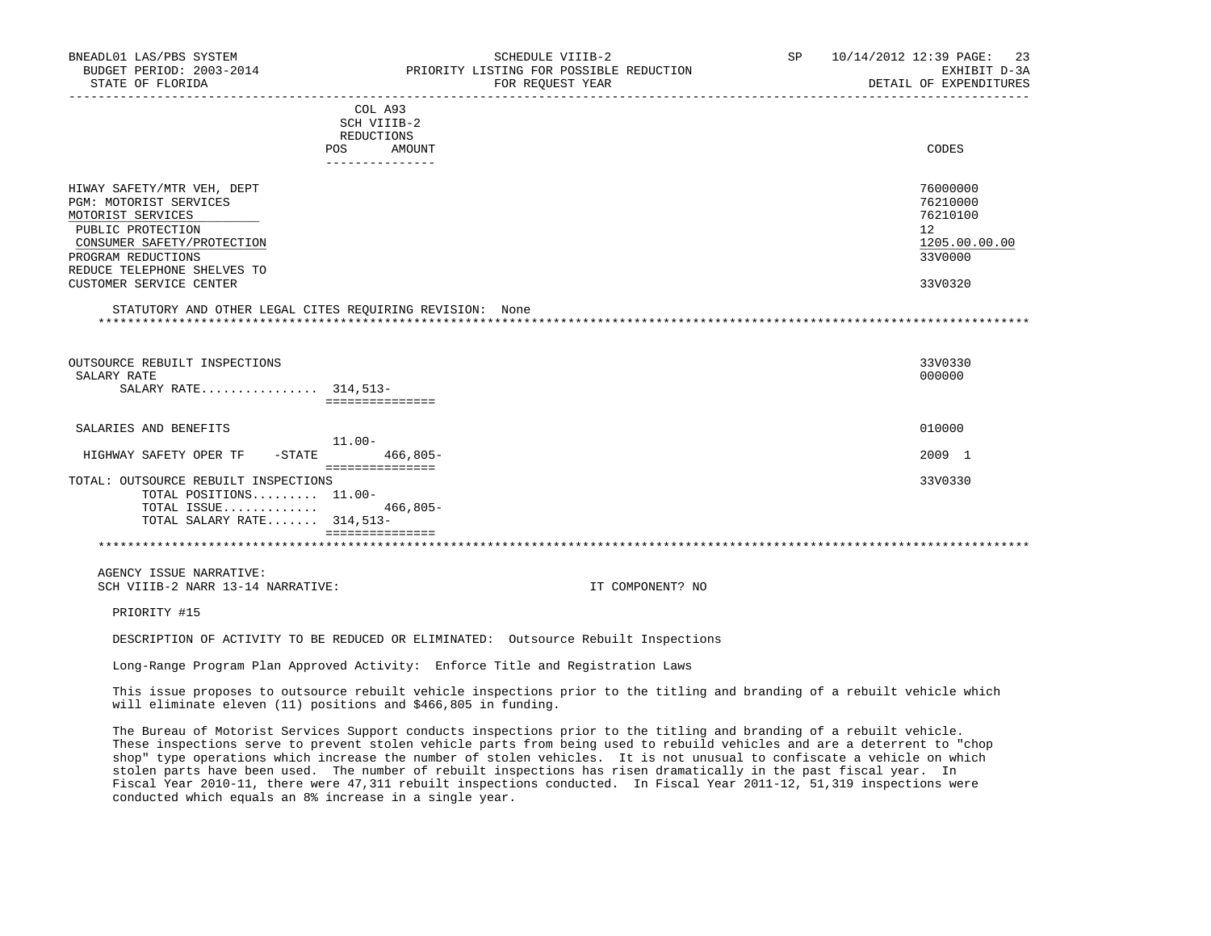| BNEADL01 LAS/PBS SYSTEM                                                            |                                         | SCHEDULE VIIIB-2                                            | SP <sub>2</sub> | 10/14/2012 12:39 PAGE:<br>-23          |
|------------------------------------------------------------------------------------|-----------------------------------------|-------------------------------------------------------------|-----------------|----------------------------------------|
| BUDGET PERIOD: 2003-2014<br>STATE OF FLORIDA                                       |                                         | PRIORITY LISTING FOR POSSIBLE REDUCTION<br>FOR REQUEST YEAR |                 | EXHIBIT D-3A<br>DETAIL OF EXPENDITURES |
|                                                                                    | COL A93                                 |                                                             |                 |                                        |
|                                                                                    | SCH VIIIB-2                             |                                                             |                 |                                        |
|                                                                                    | REDUCTIONS                              |                                                             |                 |                                        |
|                                                                                    | <b>POS</b><br>AMOUNT<br>--------------- |                                                             |                 | CODES                                  |
| HIWAY SAFETY/MTR VEH, DEPT                                                         |                                         |                                                             |                 | 76000000                               |
| PGM: MOTORIST SERVICES                                                             |                                         |                                                             |                 | 76210000                               |
| MOTORIST SERVICES                                                                  |                                         |                                                             |                 | 76210100                               |
| PUBLIC PROTECTION                                                                  |                                         |                                                             |                 | 12                                     |
| CONSUMER SAFETY/PROTECTION                                                         |                                         |                                                             |                 | 1205.00.00.00                          |
| PROGRAM REDUCTIONS                                                                 |                                         |                                                             |                 | 33V0000                                |
| REDUCE TELEPHONE SHELVES TO                                                        |                                         |                                                             |                 |                                        |
| CUSTOMER SERVICE CENTER                                                            |                                         |                                                             |                 | 33V0320                                |
| OUTSOURCE REBUILT INSPECTIONS<br>SALARY RATE                                       |                                         |                                                             |                 | 33V0330<br>000000                      |
| SALARY RATE 314,513-                                                               | ===============                         |                                                             |                 |                                        |
| SALARIES AND BENEFITS                                                              |                                         |                                                             |                 | 010000                                 |
|                                                                                    | 11.00-                                  |                                                             |                 |                                        |
| HIGHWAY SAFETY OPER TF<br>$-$ STATE                                                | $466.805 -$<br>===============          |                                                             |                 | 2009 1                                 |
| TOTAL: OUTSOURCE REBUILT INSPECTIONS                                               |                                         |                                                             |                 | 33V0330                                |
| TOTAL POSITIONS 11.00-                                                             |                                         |                                                             |                 |                                        |
| TOTAL ISSUE                                                                        | $466,805-$                              |                                                             |                 |                                        |
| TOTAL SALARY RATE 314,513-                                                         |                                         |                                                             |                 |                                        |
|                                                                                    | seesseesseesses                         |                                                             |                 |                                        |
| AGENCY ISSUE NARRATIVE:                                                            |                                         |                                                             |                 |                                        |
| SCH VIIIB-2 NARR 13-14 NARRATIVE:                                                  |                                         | IT COMPONENT? NO                                            |                 |                                        |
| PRIORITY #15                                                                       |                                         |                                                             |                 |                                        |
| DESCRIPTION OF ACTIVITY TO BE REDUCED OR ELIMINATED: Outsource Rebuilt Inspections |                                         |                                                             |                 |                                        |

Long-Range Program Plan Approved Activity: Enforce Title and Registration Laws

 This issue proposes to outsource rebuilt vehicle inspections prior to the titling and branding of a rebuilt vehicle which will eliminate eleven (11) positions and \$466,805 in funding.

 The Bureau of Motorist Services Support conducts inspections prior to the titling and branding of a rebuilt vehicle. These inspections serve to prevent stolen vehicle parts from being used to rebuild vehicles and are a deterrent to "chop shop" type operations which increase the number of stolen vehicles. It is not unusual to confiscate a vehicle on which stolen parts have been used. The number of rebuilt inspections has risen dramatically in the past fiscal year. In Fiscal Year 2010-11, there were 47,311 rebuilt inspections conducted. In Fiscal Year 2011-12, 51,319 inspections were conducted which equals an 8% increase in a single year.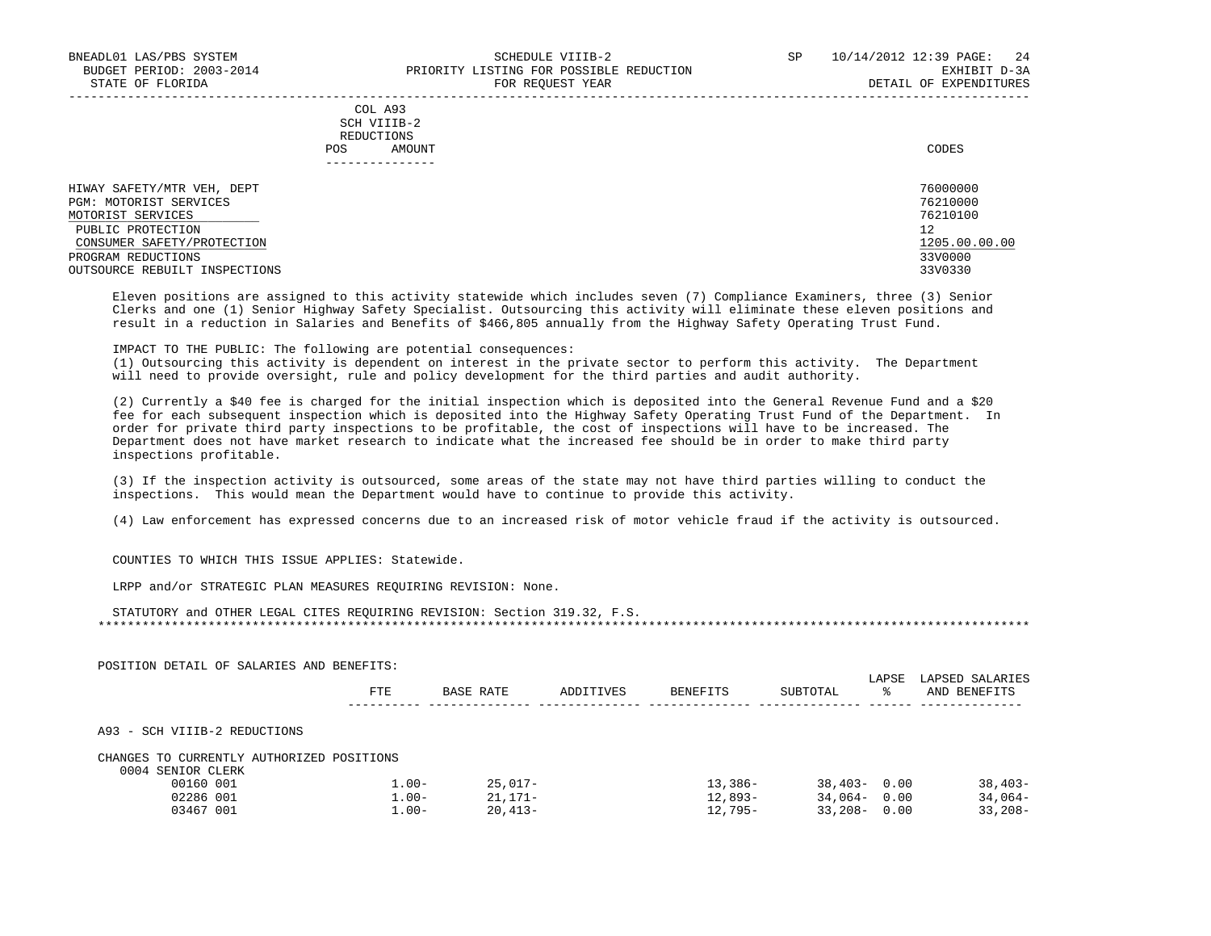## COL A93 SCH VIIIB-2 REDUCTIONS POS AMOUNT CODES ---------------

| HIWAY SAFETY/MTR VEH, DEPT    | 76000000      |
|-------------------------------|---------------|
| PGM: MOTORIST SERVICES        | 76210000      |
| MOTORIST SERVICES             | 76210100      |
| PUBLIC PROTECTION             | 12            |
| CONSUMER SAFETY/PROTECTION    | 1205.00.00.00 |
| PROGRAM REDUCTIONS            | 33V0000       |
| OUTSOURCE REBUILT INSPECTIONS | 33V0330       |

-----------------------------------------------------------------------------------------------------------------------------------

 Eleven positions are assigned to this activity statewide which includes seven (7) Compliance Examiners, three (3) Senior Clerks and one (1) Senior Highway Safety Specialist. Outsourcing this activity will eliminate these eleven positions and result in a reduction in Salaries and Benefits of \$466,805 annually from the Highway Safety Operating Trust Fund.

### IMPACT TO THE PUBLIC: The following are potential consequences:

 (1) Outsourcing this activity is dependent on interest in the private sector to perform this activity. The Department will need to provide oversight, rule and policy development for the third parties and audit authority.

 (2) Currently a \$40 fee is charged for the initial inspection which is deposited into the General Revenue Fund and a \$20 fee for each subsequent inspection which is deposited into the Highway Safety Operating Trust Fund of the Department. In order for private third party inspections to be profitable, the cost of inspections will have to be increased. The Department does not have market research to indicate what the increased fee should be in order to make third party inspections profitable.

 (3) If the inspection activity is outsourced, some areas of the state may not have third parties willing to conduct the inspections. This would mean the Department would have to continue to provide this activity.

(4) Law enforcement has expressed concerns due to an increased risk of motor vehicle fraud if the activity is outsourced.

COUNTIES TO WHICH THIS ISSUE APPLIES: Statewide.

LRPP and/or STRATEGIC PLAN MEASURES REQUIRING REVISION: None.

| POSITION DETAIL OF SALARIES AND BENEFITS: |            |           |           |           |                 | LAPSE | LAPSED SALARIES |
|-------------------------------------------|------------|-----------|-----------|-----------|-----------------|-------|-----------------|
|                                           | <b>FTE</b> | BASE RATE | ADDITIVES | BENEFITS  | SUBTOTAL        | °≈    | AND BENEFITS    |
| A93 - SCH VIIIB-2 REDUCTIONS              |            |           |           |           |                 |       |                 |
| CHANGES TO CURRENTLY AUTHORIZED POSITIONS |            |           |           |           |                 |       |                 |
| 0004 SENIOR CLERK                         |            |           |           |           |                 |       |                 |
| 00160 001                                 | $1.00 -$   | 25,017-   |           | $13,386-$ | $38,403 - 0.00$ |       | $38,403-$       |
| 02286 001                                 | $1.00 -$   | 21,171-   |           | 12,893-   | $34,064 - 0.00$ |       | $34,064-$       |
| 03467 001                                 | $1.00 -$   | $20,413-$ |           | 12,795-   | $33,208-$       | 0.00  | $33,208-$       |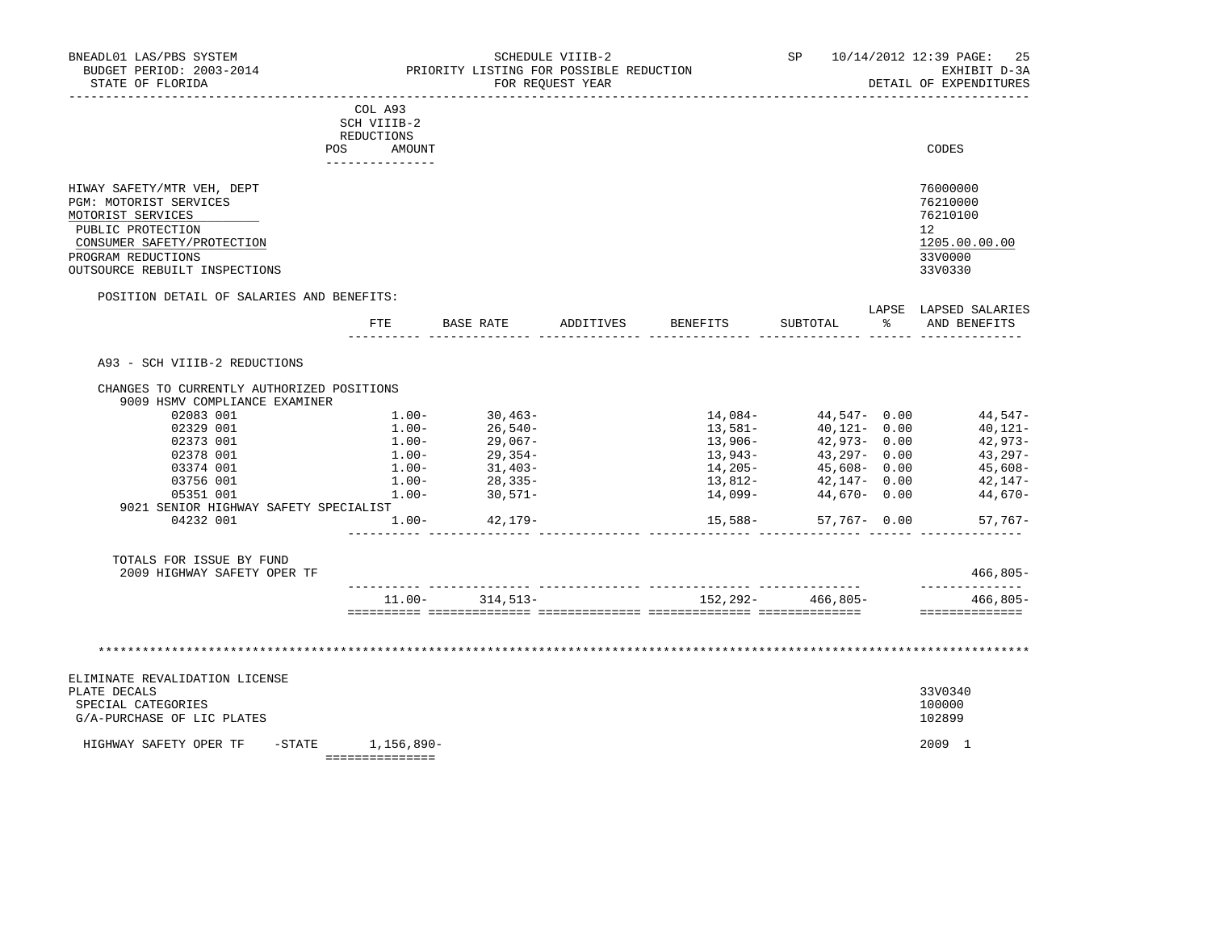|                                                                                                                                                                                     | COL A93<br>SCH VIIIB-2<br>REDUCTIONS |           |           |                 |          |            |                                                                               |
|-------------------------------------------------------------------------------------------------------------------------------------------------------------------------------------|--------------------------------------|-----------|-----------|-----------------|----------|------------|-------------------------------------------------------------------------------|
| <b>POS</b>                                                                                                                                                                          | AMOUNT                               |           |           |                 |          |            | CODES                                                                         |
| HIWAY SAFETY/MTR VEH, DEPT<br>PGM: MOTORIST SERVICES<br>MOTORIST SERVICES<br>PUBLIC PROTECTION<br>CONSUMER SAFETY/PROTECTION<br>PROGRAM REDUCTIONS<br>OUTSOURCE REBUILT INSPECTIONS |                                      |           |           |                 |          |            | 76000000<br>76210000<br>76210100<br>12<br>1205.00.00.00<br>33V0000<br>33V0330 |
| POSITION DETAIL OF SALARIES AND BENEFITS:                                                                                                                                           |                                      |           |           |                 |          |            |                                                                               |
|                                                                                                                                                                                     | FTE                                  | BASE RATE | ADDITIVES | <b>BENEFITS</b> | SUBTOTAL | LAPSE<br>ႜ | LAPSED SALARIES<br>AND BENEFITS                                               |

A93 - SCH VIIIB-2 REDUCTIONS

| 02083 001                             | $1.00 -$ | $30.463-$  | $14.084-$  | 44,547-    | 0.00 | $44.547-$  |
|---------------------------------------|----------|------------|------------|------------|------|------------|
| 02329 001                             | $1.00 -$ | 26,540-    | 13,581-    | $40.121 -$ | 0.00 | $40,121-$  |
| 02373 001                             | $1.00 -$ | $29.067 -$ | $13,906-$  | $42.973-$  | 0.00 | $42.973-$  |
| 02378 001                             | $1.00 -$ | $29.354-$  | $13,943-$  | $43.297 -$ | 0.00 | $43.297-$  |
| 03374 001                             | $1.00 -$ | $31,403-$  | $14.205 -$ | $45.608 -$ | 0.00 | $45.608 -$ |
| 03756 001                             | $1.00 -$ | $28.335-$  | $13,812-$  | $42.147-$  | 0.00 | $42.147-$  |
| 05351 001                             | $1.00 -$ | $30.571 -$ | $14.099 -$ | 44,670-    | 0.00 | $44.670-$  |
| 9021 SENIOR HIGHWAY SAFETY SPECIALIST |          |            |            |            |      |            |
| 04232 001                             | $1.00 -$ | $42.179-$  | 15,588-    | 57,767-    | 0.00 | $57,767-$  |

| 2009<br>GHWAY<br>SAFETY<br>ጥም<br>OPER |        |                   |             | 00T      |
|---------------------------------------|--------|-------------------|-------------|----------|
|                                       | $00 -$ | $, 292 -$<br>ר בי | $466.805 -$ | $.805 -$ |
|                                       |        |                   |             |          |

\*\*\*\*\*\*\*\*\*\*\*\*\*\*\*\*\*\*\*\*\*\*\*\*\*\*\*\*\*\*\*\*\*\*\*\*\*\*\*\*\*\*\*\*\*\*\*\*\*\*\*\*\*\*\*\*\*\*\*\*\*\*\*\*\*\*\*\*\*\*\*\*\*\*\*\*\*\*\*\*\*\*\*\*\*\*\*\*\*\*\*\*\*\*\*\*\*\*\*\*\*\*\*\*\*\*\*\*\*\*\*\*\*\*\*\*\*\*\*\*\*\*\*\*\*\*\*

| HIGHWAY SAFETY OPER TF<br>-STATE | 1,156,890- | 2009 1  |
|----------------------------------|------------|---------|
| G/A-PURCHASE OF LIC PLATES       |            | 102899  |
| SPECIAL CATEGORIES               |            | 100000  |
| PLATE DECALS                     |            | 33V0340 |
| ELIMINATE REVALIDATION LICENSE   |            |         |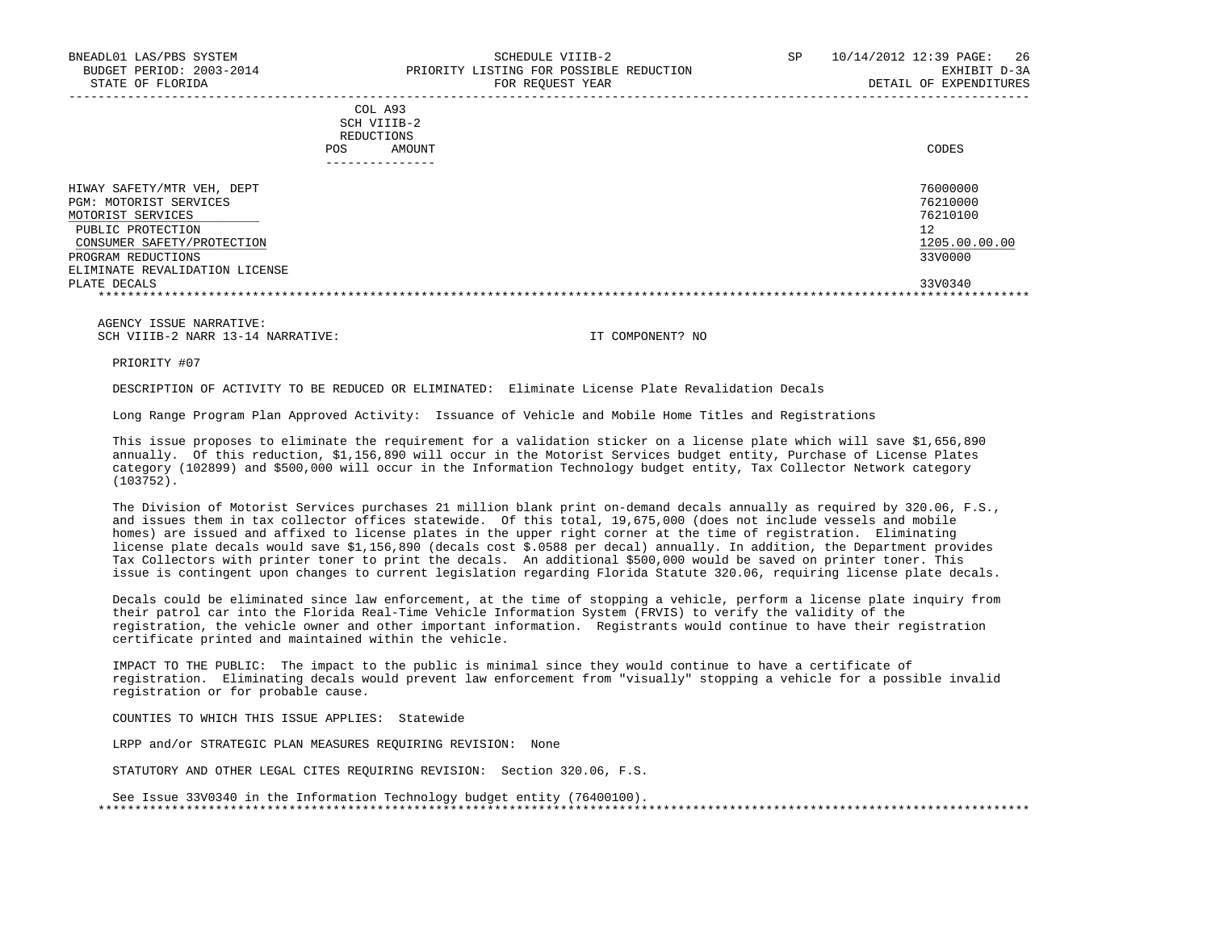| COL A93     |       |
|-------------|-------|
| SCH VIIIB-2 |       |
| REDUCTIONS  |       |
| AMOUNT      | CODES |
|             |       |

| -------------                  |               |
|--------------------------------|---------------|
| HIWAY SAFETY/MTR VEH, DEPT     | 76000000      |
| PGM: MOTORIST SERVICES         | 76210000      |
| MOTORIST SERVICES              | 76210100      |
| PUBLIC PROTECTION              | 12            |
| CONSUMER SAFETY/PROTECTION     | 1205.00.00.00 |
| PROGRAM REDUCTIONS             | 33V0000       |
| ELIMINATE REVALIDATION LICENSE |               |
| PLATE DECALS                   | 33V0340       |
|                                |               |

 AGENCY ISSUE NARRATIVE: SCH VIIIB-2 NARR 13-14 NARRATIVE: IT COMPONENT? NO

PRIORITY #07

DESCRIPTION OF ACTIVITY TO BE REDUCED OR ELIMINATED: Eliminate License Plate Revalidation Decals

Long Range Program Plan Approved Activity: Issuance of Vehicle and Mobile Home Titles and Registrations

 This issue proposes to eliminate the requirement for a validation sticker on a license plate which will save \$1,656,890 annually. Of this reduction, \$1,156,890 will occur in the Motorist Services budget entity, Purchase of License Plates category (102899) and \$500,000 will occur in the Information Technology budget entity, Tax Collector Network category (103752).

 The Division of Motorist Services purchases 21 million blank print on-demand decals annually as required by 320.06, F.S., and issues them in tax collector offices statewide. Of this total, 19,675,000 (does not include vessels and mobile homes) are issued and affixed to license plates in the upper right corner at the time of registration. Eliminating license plate decals would save \$1,156,890 (decals cost \$.0588 per decal) annually. In addition, the Department provides Tax Collectors with printer toner to print the decals. An additional \$500,000 would be saved on printer toner. This issue is contingent upon changes to current legislation regarding Florida Statute 320.06, requiring license plate decals.

 Decals could be eliminated since law enforcement, at the time of stopping a vehicle, perform a license plate inquiry from their patrol car into the Florida Real-Time Vehicle Information System (FRVIS) to verify the validity of the registration, the vehicle owner and other important information. Registrants would continue to have their registration certificate printed and maintained within the vehicle.

 IMPACT TO THE PUBLIC: The impact to the public is minimal since they would continue to have a certificate of registration. Eliminating decals would prevent law enforcement from "visually" stopping a vehicle for a possible invalid registration or for probable cause.

COUNTIES TO WHICH THIS ISSUE APPLIES: Statewide

LRPP and/or STRATEGIC PLAN MEASURES REQUIRING REVISION: None

STATUTORY AND OTHER LEGAL CITES REQUIRING REVISION: Section 320.06, F.S.

 See Issue 33V0340 in the Information Technology budget entity (76400100). \*\*\*\*\*\*\*\*\*\*\*\*\*\*\*\*\*\*\*\*\*\*\*\*\*\*\*\*\*\*\*\*\*\*\*\*\*\*\*\*\*\*\*\*\*\*\*\*\*\*\*\*\*\*\*\*\*\*\*\*\*\*\*\*\*\*\*\*\*\*\*\*\*\*\*\*\*\*\*\*\*\*\*\*\*\*\*\*\*\*\*\*\*\*\*\*\*\*\*\*\*\*\*\*\*\*\*\*\*\*\*\*\*\*\*\*\*\*\*\*\*\*\*\*\*\*\*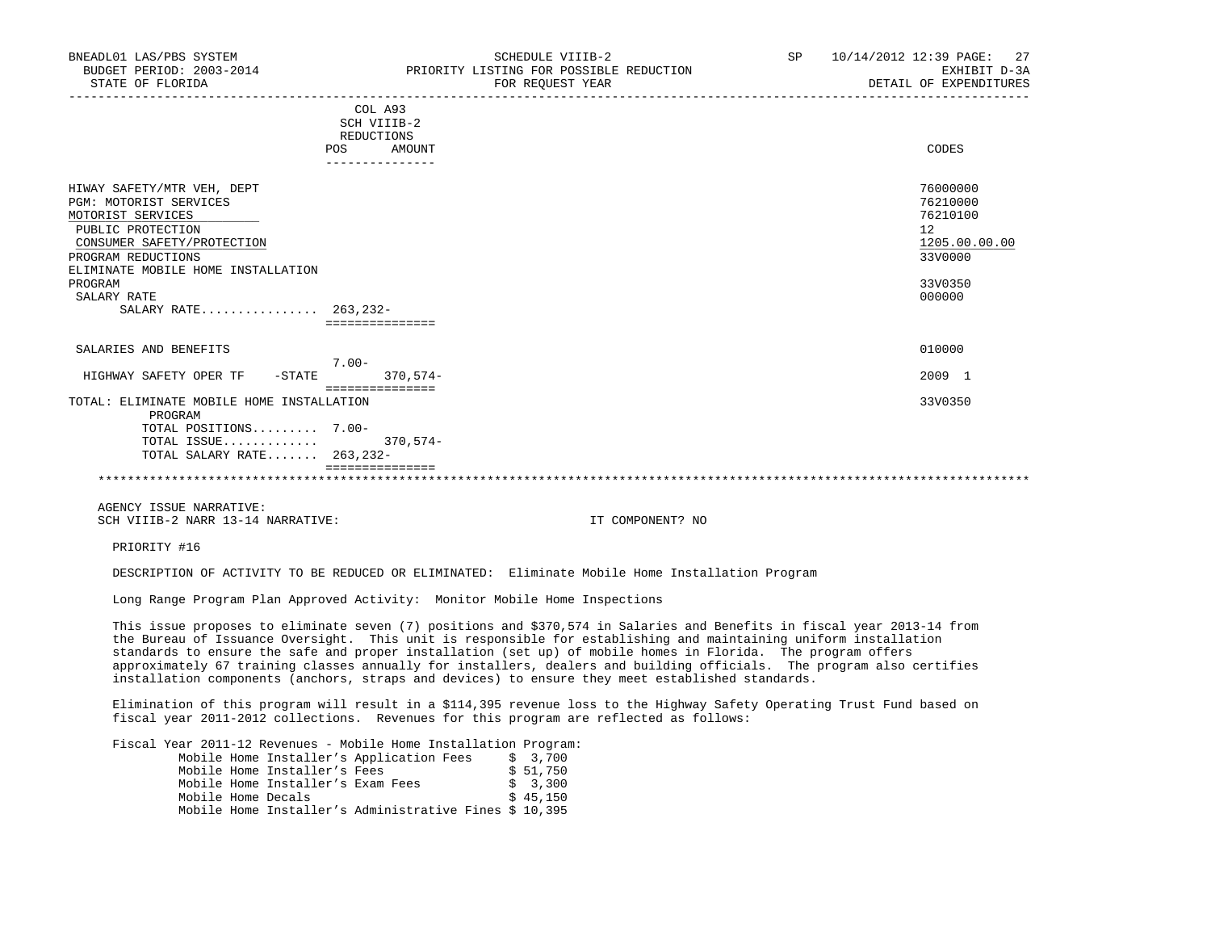|                                                 | COL A93<br>SCH VIIIB-2<br>REDUCTIONS |            |                     |
|-------------------------------------------------|--------------------------------------|------------|---------------------|
|                                                 | POS                                  | AMOUNT     | CODES               |
| HIWAY SAFETY/MTR VEH, DEPT                      |                                      |            | 76000000            |
| <b>PGM: MOTORIST SERVICES</b>                   |                                      |            | 76210000            |
| MOTORIST SERVICES                               |                                      |            | 76210100            |
| PUBLIC PROTECTION<br>CONSUMER SAFETY/PROTECTION |                                      |            | 12<br>1205.00.00.00 |
| PROGRAM REDUCTIONS                              |                                      |            | 33V0000             |
| ELIMINATE MOBILE HOME INSTALLATION              |                                      |            |                     |
| PROGRAM                                         |                                      |            | 33V0350             |
| SALARY RATE                                     |                                      |            | 000000              |
| SALARY RATE 263, 232-                           |                                      |            |                     |
|                                                 | ===============                      |            |                     |
| SALARIES AND BENEFITS                           | $7.00 -$                             |            | 010000              |
| HIGHWAY SAFETY OPER TF<br>$-STATE$              |                                      | $370,574-$ | 2009 1              |
|                                                 | ===============                      |            |                     |
| TOTAL: ELIMINATE MOBILE HOME INSTALLATION       |                                      |            | 33V0350             |
| PROGRAM                                         |                                      |            |                     |
| TOTAL POSITIONS 7.00-                           |                                      |            |                     |
| TOTAL ISSUE                                     |                                      | $370.574-$ |                     |
| TOTAL SALARY RATE 263,232-                      |                                      |            |                     |
|                                                 |                                      |            |                     |

 AGENCY ISSUE NARRATIVE: SCH VIIIB-2 NARR 13-14 NARRATIVE: IT COMPONENT? NO

PRIORITY #16

DESCRIPTION OF ACTIVITY TO BE REDUCED OR ELIMINATED: Eliminate Mobile Home Installation Program

Long Range Program Plan Approved Activity: Monitor Mobile Home Inspections

 This issue proposes to eliminate seven (7) positions and \$370,574 in Salaries and Benefits in fiscal year 2013-14 from the Bureau of Issuance Oversight. This unit is responsible for establishing and maintaining uniform installation standards to ensure the safe and proper installation (set up) of mobile homes in Florida. The program offers approximately 67 training classes annually for installers, dealers and building officials. The program also certifies installation components (anchors, straps and devices) to ensure they meet established standards.

 Elimination of this program will result in a \$114,395 revenue loss to the Highway Safety Operating Trust Fund based on fiscal year 2011-2012 collections. Revenues for this program are reflected as follows:

Fiscal Year 2011-12 Revenues - Mobile Home Installation Program:

|                    |                                   | Mobile Home Installer's Application Fees               |  | \$ 3,700  |
|--------------------|-----------------------------------|--------------------------------------------------------|--|-----------|
|                    | Mobile Home Installer's Fees      |                                                        |  | \$ 51,750 |
|                    | Mobile Home Installer's Exam Fees |                                                        |  | \$ 3,300  |
| Mobile Home Decals |                                   |                                                        |  | \$45,150  |
|                    |                                   | Mobile Home Installer's Administrative Fines \$ 10,395 |  |           |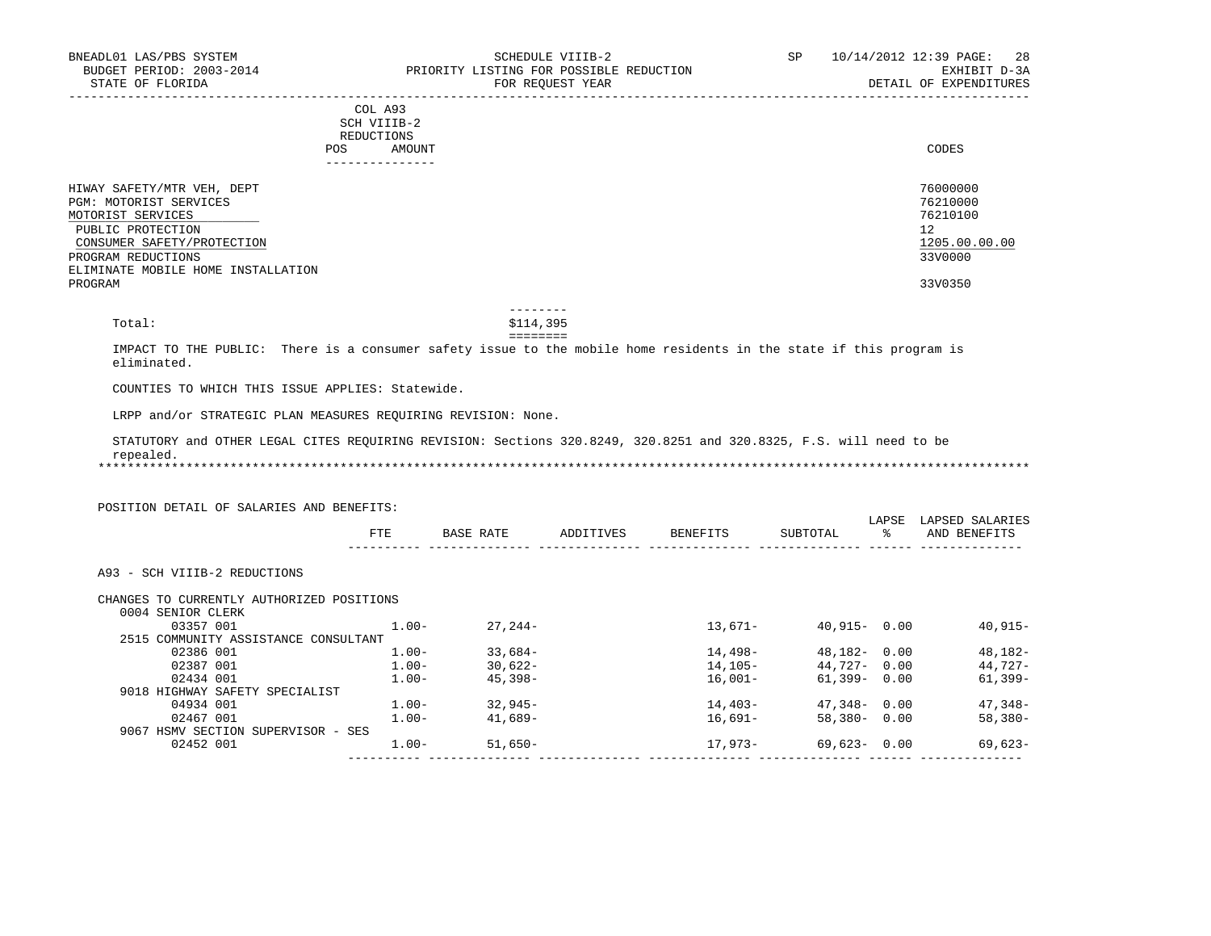|     | --------------- |       |
|-----|-----------------|-------|
| POS | AMOUNT          | CODES |
|     | REDUCTIONS      |       |
|     | SCH VIIIB-2     |       |
|     | COL A93         |       |

| HIWAY SAFETY/MTR VEH, DEPT         | 76000000      |
|------------------------------------|---------------|
| PGM: MOTORIST SERVICES             | 76210000      |
| MOTORIST SERVICES                  | 76210100      |
| PUBLIC PROTECTION                  | 12            |
| CONSUMER SAFETY/PROTECTION         | 1205.00.00.00 |
| PROGRAM REDUCTIONS                 | 33V0000       |
| ELIMINATE MOBILE HOME INSTALLATION |               |
| PROGRAM                            | 33V0350       |

 -------- Total: \$114,395

# ========

 IMPACT TO THE PUBLIC: There is a consumer safety issue to the mobile home residents in the state if this program is eliminated.

COUNTIES TO WHICH THIS ISSUE APPLIES: Statewide.

LRPP and/or STRATEGIC PLAN MEASURES REQUIRING REVISION: None.

 STATUTORY and OTHER LEGAL CITES REQUIRING REVISION: Sections 320.8249, 320.8251 and 320.8325, F.S. will need to be repealed.

\*\*\*\*\*\*\*\*\*\*\*\*\*\*\*\*\*\*\*\*\*\*\*\*\*\*\*\*\*\*\*\*\*\*\*\*\*\*\*\*\*\*\*\*\*\*\*\*\*\*\*\*\*\*\*\*\*\*\*\*\*\*\*\*\*\*\*\*\*\*\*\*\*\*\*\*\*\*\*\*\*\*\*\*\*\*\*\*\*\*\*\*\*\*\*\*\*\*\*\*\*\*\*\*\*\*\*\*\*\*\*\*\*\*\*\*\*\*\*\*\*\*\*\*\*\*\*

|                                           |          |            |           |           |                 | LAPSE | LAPSED SALARIES |
|-------------------------------------------|----------|------------|-----------|-----------|-----------------|-------|-----------------|
|                                           | FTE      | BASE RATE  | ADDITIVES | BENEFITS  | SUBTOTAL        | ៖     | AND BENEFITS    |
|                                           |          |            |           |           |                 |       |                 |
| A93 - SCH VIIIB-2 REDUCTIONS              |          |            |           |           |                 |       |                 |
| CHANGES TO CURRENTLY AUTHORIZED POSITIONS |          |            |           |           |                 |       |                 |
| 0004 SENIOR CLERK                         |          |            |           |           |                 |       |                 |
| 03357 001                                 | $1.00 -$ | $27.244-$  |           | $13.671-$ | $40,915 - 0.00$ |       | $40,915-$       |
| 2515 COMMUNITY ASSISTANCE CONSULTANT      |          |            |           |           |                 |       |                 |
| 02386 001                                 | $1.00-$  | $33,684-$  |           | 14,498-   | 48,182-         | 0.00  | 48,182-         |
| 02387 001                                 | $1.00-$  | $30,622-$  |           | 14,105-   | 44,727-         | 0.00  | 44,727-         |
| 02434 001                                 | $1.00 -$ | $45.398 -$ |           | $16.001-$ | 61,399-         | 0.00  | $61,399-$       |
| 9018 HIGHWAY SAFETY SPECIALIST            |          |            |           |           |                 |       |                 |
| 04934 001                                 | $1.00 -$ | $32,945-$  |           | 14,403-   | 47,348-         | 0.00  | $47,348-$       |
| 02467 001                                 | $1.00 -$ | $41.689-$  |           | 16,691–   | $58,380-$       | 0.00  | $58,380-$       |
|                                           |          |            |           |           |                 |       |                 |
| 9067 HSMV SECTION SUPERVISOR - SES        |          |            |           |           |                 |       |                 |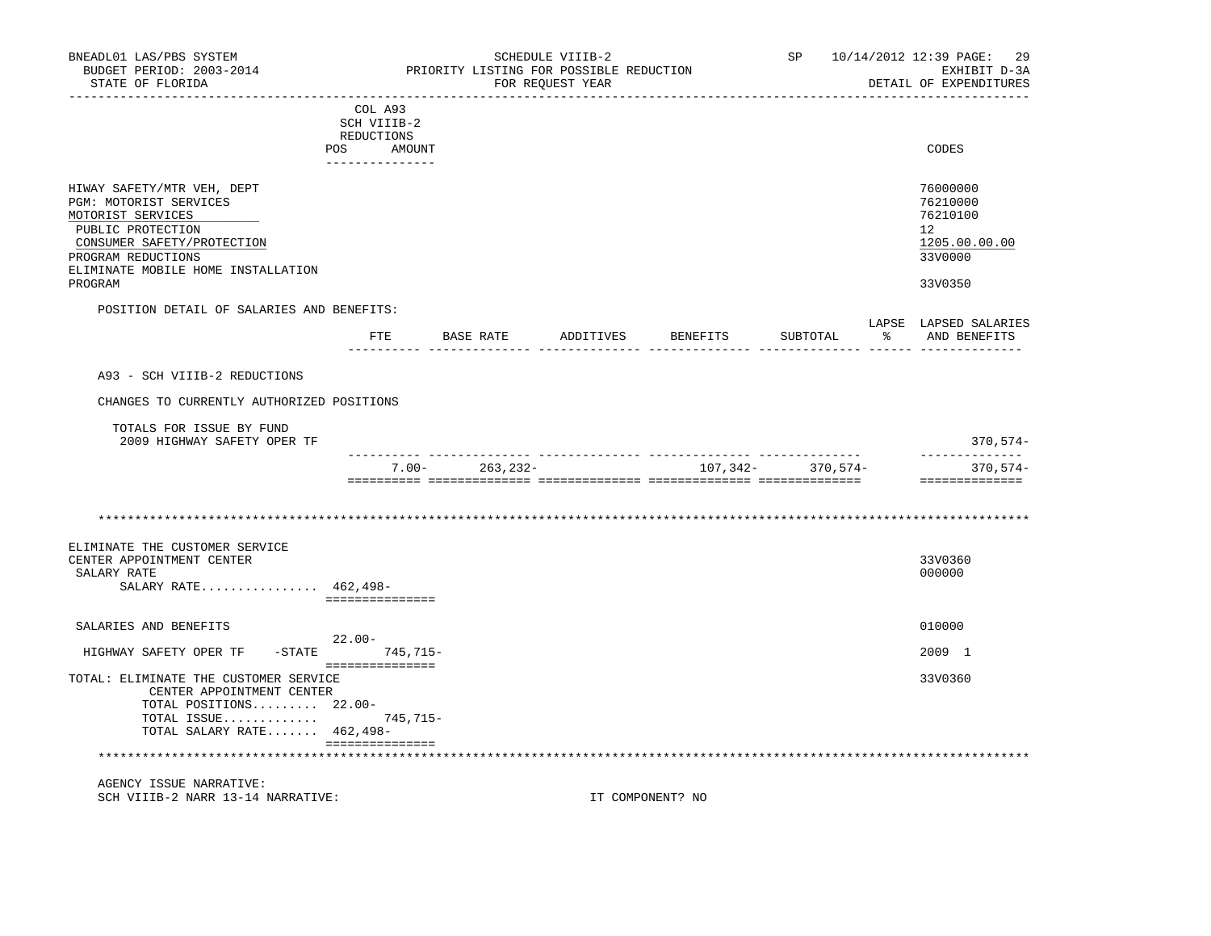| BNEADL01 LAS/PBS SYSTEM<br>BUDGET PERIOD: 2003-2014<br>STATE OF FLORIDA<br>-----------------                                                                                                        |                                                                          |                    | SCHEDULE VIIIB-2<br>PRIORITY LISTING FOR POSSIBLE REDUCTION<br>FOR REOUEST YEAR | ____________________ | SP <sub>2</sub>                                 | 10/14/2012 12:39 PAGE:<br>29<br>EXHIBIT D-3A<br>DETAIL OF EXPENDITURES                     |
|-----------------------------------------------------------------------------------------------------------------------------------------------------------------------------------------------------|--------------------------------------------------------------------------|--------------------|---------------------------------------------------------------------------------|----------------------|-------------------------------------------------|--------------------------------------------------------------------------------------------|
|                                                                                                                                                                                                     | COL A93<br>SCH VIIIB-2<br>REDUCTIONS<br>POS<br>AMOUNT<br>--------------- |                    |                                                                                 |                      |                                                 | CODES                                                                                      |
| HIWAY SAFETY/MTR VEH, DEPT<br>PGM: MOTORIST SERVICES<br>MOTORIST SERVICES<br>PUBLIC PROTECTION<br>CONSUMER SAFETY/PROTECTION<br>PROGRAM REDUCTIONS<br>ELIMINATE MOBILE HOME INSTALLATION<br>PROGRAM |                                                                          |                    |                                                                                 |                      |                                                 | 76000000<br>76210000<br>76210100<br>12 <sup>°</sup><br>1205.00.00.00<br>33V0000<br>33V0350 |
| POSITION DETAIL OF SALARIES AND BENEFITS:                                                                                                                                                           |                                                                          |                    |                                                                                 |                      |                                                 | LAPSE LAPSED SALARIES                                                                      |
|                                                                                                                                                                                                     | $_{\rm FTE}$                                                             | BASE RATE          |                                                                                 | ADDITIVES BENEFITS   | SUBTOTAL<br>------ -------------- ------ ------ | % AND BENEFITS                                                                             |
| A93 - SCH VIIIB-2 REDUCTIONS                                                                                                                                                                        |                                                                          |                    |                                                                                 |                      |                                                 |                                                                                            |
| CHANGES TO CURRENTLY AUTHORIZED POSITIONS                                                                                                                                                           |                                                                          |                    |                                                                                 |                      |                                                 |                                                                                            |
| TOTALS FOR ISSUE BY FUND<br>2009 HIGHWAY SAFETY OPER TF                                                                                                                                             |                                                                          |                    |                                                                                 |                      |                                                 | $370,574-$<br>______________                                                               |
|                                                                                                                                                                                                     |                                                                          | $7.00 - 263,232 -$ |                                                                                 |                      | 107, 342- 370, 574-                             | $370,574-$<br>==============                                                               |
|                                                                                                                                                                                                     |                                                                          |                    |                                                                                 |                      |                                                 |                                                                                            |
| ELIMINATE THE CUSTOMER SERVICE<br>CENTER APPOINTMENT CENTER<br>SALARY RATE<br>SALARY RATE 462,498-                                                                                                  | ===============                                                          |                    |                                                                                 |                      |                                                 | 33V0360<br>000000                                                                          |
| SALARIES AND BENEFITS                                                                                                                                                                               |                                                                          |                    |                                                                                 |                      |                                                 | 010000                                                                                     |
| HIGHWAY SAFETY OPER TF                                                                                                                                                                              | 22.00-<br>-STATE 745,715-<br><b>BERREERSSEREE</b>                        |                    |                                                                                 |                      |                                                 | 2009 1                                                                                     |
| TOTAL: ELIMINATE THE CUSTOMER SERVICE<br>CENTER APPOINTMENT CENTER<br>TOTAL POSITIONS $22.00-$<br>TOTAL ISSUE 745,715-<br>TOTAL SALARY RATE 462,498-                                                |                                                                          |                    |                                                                                 |                      |                                                 | 33V0360                                                                                    |
| *******************************<br>AGENCY ISSUE NARRATIVE:                                                                                                                                          | ===============                                                          |                    |                                                                                 |                      |                                                 |                                                                                            |

SCH VIIIB-2 NARR 13-14 NARRATIVE: IT COMPONENT? NO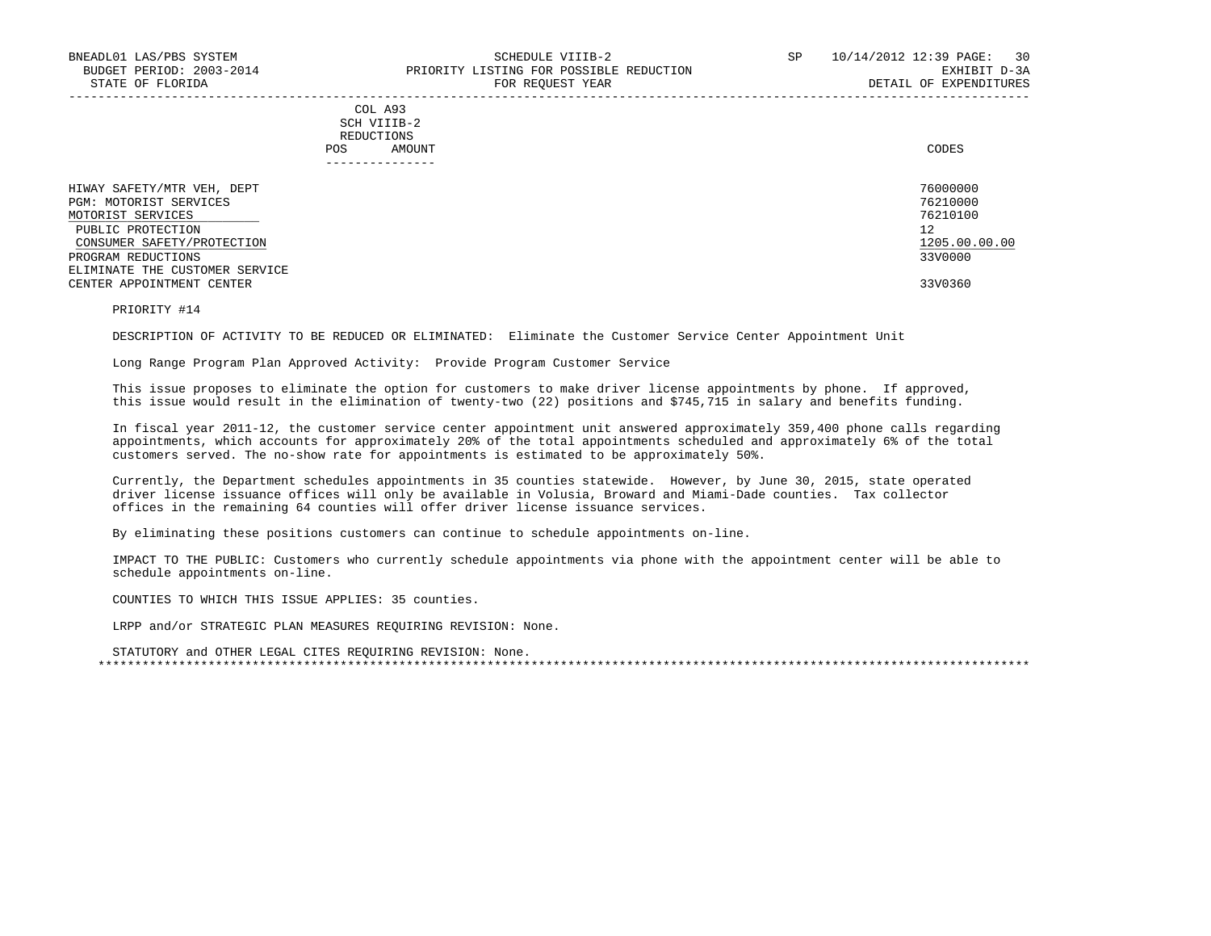## COL A93 SCH VIIIB-2 REDUCTIONS POS AMOUNT CODES ---------------

| HIWAY SAFETY/MTR VEH, DEPT     | 76000000      |
|--------------------------------|---------------|
| PGM: MOTORIST SERVICES         | 76210000      |
| MOTORIST SERVICES              | 76210100      |
| PUBLIC PROTECTION              | 12            |
| CONSUMER SAFETY/PROTECTION     | 1205.00.00.00 |
| PROGRAM REDUCTIONS             | 33V0000       |
| ELIMINATE THE CUSTOMER SERVICE |               |
| CENTER APPOINTMENT CENTER      | 33V0360       |

-----------------------------------------------------------------------------------------------------------------------------------

PRIORITY #14

DESCRIPTION OF ACTIVITY TO BE REDUCED OR ELIMINATED: Eliminate the Customer Service Center Appointment Unit

Long Range Program Plan Approved Activity: Provide Program Customer Service

 This issue proposes to eliminate the option for customers to make driver license appointments by phone. If approved, this issue would result in the elimination of twenty-two (22) positions and \$745,715 in salary and benefits funding.

 In fiscal year 2011-12, the customer service center appointment unit answered approximately 359,400 phone calls regarding appointments, which accounts for approximately 20% of the total appointments scheduled and approximately 6% of the total customers served. The no-show rate for appointments is estimated to be approximately 50%.

 Currently, the Department schedules appointments in 35 counties statewide. However, by June 30, 2015, state operated driver license issuance offices will only be available in Volusia, Broward and Miami-Dade counties. Tax collector offices in the remaining 64 counties will offer driver license issuance services.

By eliminating these positions customers can continue to schedule appointments on-line.

 IMPACT TO THE PUBLIC: Customers who currently schedule appointments via phone with the appointment center will be able to schedule appointments on-line.

COUNTIES TO WHICH THIS ISSUE APPLIES: 35 counties.

LRPP and/or STRATEGIC PLAN MEASURES REQUIRING REVISION: None.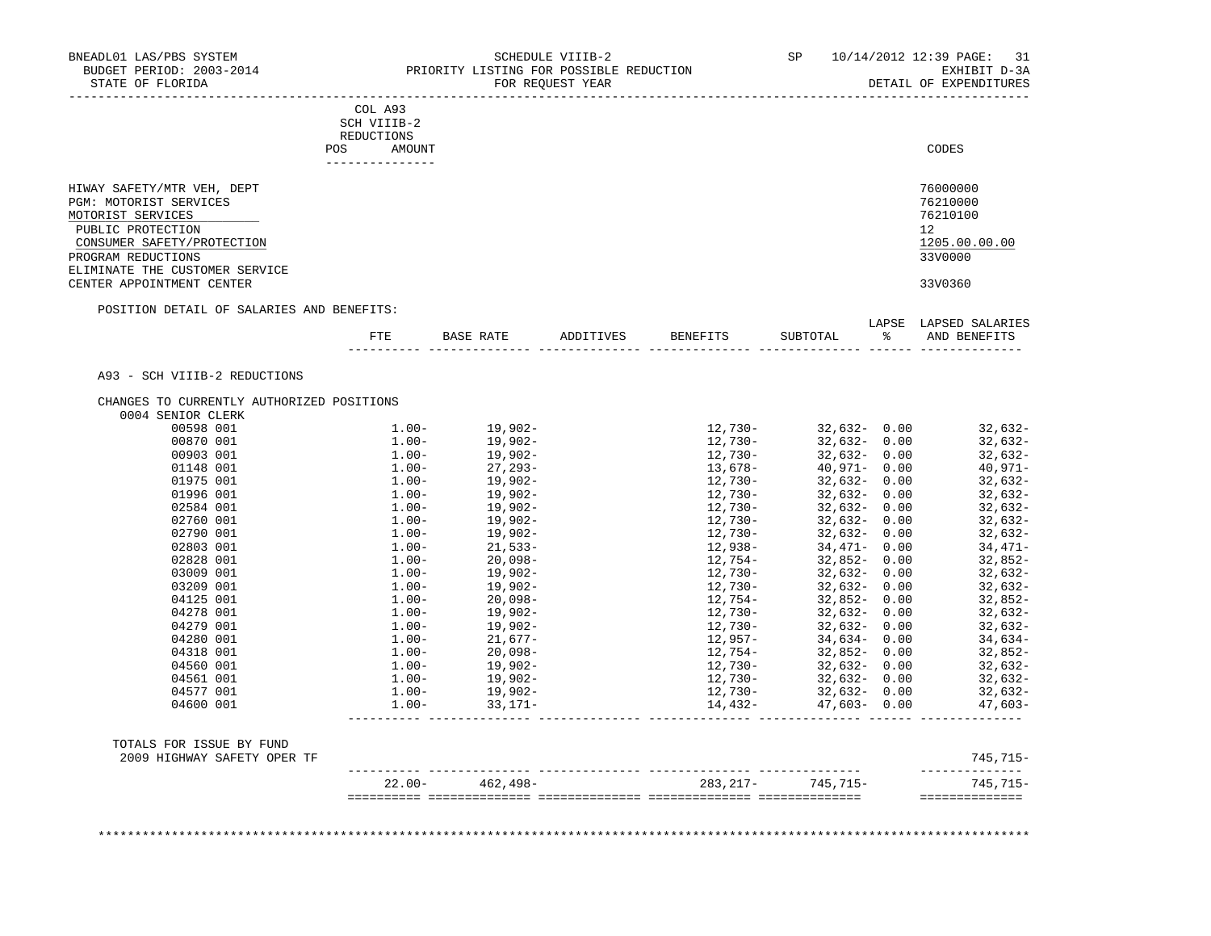| SCH VIIIB-2<br>REDUCTIONS<br>AMOUNT<br>---------------<br>POSITION DETAIL OF SALARIES AND BENEFITS:<br>CHANGES TO CURRENTLY AUTHORIZED POSITIONS<br>$1.00 -$<br>$1.00-$ | FTE BASE RATE<br>19,902-<br>19,902-<br>$\begin{array}{cc} 1.00-& 19\, ,902- \ 1.00-& 19\, ,902- \ 1.00-& 27\, ,293- \ 1.00-& 19\, ,902- \ 1.00-& 19\, ,902- \ 1.00-& 19\, ,902- \ 1.00-& 19\, ,902- \ 1.00-& 19\, ,902- \ 1.00-& 21\, .533- \end{array}$ | ADDITIVES                                                                   | BENEFITS<br>12,730-<br>12,730-<br>$13,678-$<br>$12,730-$<br>$12,730-$                                                                                                                                                                                 | SUBTOTAL<br>$12,730 32,632-$ 0.00<br>32,632- 0.00<br>$32,632 - 0.00$<br>40,971- 0.00<br>$32,632 - 0.00$ |         | CODES<br>76000000<br>76210000<br>76210100<br>12 <sup>°</sup><br>1205.00.00.00<br>33V0000<br>33V0360<br>LAPSE LAPSED SALARIES<br>% AND BENEFITS<br>32,632-<br>32,632-<br>32,632-<br>40,971-<br>32,632-                                                                                                                                                                                                                                                  |
|-------------------------------------------------------------------------------------------------------------------------------------------------------------------------|----------------------------------------------------------------------------------------------------------------------------------------------------------------------------------------------------------------------------------------------------------|-----------------------------------------------------------------------------|-------------------------------------------------------------------------------------------------------------------------------------------------------------------------------------------------------------------------------------------------------|---------------------------------------------------------------------------------------------------------|---------|--------------------------------------------------------------------------------------------------------------------------------------------------------------------------------------------------------------------------------------------------------------------------------------------------------------------------------------------------------------------------------------------------------------------------------------------------------|
|                                                                                                                                                                         |                                                                                                                                                                                                                                                          |                                                                             |                                                                                                                                                                                                                                                       |                                                                                                         |         |                                                                                                                                                                                                                                                                                                                                                                                                                                                        |
|                                                                                                                                                                         |                                                                                                                                                                                                                                                          |                                                                             |                                                                                                                                                                                                                                                       |                                                                                                         |         |                                                                                                                                                                                                                                                                                                                                                                                                                                                        |
|                                                                                                                                                                         |                                                                                                                                                                                                                                                          |                                                                             |                                                                                                                                                                                                                                                       |                                                                                                         |         |                                                                                                                                                                                                                                                                                                                                                                                                                                                        |
|                                                                                                                                                                         |                                                                                                                                                                                                                                                          |                                                                             |                                                                                                                                                                                                                                                       |                                                                                                         |         |                                                                                                                                                                                                                                                                                                                                                                                                                                                        |
|                                                                                                                                                                         |                                                                                                                                                                                                                                                          |                                                                             |                                                                                                                                                                                                                                                       |                                                                                                         |         |                                                                                                                                                                                                                                                                                                                                                                                                                                                        |
|                                                                                                                                                                         |                                                                                                                                                                                                                                                          |                                                                             |                                                                                                                                                                                                                                                       |                                                                                                         |         |                                                                                                                                                                                                                                                                                                                                                                                                                                                        |
|                                                                                                                                                                         |                                                                                                                                                                                                                                                          |                                                                             |                                                                                                                                                                                                                                                       |                                                                                                         |         |                                                                                                                                                                                                                                                                                                                                                                                                                                                        |
|                                                                                                                                                                         |                                                                                                                                                                                                                                                          |                                                                             |                                                                                                                                                                                                                                                       |                                                                                                         |         |                                                                                                                                                                                                                                                                                                                                                                                                                                                        |
|                                                                                                                                                                         |                                                                                                                                                                                                                                                          |                                                                             |                                                                                                                                                                                                                                                       |                                                                                                         |         |                                                                                                                                                                                                                                                                                                                                                                                                                                                        |
|                                                                                                                                                                         |                                                                                                                                                                                                                                                          |                                                                             |                                                                                                                                                                                                                                                       |                                                                                                         |         |                                                                                                                                                                                                                                                                                                                                                                                                                                                        |
|                                                                                                                                                                         |                                                                                                                                                                                                                                                          |                                                                             |                                                                                                                                                                                                                                                       |                                                                                                         |         |                                                                                                                                                                                                                                                                                                                                                                                                                                                        |
|                                                                                                                                                                         |                                                                                                                                                                                                                                                          |                                                                             |                                                                                                                                                                                                                                                       |                                                                                                         |         |                                                                                                                                                                                                                                                                                                                                                                                                                                                        |
|                                                                                                                                                                         |                                                                                                                                                                                                                                                          |                                                                             |                                                                                                                                                                                                                                                       |                                                                                                         |         |                                                                                                                                                                                                                                                                                                                                                                                                                                                        |
|                                                                                                                                                                         |                                                                                                                                                                                                                                                          |                                                                             |                                                                                                                                                                                                                                                       |                                                                                                         |         |                                                                                                                                                                                                                                                                                                                                                                                                                                                        |
|                                                                                                                                                                         |                                                                                                                                                                                                                                                          |                                                                             |                                                                                                                                                                                                                                                       |                                                                                                         |         |                                                                                                                                                                                                                                                                                                                                                                                                                                                        |
|                                                                                                                                                                         |                                                                                                                                                                                                                                                          |                                                                             |                                                                                                                                                                                                                                                       |                                                                                                         |         |                                                                                                                                                                                                                                                                                                                                                                                                                                                        |
|                                                                                                                                                                         |                                                                                                                                                                                                                                                          |                                                                             |                                                                                                                                                                                                                                                       |                                                                                                         |         |                                                                                                                                                                                                                                                                                                                                                                                                                                                        |
|                                                                                                                                                                         |                                                                                                                                                                                                                                                          |                                                                             |                                                                                                                                                                                                                                                       |                                                                                                         |         |                                                                                                                                                                                                                                                                                                                                                                                                                                                        |
|                                                                                                                                                                         |                                                                                                                                                                                                                                                          |                                                                             |                                                                                                                                                                                                                                                       |                                                                                                         |         |                                                                                                                                                                                                                                                                                                                                                                                                                                                        |
|                                                                                                                                                                         |                                                                                                                                                                                                                                                          |                                                                             |                                                                                                                                                                                                                                                       |                                                                                                         |         |                                                                                                                                                                                                                                                                                                                                                                                                                                                        |
|                                                                                                                                                                         |                                                                                                                                                                                                                                                          |                                                                             |                                                                                                                                                                                                                                                       |                                                                                                         |         |                                                                                                                                                                                                                                                                                                                                                                                                                                                        |
|                                                                                                                                                                         |                                                                                                                                                                                                                                                          |                                                                             |                                                                                                                                                                                                                                                       |                                                                                                         |         |                                                                                                                                                                                                                                                                                                                                                                                                                                                        |
|                                                                                                                                                                         |                                                                                                                                                                                                                                                          |                                                                             |                                                                                                                                                                                                                                                       |                                                                                                         |         |                                                                                                                                                                                                                                                                                                                                                                                                                                                        |
|                                                                                                                                                                         |                                                                                                                                                                                                                                                          |                                                                             |                                                                                                                                                                                                                                                       | 32,632- 0.00                                                                                            |         | 32,632-                                                                                                                                                                                                                                                                                                                                                                                                                                                |
|                                                                                                                                                                         |                                                                                                                                                                                                                                                          |                                                                             | 12,730-                                                                                                                                                                                                                                               | 32,632- 0.00                                                                                            |         | 32,632-                                                                                                                                                                                                                                                                                                                                                                                                                                                |
|                                                                                                                                                                         |                                                                                                                                                                                                                                                          |                                                                             | 12,730-                                                                                                                                                                                                                                               | 32,632-0.00                                                                                             |         | 32,632-                                                                                                                                                                                                                                                                                                                                                                                                                                                |
|                                                                                                                                                                         |                                                                                                                                                                                                                                                          |                                                                             | 12,730-                                                                                                                                                                                                                                               | 32,632- 0.00                                                                                            |         | 32,632-                                                                                                                                                                                                                                                                                                                                                                                                                                                |
| $1.00 -$                                                                                                                                                                | 21,533-                                                                                                                                                                                                                                                  |                                                                             | 12,938-                                                                                                                                                                                                                                               | 34,471- 0.00                                                                                            |         | 34,471-                                                                                                                                                                                                                                                                                                                                                                                                                                                |
| $1.00-$                                                                                                                                                                 |                                                                                                                                                                                                                                                          |                                                                             | 12,950<br>12,754-<br>10,730-                                                                                                                                                                                                                          | 32,852-0.00                                                                                             |         | 32,852-                                                                                                                                                                                                                                                                                                                                                                                                                                                |
| $1.00 -$                                                                                                                                                                |                                                                                                                                                                                                                                                          |                                                                             |                                                                                                                                                                                                                                                       | 32,632- 0.00                                                                                            |         | 32,632-                                                                                                                                                                                                                                                                                                                                                                                                                                                |
|                                                                                                                                                                         |                                                                                                                                                                                                                                                          |                                                                             |                                                                                                                                                                                                                                                       |                                                                                                         |         | 32,632-                                                                                                                                                                                                                                                                                                                                                                                                                                                |
|                                                                                                                                                                         |                                                                                                                                                                                                                                                          |                                                                             |                                                                                                                                                                                                                                                       |                                                                                                         |         | 32,852-                                                                                                                                                                                                                                                                                                                                                                                                                                                |
|                                                                                                                                                                         |                                                                                                                                                                                                                                                          |                                                                             |                                                                                                                                                                                                                                                       |                                                                                                         |         | 32,632-                                                                                                                                                                                                                                                                                                                                                                                                                                                |
|                                                                                                                                                                         |                                                                                                                                                                                                                                                          |                                                                             |                                                                                                                                                                                                                                                       |                                                                                                         |         | 32,632-                                                                                                                                                                                                                                                                                                                                                                                                                                                |
|                                                                                                                                                                         |                                                                                                                                                                                                                                                          |                                                                             |                                                                                                                                                                                                                                                       |                                                                                                         |         | 34,634-                                                                                                                                                                                                                                                                                                                                                                                                                                                |
|                                                                                                                                                                         |                                                                                                                                                                                                                                                          |                                                                             |                                                                                                                                                                                                                                                       |                                                                                                         |         | 32,852-                                                                                                                                                                                                                                                                                                                                                                                                                                                |
|                                                                                                                                                                         |                                                                                                                                                                                                                                                          |                                                                             |                                                                                                                                                                                                                                                       |                                                                                                         |         | 32,632-                                                                                                                                                                                                                                                                                                                                                                                                                                                |
|                                                                                                                                                                         |                                                                                                                                                                                                                                                          |                                                                             |                                                                                                                                                                                                                                                       |                                                                                                         |         | 32,632-                                                                                                                                                                                                                                                                                                                                                                                                                                                |
|                                                                                                                                                                         |                                                                                                                                                                                                                                                          |                                                                             |                                                                                                                                                                                                                                                       |                                                                                                         |         | 32,632-                                                                                                                                                                                                                                                                                                                                                                                                                                                |
|                                                                                                                                                                         |                                                                                                                                                                                                                                                          |                                                                             |                                                                                                                                                                                                                                                       |                                                                                                         |         | 47,603-                                                                                                                                                                                                                                                                                                                                                                                                                                                |
|                                                                                                                                                                         |                                                                                                                                                                                                                                                          |                                                                             |                                                                                                                                                                                                                                                       |                                                                                                         |         |                                                                                                                                                                                                                                                                                                                                                                                                                                                        |
|                                                                                                                                                                         |                                                                                                                                                                                                                                                          |                                                                             |                                                                                                                                                                                                                                                       |                                                                                                         |         | 745,715-                                                                                                                                                                                                                                                                                                                                                                                                                                               |
|                                                                                                                                                                         |                                                                                                                                                                                                                                                          |                                                                             |                                                                                                                                                                                                                                                       |                                                                                                         |         | --------------<br>745,715-                                                                                                                                                                                                                                                                                                                                                                                                                             |
|                                                                                                                                                                         |                                                                                                                                                                                                                                                          | $1.00 -$<br>20,098-<br>$1.00-$<br>33,171–<br>$1.00-$<br>$22.00 - 462.498 -$ | 20,098-<br>19,902-<br>19,902-<br>20,000<br>$\begin{array}{ll} 1.00-&20\, ,098-\\ 1.00-&19\, ,902-\\ 1.00-&19\, ,902-\\ 1.00-&21\, ,677-\\ 1.00-&20\, ,098-\\ 1.00-&19\, ,902-\\ 1.00-&19\, ,902-\\ 1.00-&19\, ,902-\\ 1.00-&33\, .171-\\ \end{array}$ |                                                                                                         | 12,730- | $32,632 - 0.00$<br>12, $754-$<br>12, $754-$<br>12. $730-$<br>22, $632-$<br>32, $632-$<br>32, $632-$<br>32, $632-$<br>32, $632-$<br>32, $632-$<br>$12,730-$<br>$12,957-$<br>$12,754-$<br>$34,634-$<br>$32,852-$<br>$32,632-$<br>$32,632-$<br>$32,632-$<br>$32,632-$<br>$32,632-$<br>$32,632-$<br>$32,632-$<br>$32,632-$<br>$12,730-$<br>$12,730-$<br>$32,632-$<br>$0.00$<br>$12,730-$<br>$47,603-$<br>$0.00$<br>283, 217 - 745, 715 -<br>============== |

BNEADL01 LAS/PBS SYSTEM SCHEDULE VIIIB-2 SEHEDULE VIIIB-2 SP 10/14/2012 12:39 PAGE: 31 BUDGET PERIOD: 2003-2014 PRIORITY LISTING FOR POSSIBLE REDUCTION EXHIBIT D-3A STATE OF FLORIDA FOR REQUEST YEAR DETAIL OF EXPENDITURES -----------------------------------------------------------------------------------------------------------------------------------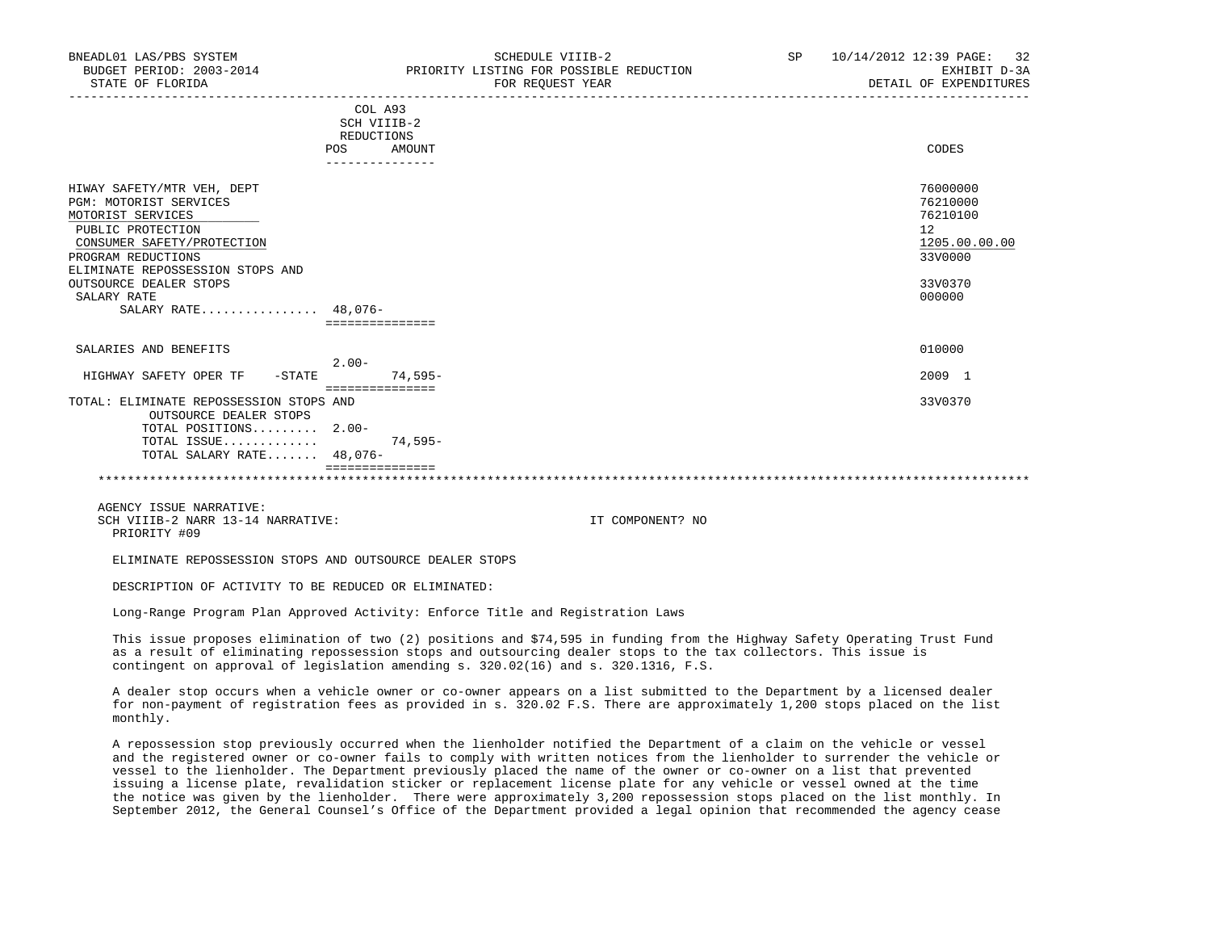|                                                                                                                                                                                                                                                               | COL A93<br>SCH VIIIB-2<br>REDUCTIONS |           |                                                                                         |
|---------------------------------------------------------------------------------------------------------------------------------------------------------------------------------------------------------------------------------------------------------------|--------------------------------------|-----------|-----------------------------------------------------------------------------------------|
|                                                                                                                                                                                                                                                               | POS                                  | AMOUNT    | CODES                                                                                   |
| HIWAY SAFETY/MTR VEH, DEPT<br><b>PGM: MOTORIST SERVICES</b><br>MOTORIST SERVICES<br>PUBLIC PROTECTION<br>CONSUMER SAFETY/PROTECTION<br>PROGRAM REDUCTIONS<br>ELIMINATE REPOSSESSION STOPS AND<br>OUTSOURCE DEALER STOPS<br>SALARY RATE<br>SALARY RATE 48,076- | ===============                      |           | 76000000<br>76210000<br>76210100<br>12<br>1205.00.00.00<br>33V0000<br>33V0370<br>000000 |
| SALARIES AND BENEFITS                                                                                                                                                                                                                                         | $2.00-$                              |           | 010000                                                                                  |
| HIGHWAY SAFETY OPER TF<br>$-$ STATE                                                                                                                                                                                                                           | ===============                      | 74,595-   | 2009 1                                                                                  |
| TOTAL: ELIMINATE REPOSSESSION STOPS AND<br>OUTSOURCE DEALER STOPS<br>TOTAL POSITIONS 2.00-                                                                                                                                                                    |                                      |           | 33V0370                                                                                 |
| TOTAL ISSUE<br>TOTAL SALARY RATE 48,076-                                                                                                                                                                                                                      |                                      | $74,595-$ |                                                                                         |
|                                                                                                                                                                                                                                                               |                                      |           |                                                                                         |

 AGENCY ISSUE NARRATIVE: SCH VIIIB-2 NARR 13-14 NARRATIVE: IT COMPONENT? NO PRIORITY #09

ELIMINATE REPOSSESSION STOPS AND OUTSOURCE DEALER STOPS

DESCRIPTION OF ACTIVITY TO BE REDUCED OR ELIMINATED:

Long-Range Program Plan Approved Activity: Enforce Title and Registration Laws

 This issue proposes elimination of two (2) positions and \$74,595 in funding from the Highway Safety Operating Trust Fund as a result of eliminating repossession stops and outsourcing dealer stops to the tax collectors. This issue is contingent on approval of legislation amending s. 320.02(16) and s. 320.1316, F.S.

 A dealer stop occurs when a vehicle owner or co-owner appears on a list submitted to the Department by a licensed dealer for non-payment of registration fees as provided in s. 320.02 F.S. There are approximately 1,200 stops placed on the list monthly.

 A repossession stop previously occurred when the lienholder notified the Department of a claim on the vehicle or vessel and the registered owner or co-owner fails to comply with written notices from the lienholder to surrender the vehicle or vessel to the lienholder. The Department previously placed the name of the owner or co-owner on a list that prevented issuing a license plate, revalidation sticker or replacement license plate for any vehicle or vessel owned at the time the notice was given by the lienholder. There were approximately 3,200 repossession stops placed on the list monthly. In September 2012, the General Counsel's Office of the Department provided a legal opinion that recommended the agency cease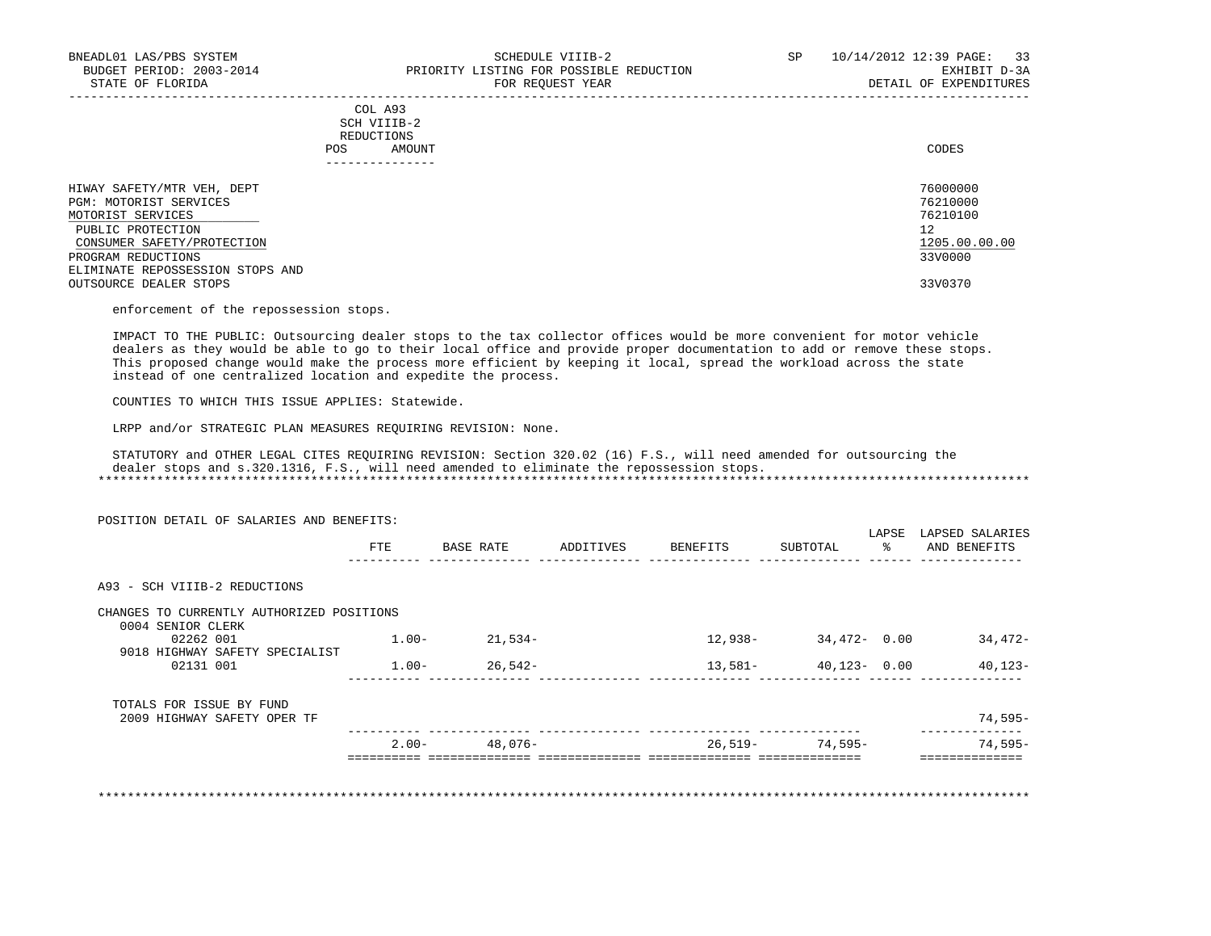## COL A93 SCH VIIIB-2 REDUCTIONS POS AMOUNT CODES AND A LOCAL CODES AND A LOCAL CODES AND A LOCAL CODES CODES AND A LOCAL CODES AND A LOCAL CODES ---------------

-----------------------------------------------------------------------------------------------------------------------------------

| HIWAY SAFETY/MTR VEH, DEPT       | 76000000      |
|----------------------------------|---------------|
| PGM: MOTORIST SERVICES           | 76210000      |
| MOTORIST SERVICES                | 76210100      |
| PUBLIC PROTECTION                | 12            |
| CONSUMER SAFETY/PROTECTION       | 1205.00.00.00 |
| PROGRAM REDUCTIONS               | 33V0000       |
| ELIMINATE REPOSSESSION STOPS AND |               |
| OUTSOURCE DEALER STOPS           | 33V0370       |

enforcement of the repossession stops.

 IMPACT TO THE PUBLIC: Outsourcing dealer stops to the tax collector offices would be more convenient for motor vehicle dealers as they would be able to go to their local office and provide proper documentation to add or remove these stops. This proposed change would make the process more efficient by keeping it local, spread the workload across the state instead of one centralized location and expedite the process.

COUNTIES TO WHICH THIS ISSUE APPLIES: Statewide.

LRPP and/or STRATEGIC PLAN MEASURES REQUIRING REVISION: None.

 STATUTORY and OTHER LEGAL CITES REQUIRING REVISION: Section 320.02 (16) F.S., will need amended for outsourcing the dealer stops and s.320.1316, F.S., will need amended to eliminate the repossession stops. \*\*\*\*\*\*\*\*\*\*\*\*\*\*\*\*\*\*\*\*\*\*\*\*\*\*\*\*\*\*\*\*\*\*\*\*\*\*\*\*\*\*\*\*\*\*\*\*\*\*\*\*\*\*\*\*\*\*\*\*\*\*\*\*\*\*\*\*\*\*\*\*\*\*\*\*\*\*\*\*\*\*\*\*\*\*\*\*\*\*\*\*\*\*\*\*\*\*\*\*\*\*\*\*\*\*\*\*\*\*\*\*\*\*\*\*\*\*\*\*\*\*\*\*\*\*\*

 POSITION DETAIL OF SALARIES AND BENEFITS: LAPSE LAPSED SALARIES FTE BASE RATE ADDITIVES BENEFITS SUBTOTAL % AND BENEFITS ---------- -------------- -------------- -------------- -------------- ------ -------------- A93 - SCH VIIIB-2 REDUCTIONS CHANGES TO CURRENTLY AUTHORIZED POSITIONS 0004 SENIOR CLERK  $0.2262$   $0.01$   $1.00 - 21,534 - 1.00 - 21,534 - 12,938 - 34,472 - 0.00$   $34,472 - 1.00 - 3.00$  9018 HIGHWAY SAFETY SPECIALIST  $0.2131$   $0.01$   $1.00 26,542 13,581 40,123 0.00$   $40,123-$  ---------- -------------- -------------- -------------- -------------- ------ -------------- TOTALS FOR ISSUE BY FUND 2009 HIGHWAY SAFETY OPER TF 74,595- ---------- -------------- -------------- -------------- -------------- -------------- 2.00- 48,076- 26,519- 74,595- 74,595- ========== ============== ============== ============== ============== ==============

\*\*\*\*\*\*\*\*\*\*\*\*\*\*\*\*\*\*\*\*\*\*\*\*\*\*\*\*\*\*\*\*\*\*\*\*\*\*\*\*\*\*\*\*\*\*\*\*\*\*\*\*\*\*\*\*\*\*\*\*\*\*\*\*\*\*\*\*\*\*\*\*\*\*\*\*\*\*\*\*\*\*\*\*\*\*\*\*\*\*\*\*\*\*\*\*\*\*\*\*\*\*\*\*\*\*\*\*\*\*\*\*\*\*\*\*\*\*\*\*\*\*\*\*\*\*\*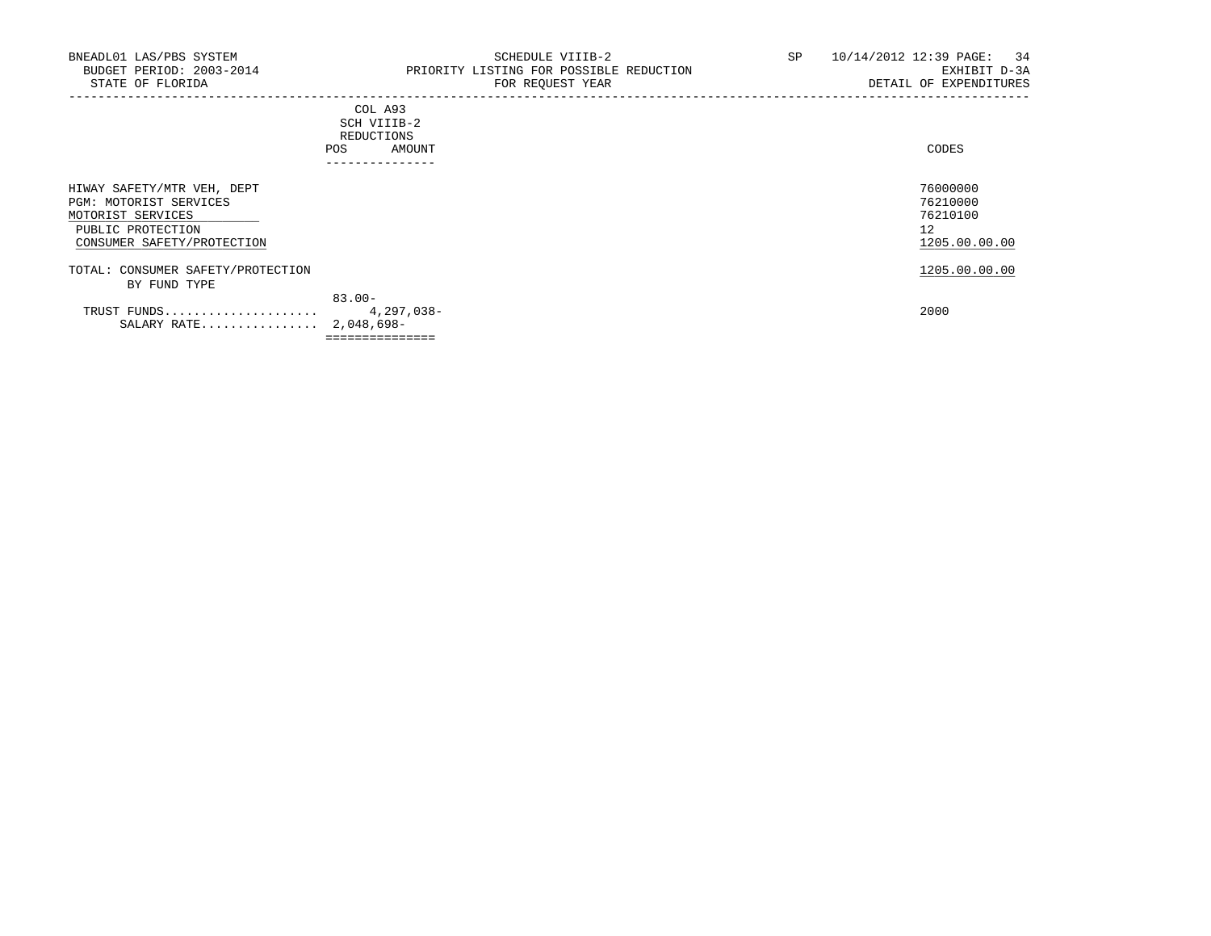|     | _______________ |       |
|-----|-----------------|-------|
| POS | AMOUNT          | CODES |
|     | REDUCTIONS      |       |
|     | SCH VIIIB-2     |       |
|     | COL A93         |       |

| HIWAY SAFETY/MTR VEH, DEPT        |                 | 76000000      |
|-----------------------------------|-----------------|---------------|
| PGM: MOTORIST SERVICES            |                 | 76210000      |
| MOTORIST SERVICES                 |                 | 76210100      |
| PUBLIC PROTECTION                 |                 | 12            |
| CONSUMER SAFETY/PROTECTION        |                 | 1205.00.00.00 |
| TOTAL: CONSUMER SAFETY/PROTECTION |                 | 1205.00.00.00 |
| BY FUND TYPE                      |                 |               |
|                                   | $83.00 -$       |               |
| TRUST FUNDS                       | 4,297,038-      | 2000          |
| SALARY RATE 2,048,698-            |                 |               |
|                                   | =============== |               |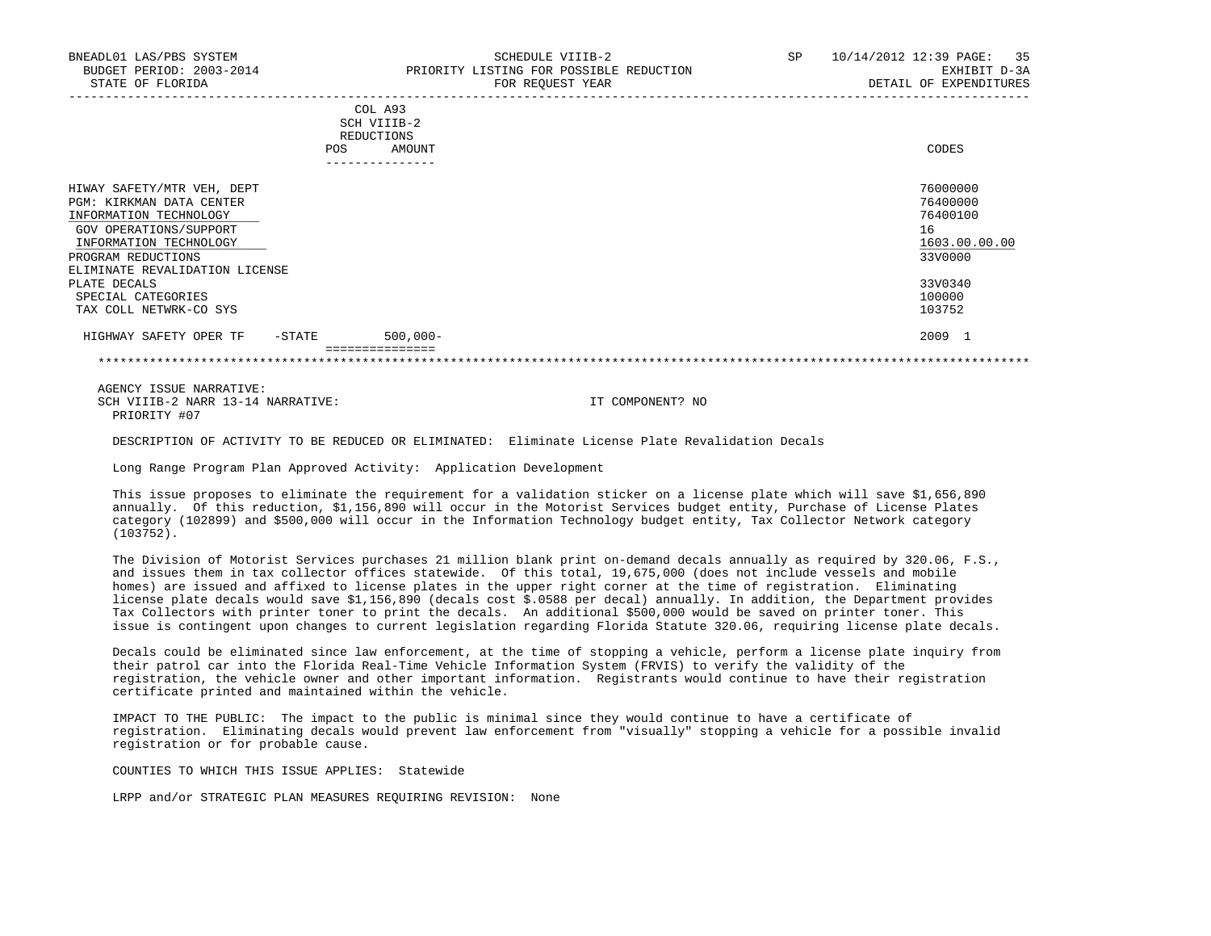| POS                                 | SCH VIIIB-2<br>REDUCTIONS<br>AMOUNT<br>---------------- | CODES         |
|-------------------------------------|---------------------------------------------------------|---------------|
| HIWAY SAFETY/MTR VEH, DEPT          |                                                         | 76000000      |
| PGM: KIRKMAN DATA CENTER            |                                                         | 76400000      |
| INFORMATION TECHNOLOGY              |                                                         | 76400100      |
| GOV OPERATIONS/SUPPORT              |                                                         | 16            |
| INFORMATION TECHNOLOGY              |                                                         | 1603.00.00.00 |
| PROGRAM REDUCTIONS                  |                                                         | 33V0000       |
| ELIMINATE REVALIDATION LICENSE      |                                                         |               |
| PLATE DECALS                        |                                                         | 33V0340       |
| SPECIAL CATEGORIES                  |                                                         | 100000        |
| TAX COLL NETWRK-CO SYS              |                                                         | 103752        |
| HIGHWAY SAFETY OPER TF<br>$-$ STATE | $500,000 -$                                             | 2009 1        |
|                                     |                                                         |               |

 AGENCY ISSUE NARRATIVE: SCH VIIIB-2 NARR 13-14 NARRATIVE: IT COMPONENT? NO PRIORITY #07

DESCRIPTION OF ACTIVITY TO BE REDUCED OR ELIMINATED: Eliminate License Plate Revalidation Decals

Long Range Program Plan Approved Activity: Application Development

 This issue proposes to eliminate the requirement for a validation sticker on a license plate which will save \$1,656,890 annually. Of this reduction, \$1,156,890 will occur in the Motorist Services budget entity, Purchase of License Plates category (102899) and \$500,000 will occur in the Information Technology budget entity, Tax Collector Network category (103752).

 The Division of Motorist Services purchases 21 million blank print on-demand decals annually as required by 320.06, F.S., and issues them in tax collector offices statewide. Of this total, 19,675,000 (does not include vessels and mobile homes) are issued and affixed to license plates in the upper right corner at the time of registration. Eliminating license plate decals would save \$1,156,890 (decals cost \$.0588 per decal) annually. In addition, the Department provides Tax Collectors with printer toner to print the decals. An additional \$500,000 would be saved on printer toner. This issue is contingent upon changes to current legislation regarding Florida Statute 320.06, requiring license plate decals.

 Decals could be eliminated since law enforcement, at the time of stopping a vehicle, perform a license plate inquiry from their patrol car into the Florida Real-Time Vehicle Information System (FRVIS) to verify the validity of the registration, the vehicle owner and other important information. Registrants would continue to have their registration certificate printed and maintained within the vehicle.

 IMPACT TO THE PUBLIC: The impact to the public is minimal since they would continue to have a certificate of registration. Eliminating decals would prevent law enforcement from "visually" stopping a vehicle for a possible invalid registration or for probable cause.

COUNTIES TO WHICH THIS ISSUE APPLIES: Statewide

LRPP and/or STRATEGIC PLAN MEASURES REQUIRING REVISION: None